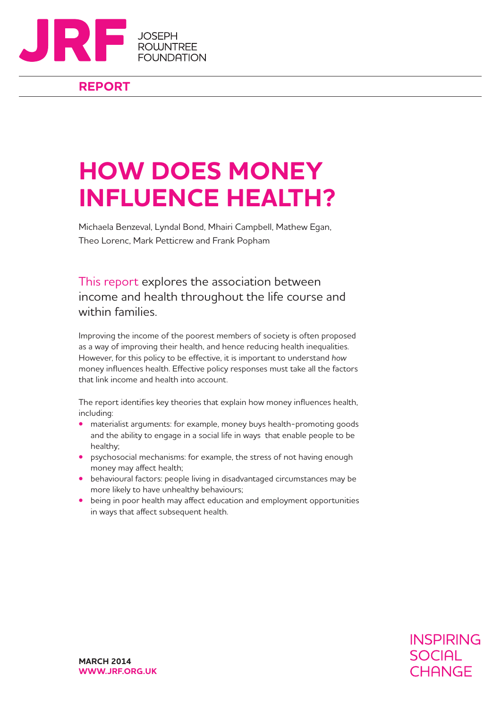

## **REPORT**

# **HOW DOES MONEY INFLUENCE HEALTH?**

Michaela Benzeval, Lyndal Bond, Mhairi Campbell, Mathew Egan, Theo Lorenc, Mark Petticrew and Frank Popham

This report explores the association between income and health throughout the life course and within families.

Improving the income of the poorest members of society is often proposed as a way of improving their health, and hence reducing health inequalities. However, for this policy to be effective, it is important to understand *how* money influences health. Effective policy responses must take all the factors that link income and health into account.

The report identifies key theories that explain how money influences health, including:

- **•** materialist arguments: for example, money buys health-promoting goods and the ability to engage in a social life in ways that enable people to be healthy;
- **•** psychosocial mechanisms: for example, the stress of not having enough money may affect health;
- **•** behavioural factors: people living in disadvantaged circumstances may be more likely to have unhealthy behaviours;
- **•** being in poor health may affect education and employment opportunities in ways that affect subsequent health.

**INSPIRING SOCIAL** CHANGE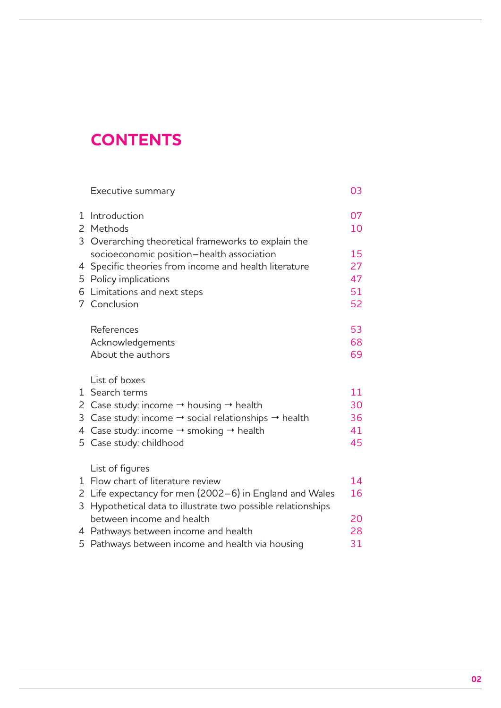## **CONTENTS**

|   | Executive summary                                                            | 03 |
|---|------------------------------------------------------------------------------|----|
| Ŧ | Introduction                                                                 | 07 |
|   | 2 Methods                                                                    | 10 |
|   | 3 Overarching theoretical frameworks to explain the                          |    |
|   | socioeconomic position-health association                                    | 15 |
|   | 4 Specific theories from income and health literature                        | 27 |
|   | 5 Policy implications                                                        | 47 |
|   | 6 Limitations and next steps                                                 | 51 |
|   | 7 Conclusion                                                                 | 52 |
|   | References                                                                   | 53 |
|   | Acknowledgements                                                             | 68 |
|   | About the authors                                                            | 69 |
|   | List of boxes                                                                |    |
|   | 1 Search terms                                                               | 11 |
|   | 2 Case study: income $\rightarrow$ housing $\rightarrow$ health              | 30 |
|   | 3 Case study: income $\rightarrow$ social relationships $\rightarrow$ health | 36 |
|   | 4 Case study: income $\rightarrow$ smoking $\rightarrow$ health              | 41 |
|   | 5 Case study: childhood                                                      | 45 |
|   | List of figures                                                              |    |
| 1 | Flow chart of literature review                                              | 14 |
|   | 2 Life expectancy for men (2002–6) in England and Wales                      | 16 |
| 3 | Hypothetical data to illustrate two possible relationships                   |    |
|   | between income and health                                                    | 20 |
|   | 4 Pathways between income and health                                         | 28 |
|   | 5 Pathways between income and health via housing                             | 31 |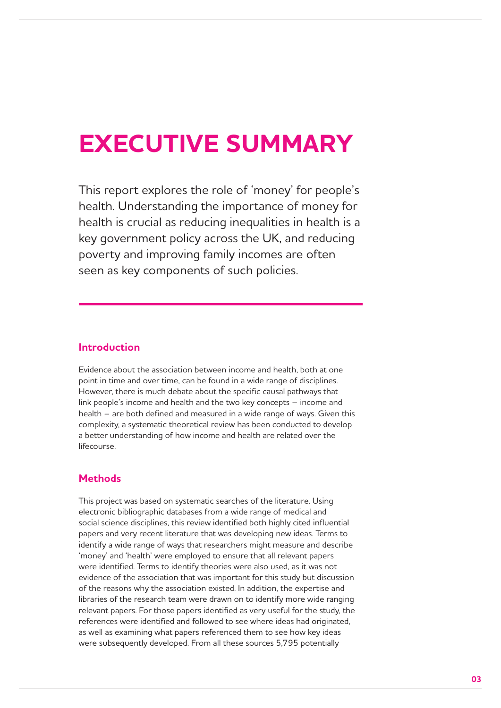## **EXECUTIVE SUMMARY**

This report explores the role of 'money' for people's health. Understanding the importance of money for health is crucial as reducing inequalities in health is a key government policy across the UK, and reducing poverty and improving family incomes are often seen as key components of such policies.

## **Introduction**

Evidence about the association between income and health, both at one point in time and over time, can be found in a wide range of disciplines. However, there is much debate about the specific causal pathways that link people's income and health and the two key concepts – income and health – are both defined and measured in a wide range of ways. Given this complexity, a systematic theoretical review has been conducted to develop a better understanding of how income and health are related over the lifecourse.

## **Methods**

This project was based on systematic searches of the literature. Using electronic bibliographic databases from a wide range of medical and social science disciplines, this review identified both highly cited influential papers and very recent literature that was developing new ideas. Terms to identify a wide range of ways that researchers might measure and describe 'money' and 'health' were employed to ensure that all relevant papers were identified. Terms to identify theories were also used, as it was not evidence of the association that was important for this study but discussion of the reasons why the association existed. In addition, the expertise and libraries of the research team were drawn on to identify more wide ranging relevant papers. For those papers identified as very useful for the study, the references were identified and followed to see where ideas had originated, as well as examining what papers referenced them to see how key ideas were subsequently developed. From all these sources 5,795 potentially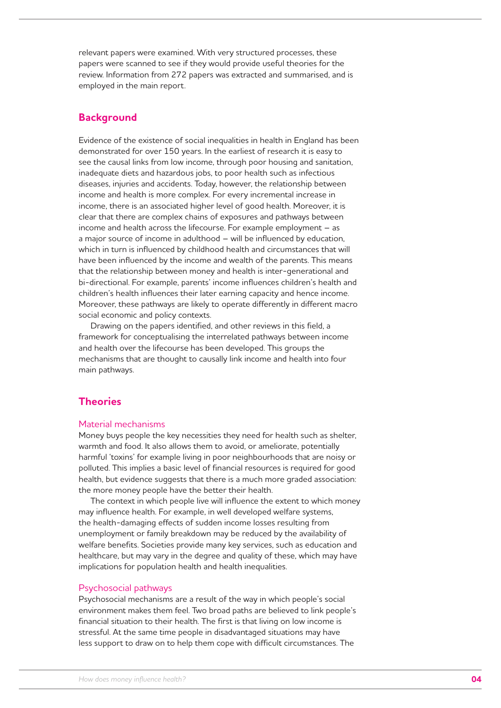relevant papers were examined. With very structured processes, these papers were scanned to see if they would provide useful theories for the review. Information from 272 papers was extracted and summarised, and is employed in the main report.

### **Background**

Evidence of the existence of social inequalities in health in England has been demonstrated for over 150 years. In the earliest of research it is easy to see the causal links from low income, through poor housing and sanitation, inadequate diets and hazardous jobs, to poor health such as infectious diseases, injuries and accidents. Today, however, the relationship between income and health is more complex. For every incremental increase in income, there is an associated higher level of good health. Moreover, it is clear that there are complex chains of exposures and pathways between income and health across the lifecourse. For example employment – as a major source of income in adulthood – will be influenced by education, which in turn is influenced by childhood health and circumstances that will have been influenced by the income and wealth of the parents. This means that the relationship between money and health is inter-generational and bi-directional. For example, parents' income influences children's health and children's health influences their later earning capacity and hence income. Moreover, these pathways are likely to operate differently in different macro social economic and policy contexts.

Drawing on the papers identified, and other reviews in this field, a framework for conceptualising the interrelated pathways between income and health over the lifecourse has been developed. This groups the mechanisms that are thought to causally link income and health into four main pathways.

## **Theories**

#### Material mechanisms

Money buys people the key necessities they need for health such as shelter, warmth and food. It also allows them to avoid, or ameliorate, potentially harmful 'toxins' for example living in poor neighbourhoods that are noisy or polluted. This implies a basic level of financial resources is required for good health, but evidence suggests that there is a much more graded association: the more money people have the better their health.

The context in which people live will influence the extent to which money may influence health. For example, in well developed welfare systems, the health-damaging effects of sudden income losses resulting from unemployment or family breakdown may be reduced by the availability of welfare benefits. Societies provide many key services, such as education and healthcare, but may vary in the degree and quality of these, which may have implications for population health and health inequalities.

#### Psychosocial pathways

Psychosocial mechanisms are a result of the way in which people's social environment makes them feel. Two broad paths are believed to link people's financial situation to their health. The first is that living on low income is stressful. At the same time people in disadvantaged situations may have less support to draw on to help them cope with difficult circumstances. The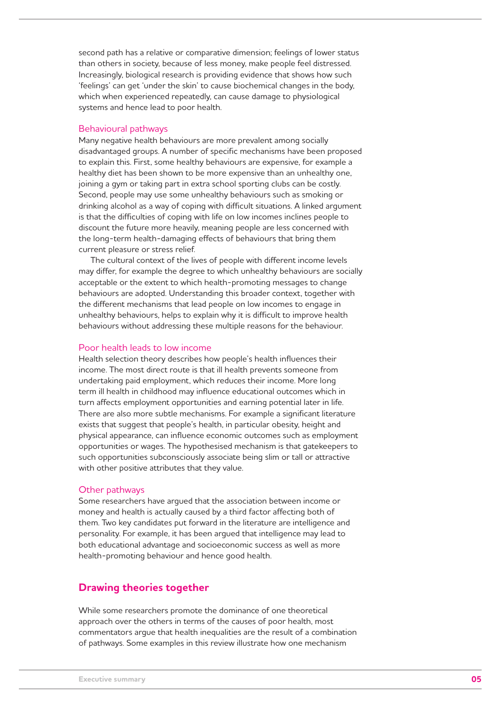second path has a relative or comparative dimension; feelings of lower status than others in society, because of less money, make people feel distressed. Increasingly, biological research is providing evidence that shows how such 'feelings' can get 'under the skin' to cause biochemical changes in the body, which when experienced repeatedly, can cause damage to physiological systems and hence lead to poor health.

#### Behavioural pathways

Many negative health behaviours are more prevalent among socially disadvantaged groups. A number of specific mechanisms have been proposed to explain this. First, some healthy behaviours are expensive, for example a healthy diet has been shown to be more expensive than an unhealthy one, joining a gym or taking part in extra school sporting clubs can be costly. Second, people may use some unhealthy behaviours such as smoking or drinking alcohol as a way of coping with difficult situations. A linked argument is that the difficulties of coping with life on low incomes inclines people to discount the future more heavily, meaning people are less concerned with the long-term health-damaging effects of behaviours that bring them current pleasure or stress relief.

The cultural context of the lives of people with different income levels may differ, for example the degree to which unhealthy behaviours are socially acceptable or the extent to which health-promoting messages to change behaviours are adopted. Understanding this broader context, together with the different mechanisms that lead people on low incomes to engage in unhealthy behaviours, helps to explain why it is difficult to improve health behaviours without addressing these multiple reasons for the behaviour.

#### Poor health leads to low income

Health selection theory describes how people's health influences their income. The most direct route is that ill health prevents someone from undertaking paid employment, which reduces their income. More long term ill health in childhood may influence educational outcomes which in turn affects employment opportunities and earning potential later in life. There are also more subtle mechanisms. For example a significant literature exists that suggest that people's health, in particular obesity, height and physical appearance, can influence economic outcomes such as employment opportunities or wages. The hypothesised mechanism is that gatekeepers to such opportunities subconsciously associate being slim or tall or attractive with other positive attributes that they value.

#### Other pathways

Some researchers have argued that the association between income or money and health is actually caused by a third factor affecting both of them. Two key candidates put forward in the literature are intelligence and personality. For example, it has been argued that intelligence may lead to both educational advantage and socioeconomic success as well as more health-promoting behaviour and hence good health.

#### **Drawing theories together**

While some researchers promote the dominance of one theoretical approach over the others in terms of the causes of poor health, most commentators argue that health inequalities are the result of a combination of pathways. Some examples in this review illustrate how one mechanism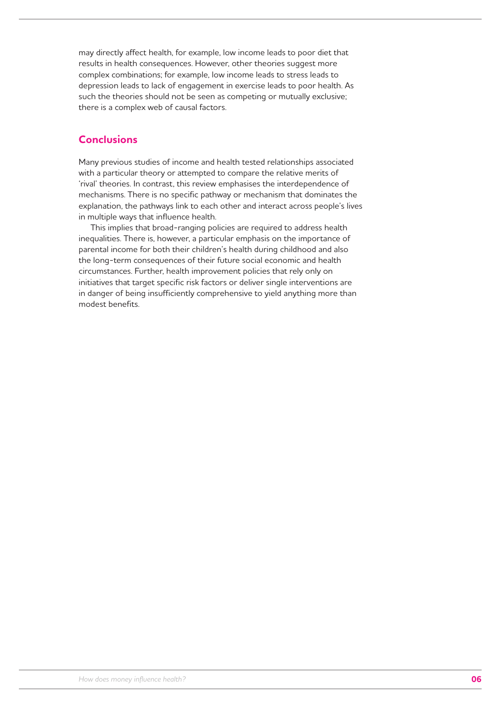may directly affect health, for example, low income leads to poor diet that results in health consequences. However, other theories suggest more complex combinations; for example, low income leads to stress leads to depression leads to lack of engagement in exercise leads to poor health. As such the theories should not be seen as competing or mutually exclusive; there is a complex web of causal factors.

## **Conclusions**

Many previous studies of income and health tested relationships associated with a particular theory or attempted to compare the relative merits of 'rival' theories. In contrast, this review emphasises the interdependence of mechanisms. There is no specific pathway or mechanism that dominates the explanation, the pathways link to each other and interact across people's lives in multiple ways that influence health.

This implies that broad-ranging policies are required to address health inequalities. There is, however, a particular emphasis on the importance of parental income for both their children's health during childhood and also the long-term consequences of their future social economic and health circumstances. Further, health improvement policies that rely only on initiatives that target specific risk factors or deliver single interventions are in danger of being insufficiently comprehensive to yield anything more than modest benefits.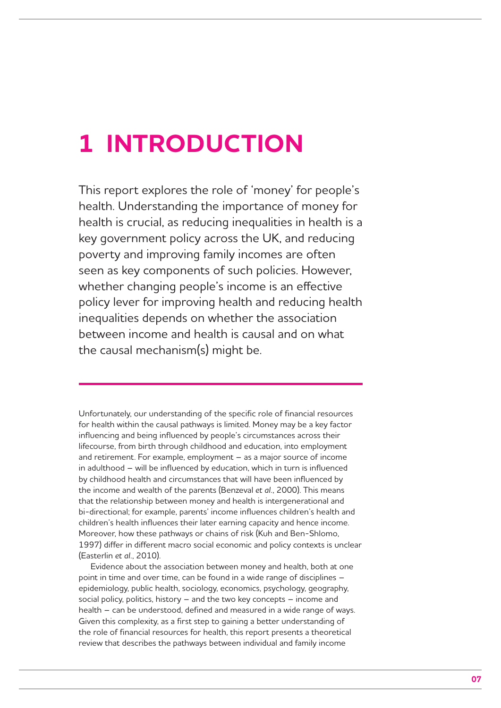## **1 INTRODUCTION**

This report explores the role of 'money' for people's health. Understanding the importance of money for health is crucial, as reducing inequalities in health is a key government policy across the UK, and reducing poverty and improving family incomes are often seen as key components of such policies. However, whether changing people's income is an effective policy lever for improving health and reducing health inequalities depends on whether the association between income and health is causal and on what the causal mechanism(s) might be.

Unfortunately, our understanding of the specific role of financial resources for health within the causal pathways is limited. Money may be a key factor influencing and being influenced by people's circumstances across their lifecourse, from birth through childhood and education, into employment and retirement. For example, employment – as a major source of income in adulthood – will be influenced by education, which in turn is influenced by childhood health and circumstances that will have been influenced by the income and wealth of the parents (Benzeval *et al.*, 2000). This means that the relationship between money and health is intergenerational and bi-directional; for example, parents' income influences children's health and children's health influences their later earning capacity and hence income. Moreover, how these pathways or chains of risk (Kuh and Ben-Shlomo, 1997) differ in different macro social economic and policy contexts is unclear (Easterlin *et al.*, 2010).

Evidence about the association between money and health, both at one point in time and over time, can be found in a wide range of disciplines – epidemiology, public health, sociology, economics, psychology, geography, social policy, politics, history – and the two key concepts – income and health – can be understood, defined and measured in a wide range of ways. Given this complexity, as a first step to gaining a better understanding of the role of financial resources for health, this report presents a theoretical review that describes the pathways between individual and family income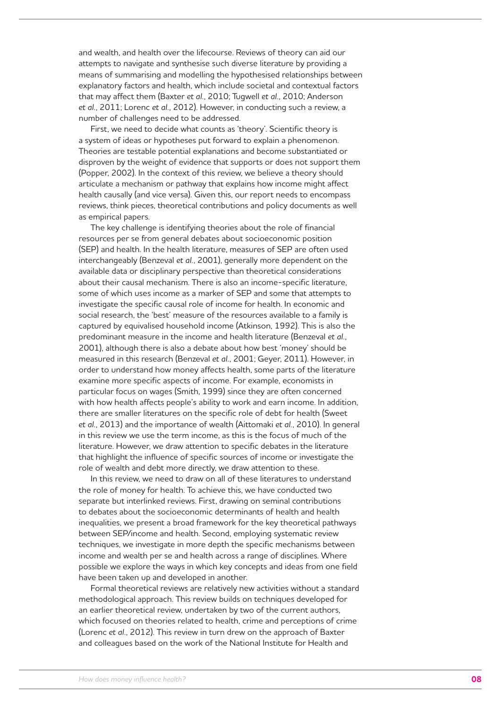and wealth, and health over the lifecourse. Reviews of theory can aid our attempts to navigate and synthesise such diverse literature by providing a means of summarising and modelling the hypothesised relationships between explanatory factors and health, which include societal and contextual factors that may affect them (Baxter *et al.*, 2010; Tugwell *et al.*, 2010; Anderson *et al.*, 2011; Lorenc *et al.*, 2012). However, in conducting such a review, a number of challenges need to be addressed.

First, we need to decide what counts as 'theory'. Scientific theory is a system of ideas or hypotheses put forward to explain a phenomenon. Theories are testable potential explanations and become substantiated or disproven by the weight of evidence that supports or does not support them (Popper, 2002). In the context of this review, we believe a theory should articulate a mechanism or pathway that explains how income might affect health causally (and vice versa). Given this, our report needs to encompass reviews, think pieces, theoretical contributions and policy documents as well as empirical papers.

The key challenge is identifying theories about the role of financial resources per se from general debates about socioeconomic position (SEP) and health. In the health literature, measures of SEP are often used interchangeably (Benzeval *et al.*, 2001), generally more dependent on the available data or disciplinary perspective than theoretical considerations about their causal mechanism. There is also an income-specific literature, some of which uses income as a marker of SEP and some that attempts to investigate the specific causal role of income for health. In economic and social research, the 'best' measure of the resources available to a family is captured by equivalised household income (Atkinson, 1992). This is also the predominant measure in the income and health literature (Benzeval *et al.*, 2001), although there is also a debate about how best 'money' should be measured in this research (Benzeval *et al.*, 2001; Geyer, 2011). However, in order to understand how money affects health, some parts of the literature examine more specific aspects of income. For example, economists in particular focus on wages (Smith, 1999) since they are often concerned with how health affects people's ability to work and earn income. In addition, there are smaller literatures on the specific role of debt for health (Sweet *et al.*, 2013) and the importance of wealth (Aittomaki *et al.*, 2010). In general in this review we use the term income, as this is the focus of much of the literature. However, we draw attention to specific debates in the literature that highlight the influence of specific sources of income or investigate the role of wealth and debt more directly, we draw attention to these.

In this review, we need to draw on all of these literatures to understand the role of money for health. To achieve this, we have conducted two separate but interlinked reviews. First, drawing on seminal contributions to debates about the socioeconomic determinants of health and health inequalities, we present a broad framework for the key theoretical pathways between SEP/income and health. Second, employing systematic review techniques, we investigate in more depth the specific mechanisms between income and wealth per se and health across a range of disciplines. Where possible we explore the ways in which key concepts and ideas from one field have been taken up and developed in another.

Formal theoretical reviews are relatively new activities without a standard methodological approach. This review builds on techniques developed for an earlier theoretical review, undertaken by two of the current authors, which focused on theories related to health, crime and perceptions of crime (Lorenc *et al.*, 2012). This review in turn drew on the approach of Baxter and colleagues based on the work of the National Institute for Health and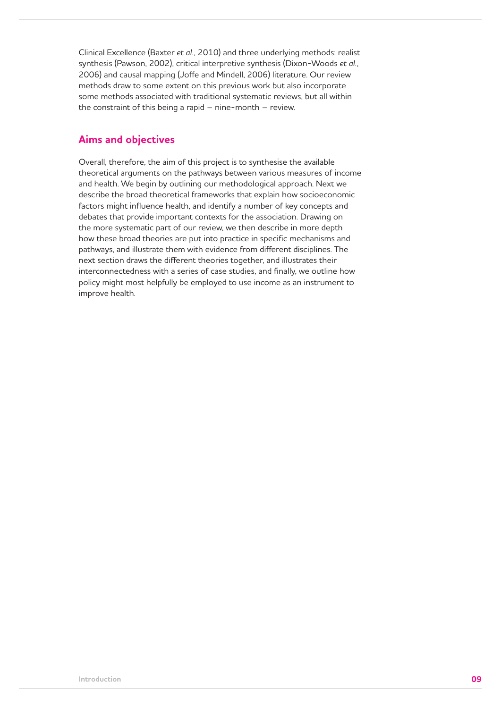Clinical Excellence (Baxter *et al.*, 2010) and three underlying methods: realist synthesis (Pawson, 2002), critical interpretive synthesis (Dixon-Woods *et al.*, 2006) and causal mapping (Joffe and Mindell, 2006) literature. Our review methods draw to some extent on this previous work but also incorporate some methods associated with traditional systematic reviews, but all within the constraint of this being a rapid – nine-month – review.

## **Aims and objectives**

Overall, therefore, the aim of this project is to synthesise the available theoretical arguments on the pathways between various measures of income and health. We begin by outlining our methodological approach. Next we describe the broad theoretical frameworks that explain how socioeconomic factors might influence health, and identify a number of key concepts and debates that provide important contexts for the association. Drawing on the more systematic part of our review, we then describe in more depth how these broad theories are put into practice in specific mechanisms and pathways, and illustrate them with evidence from different disciplines. The next section draws the different theories together, and illustrates their interconnectedness with a series of case studies, and finally, we outline how policy might most helpfully be employed to use income as an instrument to improve health.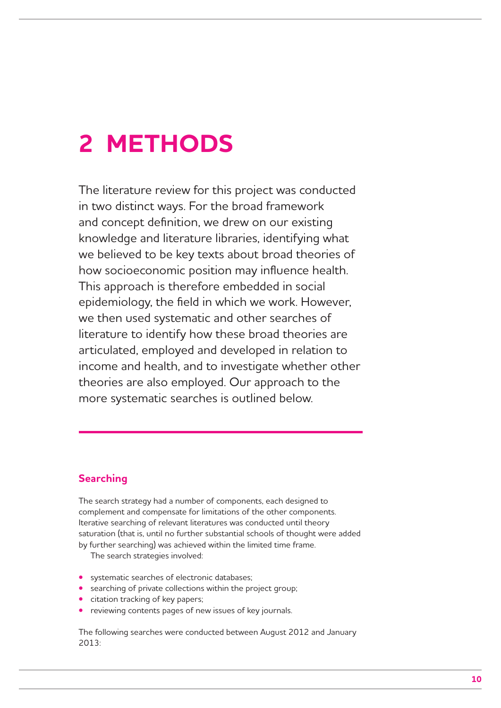## **2 METHODS**

The literature review for this project was conducted in two distinct ways. For the broad framework and concept definition, we drew on our existing knowledge and literature libraries, identifying what we believed to be key texts about broad theories of how socioeconomic position may influence health. This approach is therefore embedded in social epidemiology, the field in which we work. However, we then used systematic and other searches of literature to identify how these broad theories are articulated, employed and developed in relation to income and health, and to investigate whether other theories are also employed. Our approach to the more systematic searches is outlined below.

## **Searching**

The search strategy had a number of components, each designed to complement and compensate for limitations of the other components. Iterative searching of relevant literatures was conducted until theory saturation (that is, until no further substantial schools of thought were added by further searching) was achieved within the limited time frame.

The search strategies involved:

- **•** systematic searches of electronic databases;
- **•** searching of private collections within the project group;
- **•** citation tracking of key papers;
- **•** reviewing contents pages of new issues of key journals.

The following searches were conducted between August 2012 and January 2013: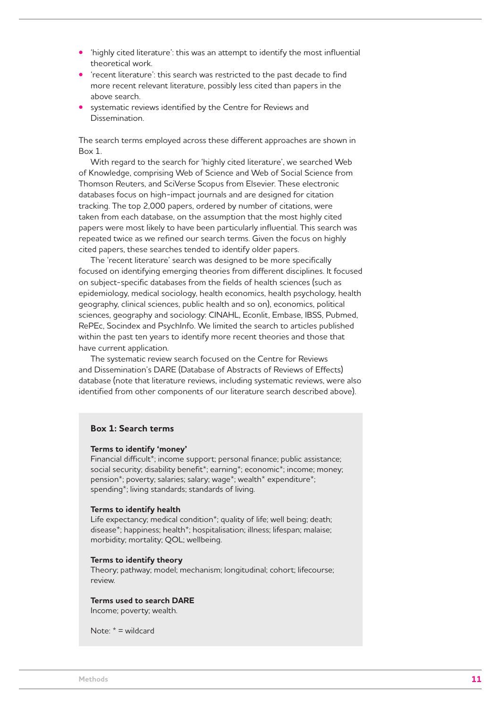- **•** 'highly cited literature': this was an attempt to identify the most influential theoretical work.
- **•** 'recent literature': this search was restricted to the past decade to find more recent relevant literature, possibly less cited than papers in the above search.
- **•** systematic reviews identified by the Centre for Reviews and Dissemination.

The search terms employed across these different approaches are shown in Box 1.

With regard to the search for 'highly cited literature', we searched Web of Knowledge, comprising Web of Science and Web of Social Science from Thomson Reuters, and SciVerse Scopus from Elsevier. These electronic databases focus on high-impact journals and are designed for citation tracking. The top 2,000 papers, ordered by number of citations, were taken from each database, on the assumption that the most highly cited papers were most likely to have been particularly influential. This search was repeated twice as we refined our search terms. Given the focus on highly cited papers, these searches tended to identify older papers.

The 'recent literature' search was designed to be more specifically focused on identifying emerging theories from different disciplines. It focused on subject-specific databases from the fields of health sciences (such as epidemiology, medical sociology, health economics, health psychology, health geography, clinical sciences, public health and so on), economics, political sciences, geography and sociology: CINAHL, Econlit, Embase, IBSS, Pubmed, RePEc, Socindex and PsychInfo. We limited the search to articles published within the past ten years to identify more recent theories and those that have current application.

The systematic review search focused on the Centre for Reviews and Dissemination's DARE (Database of Abstracts of Reviews of Effects) database (note that literature reviews, including systematic reviews, were also identified from other components of our literature search described above).

#### **Box 1: Search terms**

#### **Terms to identify 'money'**

Financial difficult\*; income support; personal finance; public assistance; social security; disability benefit\*; earning\*; economic\*; income; money; pension\*; poverty; salaries; salary; wage\*; wealth\* expenditure\*; spending\*; living standards; standards of living.

#### **Terms to identify health**

Life expectancy; medical condition<sup>\*</sup>; quality of life; well being; death; disease\*; happiness; health\*; hospitalisation; illness; lifespan; malaise; morbidity; mortality; QOL; wellbeing.

#### **Terms to identify theory**

Theory; pathway; model; mechanism; longitudinal; cohort; lifecourse; review.

#### **Terms used to search DARE**

Income; poverty; wealth.

Note: \* = wildcard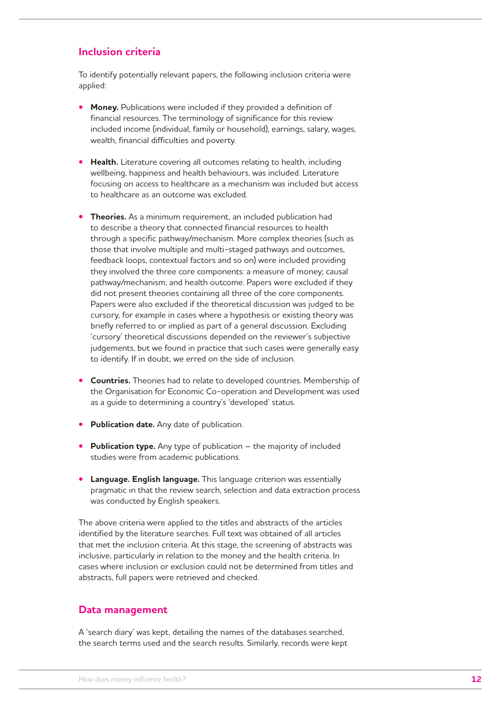## **Inclusion criteria**

To identify potentially relevant papers, the following inclusion criteria were applied:

- **• Money.** Publications were included if they provided a definition of financial resources. The terminology of significance for this review included income (individual, family or household), earnings, salary, wages, wealth, financial difficulties and poverty.
- **• Health.** Literature covering all outcomes relating to health, including wellbeing, happiness and health behaviours, was included. Literature focusing on access to healthcare as a mechanism was included but access to healthcare as an outcome was excluded.
- **Theories.** As a minimum requirement, an included publication had to describe a theory that connected financial resources to health through a specific pathway/mechanism. More complex theories (such as those that involve multiple and multi-staged pathways and outcomes, feedback loops, contextual factors and so on) were included providing they involved the three core components: a measure of money; causal pathway/mechanism; and health outcome. Papers were excluded if they did not present theories containing all three of the core components. Papers were also excluded if the theoretical discussion was judged to be cursory, for example in cases where a hypothesis or existing theory was briefly referred to or implied as part of a general discussion. Excluding 'cursory' theoretical discussions depended on the reviewer's subjective judgements, but we found in practice that such cases were generally easy to identify. If in doubt, we erred on the side of inclusion.
- **• Countries.** Theories had to relate to developed countries. Membership of the Organisation for Economic Co-operation and Development was used as a guide to determining a country's 'developed' status.
- **• Publication date.** Any date of publication.
- **• Publication type.** Any type of publication the majority of included studies were from academic publications.
- **• Language. English language.** This language criterion was essentially pragmatic in that the review search, selection and data extraction process was conducted by English speakers.

The above criteria were applied to the titles and abstracts of the articles identified by the literature searches. Full text was obtained of all articles that met the inclusion criteria. At this stage, the screening of abstracts was inclusive, particularly in relation to the money and the health criteria. In cases where inclusion or exclusion could not be determined from titles and abstracts, full papers were retrieved and checked.

### **Data management**

A 'search diary' was kept, detailing the names of the databases searched, the search terms used and the search results. Similarly, records were kept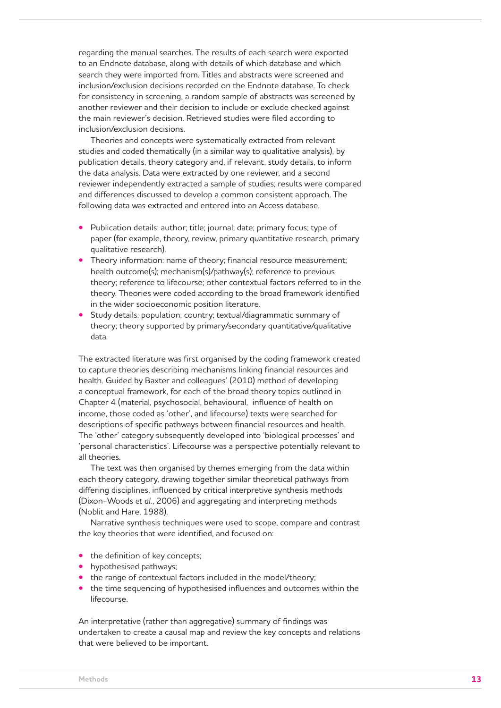regarding the manual searches. The results of each search were exported to an Endnote database, along with details of which database and which search they were imported from. Titles and abstracts were screened and inclusion/exclusion decisions recorded on the Endnote database. To check for consistency in screening, a random sample of abstracts was screened by another reviewer and their decision to include or exclude checked against the main reviewer's decision. Retrieved studies were filed according to inclusion/exclusion decisions.

Theories and concepts were systematically extracted from relevant studies and coded thematically (in a similar way to qualitative analysis), by publication details, theory category and, if relevant, study details, to inform the data analysis. Data were extracted by one reviewer, and a second reviewer independently extracted a sample of studies; results were compared and differences discussed to develop a common consistent approach. The following data was extracted and entered into an Access database.

- **•** Publication details: author; title; journal; date; primary focus; type of paper (for example, theory, review, primary quantitative research, primary qualitative research).
- **•** Theory information: name of theory; financial resource measurement; health outcome(s); mechanism(s)/pathway(s); reference to previous theory; reference to lifecourse; other contextual factors referred to in the theory. Theories were coded according to the broad framework identified in the wider socioeconomic position literature.
- **•** Study details: population; country; textual/diagrammatic summary of theory; theory supported by primary/secondary quantitative/qualitative data.

The extracted literature was first organised by the coding framework created to capture theories describing mechanisms linking financial resources and health. Guided by Baxter and colleagues' (2010) method of developing a conceptual framework, for each of the broad theory topics outlined in Chapter 4 (material, psychosocial, behavioural, influence of health on income, those coded as 'other', and lifecourse) texts were searched for descriptions of specific pathways between financial resources and health. The 'other' category subsequently developed into 'biological processes' and 'personal characteristics'. Lifecourse was a perspective potentially relevant to all theories.

The text was then organised by themes emerging from the data within each theory category, drawing together similar theoretical pathways from differing disciplines, influenced by critical interpretive synthesis methods (Dixon-Woods *et al.*, 2006) and aggregating and interpreting methods (Noblit and Hare, 1988).

Narrative synthesis techniques were used to scope, compare and contrast the key theories that were identified, and focused on:

- the definition of key concepts;
- **•** hypothesised pathways;
- **•** the range of contextual factors included in the model/theory;
- **•** the time sequencing of hypothesised influences and outcomes within the lifecourse.

An interpretative (rather than aggregative) summary of findings was undertaken to create a causal map and review the key concepts and relations that were believed to be important.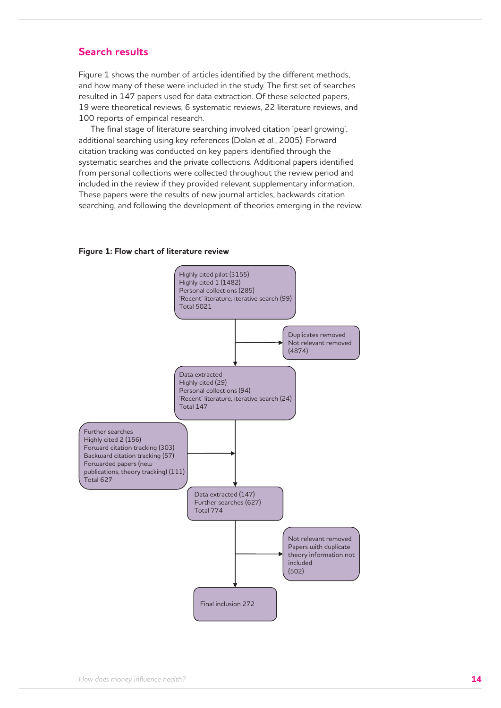## **Search results**

Figure 1 shows the number of articles identified by the different methods, and how many of these were included in the study. The first set of searches resulted in 147 papers used for data extraction. Of these selected papers, 19 were theoretical reviews, 6 systematic reviews, 22 literature reviews, and 100 reports of empirical research.

The final stage of literature searching involved citation 'pearl growing', additional searching using key references (Dolan *et al.*, 2005). Forward citation tracking was conducted on key papers identified through the systematic searches and the private collections. Additional papers identified from personal collections were collected throughout the review period and included in the review if they provided relevant supplementary information. These papers were the results of new journal articles, backwards citation searching, and following the development of theories emerging in the review.

#### **Figure 1: Flow chart of literature review**

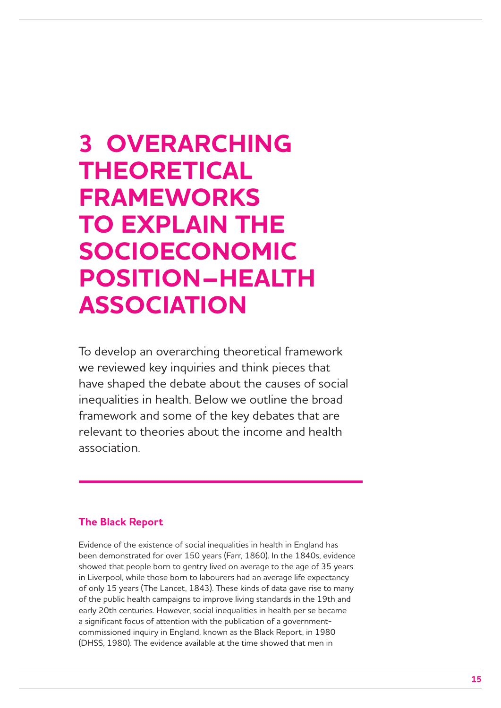## **3 OVERARCHING THEORETICAL FRAMEWORKS TO EXPLAIN THE SOCIOECONOMIC POSITION–HEALTH ASSOCIATION**

To develop an overarching theoretical framework we reviewed key inquiries and think pieces that have shaped the debate about the causes of social inequalities in health. Below we outline the broad framework and some of the key debates that are relevant to theories about the income and health association.

## **The Black Report**

Evidence of the existence of social inequalities in health in England has been demonstrated for over 150 years (Farr, 1860). In the 1840s, evidence showed that people born to gentry lived on average to the age of 35 years in Liverpool, while those born to labourers had an average life expectancy of only 15 years (The Lancet, 1843). These kinds of data gave rise to many of the public health campaigns to improve living standards in the 19th and early 20th centuries. However, social inequalities in health per se became a significant focus of attention with the publication of a governmentcommissioned inquiry in England, known as the Black Report, in 1980 (DHSS, 1980). The evidence available at the time showed that men in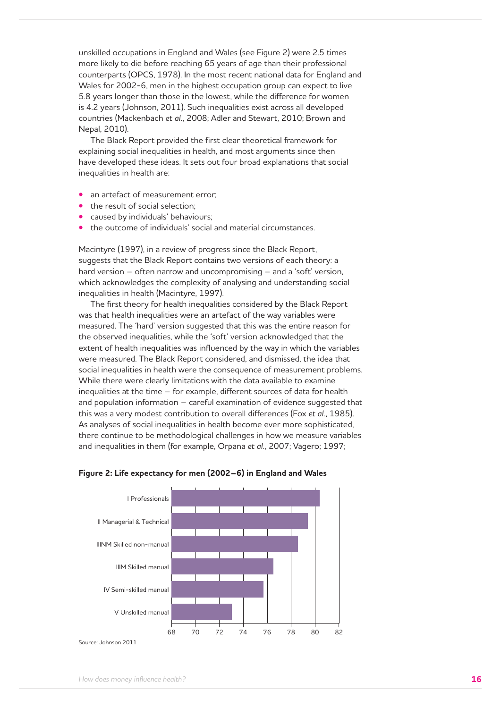unskilled occupations in England and Wales (see Figure 2) were 2.5 times more likely to die before reaching 65 years of age than their professional counterparts (OPCS, 1978). In the most recent national data for England and Wales for 2002-6, men in the highest occupation group can expect to live 5.8 years longer than those in the lowest, while the difference for women is 4.2 years (Johnson, 2011). Such inequalities exist across all developed countries (Mackenbach *et al.*, 2008; Adler and Stewart, 2010; Brown and Nepal, 2010).

The Black Report provided the first clear theoretical framework for explaining social inequalities in health, and most arguments since then have developed these ideas. It sets out four broad explanations that social inequalities in health are:

- **•** an artefact of measurement error;
- **•** the result of social selection;
- **•** caused by individuals' behaviours;
- **•** the outcome of individuals' social and material circumstances.

Macintyre (1997), in a review of progress since the Black Report, suggests that the Black Report contains two versions of each theory: a hard version – often narrow and uncompromising – and a 'soft' version, which acknowledges the complexity of analysing and understanding social inequalities in health (Macintyre, 1997).

The first theory for health inequalities considered by the Black Report was that health inequalities were an artefact of the way variables were measured. The 'hard' version suggested that this was the entire reason for the observed inequalities, while the 'soft' version acknowledged that the extent of health inequalities was influenced by the way in which the variables were measured. The Black Report considered, and dismissed, the idea that social inequalities in health were the consequence of measurement problems. While there were clearly limitations with the data available to examine inequalities at the time – for example, different sources of data for health and population information – careful examination of evidence suggested that this was a very modest contribution to overall differences (Fox *et al.*, 1985). As analyses of social inequalities in health become ever more sophisticated, there continue to be methodological challenges in how we measure variables and inequalities in them (for example, Orpana *et al.*, 2007; Vagero; 1997;



#### **Figure 2: Life expectancy for men (2002–6) in England and Wales**

Source: Johnson 2011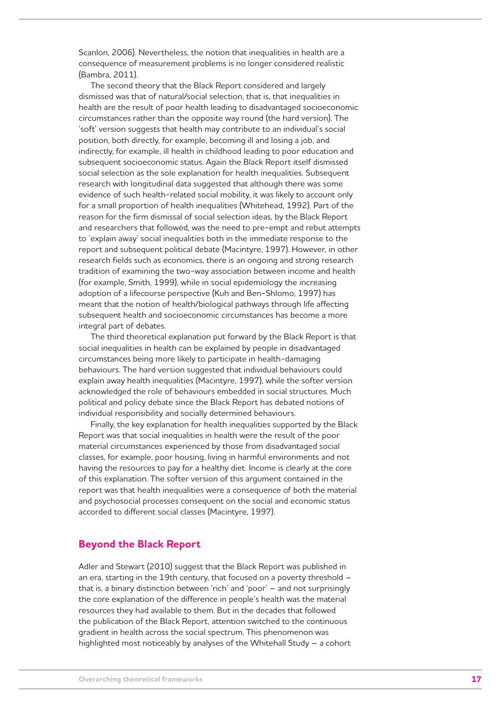Scanlon, 2006). Nevertheless, the notion that inequalities in health are a consequence of measurement problems is no longer considered realistic (Bambra, 2011).

The second theory that the Black Report considered and largely dismissed was that of natural/social selection, that is, that inequalities in health are the result of poor health leading to disadvantaged socioeconomic circumstances rather than the opposite way round (the hard version). The 'soft' version suggests that health may contribute to an individual's social position, both directly, for example, becoming ill and losing a job, and indirectly, for example, ill health in childhood leading to poor education and subsequent socioeconomic status. Again the Black Report itself dismissed social selection as the sole explanation for health inequalities. Subsequent research with longitudinal data suggested that although there was some evidence of such health-related social mobility, it was likely to account only for a small proportion of health inequalities (Whitehead, 1992). Part of the reason for the firm dismissal of social selection ideas, by the Black Report and researchers that followed, was the need to pre-empt and rebut attempts to 'explain away' social inequalities both in the immediate response to the report and subsequent political debate (Macintyre, 1997). However, in other research fields such as economics, there is an ongoing and strong research tradition of examining the two-way association between income and health (for example, Smith, 1999), while in social epidemiology the increasing adoption of a lifecourse perspective (Kuh and Ben-Shlomo, 1997) has meant that the notion of health/biological pathways through life affecting subsequent health and socioeconomic circumstances has become a more integral part of debates.

The third theoretical explanation put forward by the Black Report is that social inequalities in health can be explained by people in disadvantaged circumstances being more likely to participate in health-damaging behaviours. The hard version suggested that individual behaviours could explain away health inequalities (Macintyre, 1997), while the softer version acknowledged the role of behaviours embedded in social structures. Much political and policy debate since the Black Report has debated notions of individual responsibility and socially determined behaviours.

Finally, the key explanation for health inequalities supported by the Black Report was that social inequalities in health were the result of the poor material circumstances experienced by those from disadvantaged social classes, for example, poor housing, living in harmful environments and not having the resources to pay for a healthy diet. Income is clearly at the core of this explanation. The softer version of this argument contained in the report was that health inequalities were a consequence of both the material and psychosocial processes consequent on the social and economic status accorded to different social classes (Macintyre, 1997).

### **Beyond the Black Report**

Adler and Stewart (2010) suggest that the Black Report was published in an era, starting in the 19th century, that focused on a poverty threshold – that is, a binary distinction between 'rich' and 'poor' – and not surprisingly the core explanation of the difference in people's health was the material resources they had available to them. But in the decades that followed the publication of the Black Report, attention switched to the continuous gradient in health across the social spectrum. This phenomenon was highlighted most noticeably by analyses of the Whitehall Study – a cohort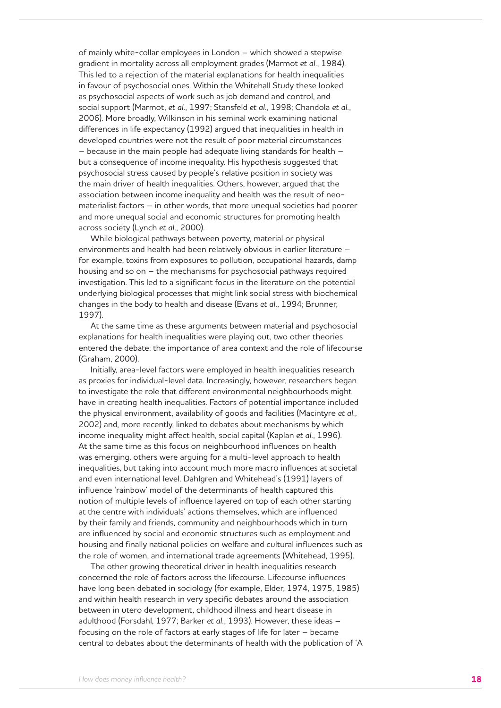of mainly white-collar employees in London – which showed a stepwise gradient in mortality across all employment grades (Marmot *et al.*, 1984). This led to a rejection of the material explanations for health inequalities in favour of psychosocial ones. Within the Whitehall Study these looked as psychosocial aspects of work such as job demand and control, and social support (Marmot, *et al.*, 1997; Stansfeld *et al.*, 1998; Chandola *et al.*, 2006). More broadly, Wilkinson in his seminal work examining national differences in life expectancy (1992) argued that inequalities in health in developed countries were not the result of poor material circumstances – because in the main people had adequate living standards for health – but a consequence of income inequality. His hypothesis suggested that psychosocial stress caused by people's relative position in society was the main driver of health inequalities. Others, however, argued that the association between income inequality and health was the result of neomaterialist factors – in other words, that more unequal societies had poorer and more unequal social and economic structures for promoting health across society (Lynch *et al.*, 2000).

While biological pathways between poverty, material or physical environments and health had been relatively obvious in earlier literature – for example, toxins from exposures to pollution, occupational hazards, damp housing and so on – the mechanisms for psychosocial pathways required investigation. This led to a significant focus in the literature on the potential underlying biological processes that might link social stress with biochemical changes in the body to health and disease (Evans *et al.*, 1994; Brunner, 1997).

At the same time as these arguments between material and psychosocial explanations for health inequalities were playing out, two other theories entered the debate: the importance of area context and the role of lifecourse (Graham, 2000).

Initially, area-level factors were employed in health inequalities research as proxies for individual-level data. Increasingly, however, researchers began to investigate the role that different environmental neighbourhoods might have in creating health inequalities. Factors of potential importance included the physical environment, availability of goods and facilities (Macintyre *et al.*, 2002) and, more recently, linked to debates about mechanisms by which income inequality might affect health, social capital (Kaplan *et al.*, 1996). At the same time as this focus on neighbourhood influences on health was emerging, others were arguing for a multi-level approach to health inequalities, but taking into account much more macro influences at societal and even international level. Dahlgren and Whitehead's (1991) layers of influence 'rainbow' model of the determinants of health captured this notion of multiple levels of influence layered on top of each other starting at the centre with individuals' actions themselves, which are influenced by their family and friends, community and neighbourhoods which in turn are influenced by social and economic structures such as employment and housing and finally national policies on welfare and cultural influences such as the role of women, and international trade agreements (Whitehead, 1995).

The other growing theoretical driver in health inequalities research concerned the role of factors across the lifecourse. Lifecourse influences have long been debated in sociology (for example, Elder, 1974, 1975, 1985) and within health research in very specific debates around the association between in utero development, childhood illness and heart disease in adulthood (Forsdahl, 1977; Barker *et al.*, 1993). However, these ideas – focusing on the role of factors at early stages of life for later – became central to debates about the determinants of health with the publication of 'A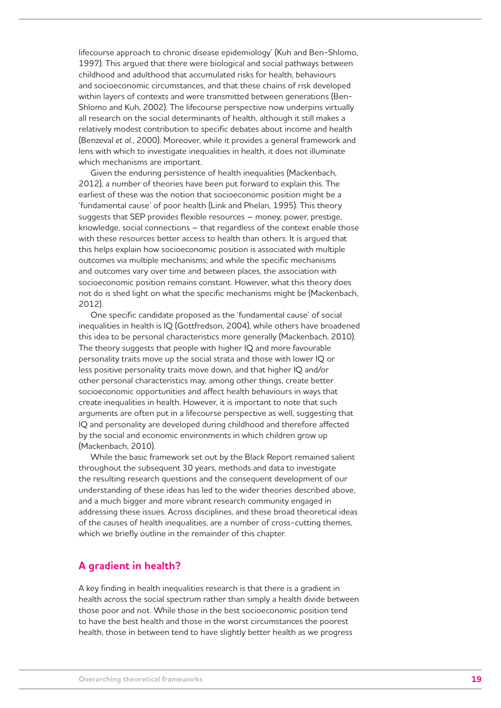lifecourse approach to chronic disease epidemiology' (Kuh and Ben-Shlomo, 1997). This argued that there were biological and social pathways between childhood and adulthood that accumulated risks for health, behaviours and socioeconomic circumstances, and that these chains of risk developed within layers of contexts and were transmitted between generations (Ben-Shlomo and Kuh, 2002). The lifecourse perspective now underpins virtually all research on the social determinants of health, although it still makes a relatively modest contribution to specific debates about income and health (Benzeval *et al.*, 2000). Moreover, while it provides a general framework and lens with which to investigate inequalities in health, it does not illuminate which mechanisms are important.

Given the enduring persistence of health inequalities (Mackenbach, 2012), a number of theories have been put forward to explain this. The earliest of these was the notion that socioeconomic position might be a 'fundamental cause' of poor health (Link and Phelan, 1995). This theory suggests that SEP provides flexible resources – money, power, prestige, knowledge, social connections – that regardless of the context enable those with these resources better access to health than others. It is argued that this helps explain how socioeconomic position is associated with multiple outcomes via multiple mechanisms; and while the specific mechanisms and outcomes vary over time and between places, the association with socioeconomic position remains constant. However, what this theory does not do is shed light on what the specific mechanisms might be (Mackenbach, 2012).

One specific candidate proposed as the 'fundamental cause' of social inequalities in health is IQ (Gottfredson, 2004), while others have broadened this idea to be personal characteristics more generally (Mackenbach, 2010). The theory suggests that people with higher IQ and more favourable personality traits move up the social strata and those with lower IQ or less positive personality traits move down, and that higher IQ and/or other personal characteristics may, among other things, create better socioeconomic opportunities and affect health behaviours in ways that create inequalities in health. However, it is important to note that such arguments are often put in a lifecourse perspective as well, suggesting that IQ and personality are developed during childhood and therefore affected by the social and economic environments in which children grow up (Mackenbach, 2010).

While the basic framework set out by the Black Report remained salient throughout the subsequent 30 years, methods and data to investigate the resulting research questions and the consequent development of our understanding of these ideas has led to the wider theories described above, and a much bigger and more vibrant research community engaged in addressing these issues. Across disciplines, and these broad theoretical ideas of the causes of health inequalities, are a number of cross-cutting themes, which we briefly outline in the remainder of this chapter.

### **A gradient in health?**

A key finding in health inequalities research is that there is a gradient in health across the social spectrum rather than simply a health divide between those poor and not. While those in the best socioeconomic position tend to have the best health and those in the worst circumstances the poorest health, those in between tend to have slightly better health as we progress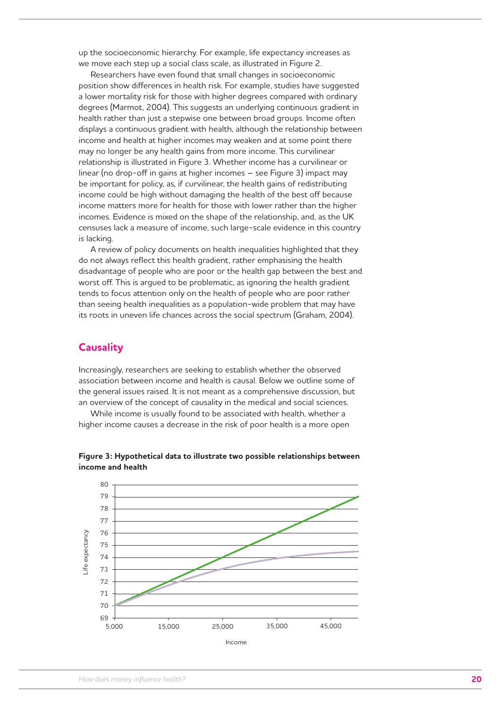up the socioeconomic hierarchy. For example, life expectancy increases as we move each step up a social class scale, as illustrated in Figure 2.

Researchers have even found that small changes in socioeconomic position show differences in health risk. For example, studies have suggested a lower mortality risk for those with higher degrees compared with ordinary degrees (Marmot, 2004). This suggests an underlying continuous gradient in health rather than just a stepwise one between broad groups. Income often displays a continuous gradient with health, although the relationship between income and health at higher incomes may weaken and at some point there may no longer be any health gains from more income. This curvilinear relationship is illustrated in Figure 3. Whether income has a curvilinear or linear (no drop-off in gains at higher incomes – see Figure 3) impact may be important for policy, as, if curvilinear, the health gains of redistributing income could be high without damaging the health of the best off because income matters more for health for those with lower rather than the higher incomes. Evidence is mixed on the shape of the relationship, and, as the UK censuses lack a measure of income, such large-scale evidence in this country is lacking.

A review of policy documents on health inequalities highlighted that they do not always reflect this health gradient, rather emphasising the health disadvantage of people who are poor or the health gap between the best and worst off. This is argued to be problematic, as ignoring the health gradient tends to focus attention only on the health of people who are poor rather than seeing health inequalities as a population-wide problem that may have its roots in uneven life chances across the social spectrum (Graham, 2004).

### **Causality**

Increasingly, researchers are seeking to establish whether the observed association between income and health is causal. Below we outline some of the general issues raised. It is not meant as a comprehensive discussion, but an overview of the concept of causality in the medical and social sciences.

While income is usually found to be associated with health, whether a higher income causes a decrease in the risk of poor health is a more open



**Figure 3: Hypothetical data to illustrate two possible relationships between income and health**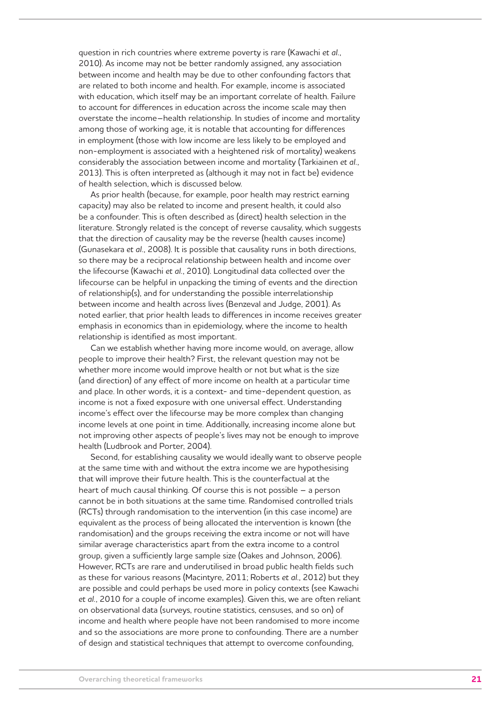question in rich countries where extreme poverty is rare (Kawachi *et al.*, 2010). As income may not be better randomly assigned, any association between income and health may be due to other confounding factors that are related to both income and health. For example, income is associated with education, which itself may be an important correlate of health. Failure to account for differences in education across the income scale may then overstate the income–health relationship. In studies of income and mortality among those of working age, it is notable that accounting for differences in employment (those with low income are less likely to be employed and non-employment is associated with a heightened risk of mortality) weakens considerably the association between income and mortality (Tarkiainen *et al.*, 2013). This is often interpreted as (although it may not in fact be) evidence of health selection, which is discussed below.

As prior health (because, for example, poor health may restrict earning capacity) may also be related to income and present health, it could also be a confounder. This is often described as (direct) health selection in the literature. Strongly related is the concept of reverse causality, which suggests that the direction of causality may be the reverse (health causes income) (Gunasekara *et al.*, 2008). It is possible that causality runs in both directions, so there may be a reciprocal relationship between health and income over the lifecourse (Kawachi *et al.*, 2010). Longitudinal data collected over the lifecourse can be helpful in unpacking the timing of events and the direction of relationship(s), and for understanding the possible interrelationship between income and health across lives (Benzeval and Judge, 2001). As noted earlier, that prior health leads to differences in income receives greater emphasis in economics than in epidemiology, where the income to health relationship is identified as most important.

Can we establish whether having more income would, on average, allow people to improve their health? First, the relevant question may not be whether more income would improve health or not but what is the size (and direction) of any effect of more income on health at a particular time and place. In other words, it is a context- and time-dependent question, as income is not a fixed exposure with one universal effect. Understanding income's effect over the lifecourse may be more complex than changing income levels at one point in time. Additionally, increasing income alone but not improving other aspects of people's lives may not be enough to improve health (Ludbrook and Porter, 2004).

Second, for establishing causality we would ideally want to observe people at the same time with and without the extra income we are hypothesising that will improve their future health. This is the counterfactual at the heart of much causal thinking. Of course this is not possible – a person cannot be in both situations at the same time. Randomised controlled trials (RCTs) through randomisation to the intervention (in this case income) are equivalent as the process of being allocated the intervention is known (the randomisation) and the groups receiving the extra income or not will have similar average characteristics apart from the extra income to a control group, given a sufficiently large sample size (Oakes and Johnson, 2006). However, RCTs are rare and underutilised in broad public health fields such as these for various reasons (Macintyre, 2011; Roberts *et al.*, 2012) but they are possible and could perhaps be used more in policy contexts (see Kawachi *et al.*, 2010 for a couple of income examples). Given this, we are often reliant on observational data (surveys, routine statistics, censuses, and so on) of income and health where people have not been randomised to more income and so the associations are more prone to confounding. There are a number of design and statistical techniques that attempt to overcome confounding,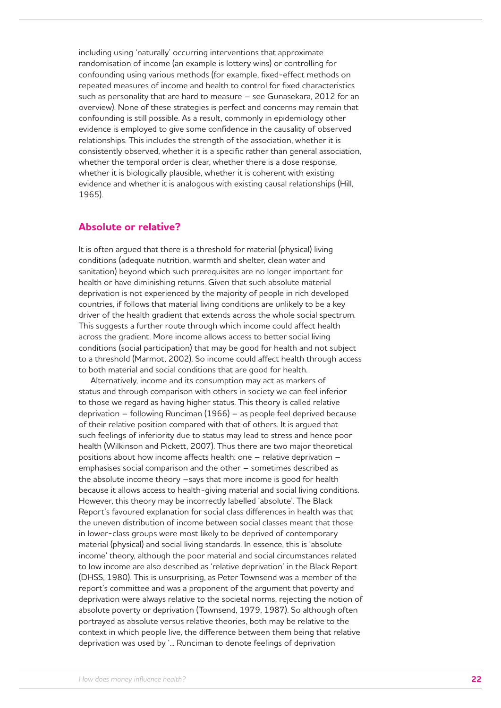including using 'naturally' occurring interventions that approximate randomisation of income (an example is lottery wins) or controlling for confounding using various methods (for example, fixed-effect methods on repeated measures of income and health to control for fixed characteristics such as personality that are hard to measure – see Gunasekara, 2012 for an overview). None of these strategies is perfect and concerns may remain that confounding is still possible. As a result, commonly in epidemiology other evidence is employed to give some confidence in the causality of observed relationships. This includes the strength of the association, whether it is consistently observed, whether it is a specific rather than general association, whether the temporal order is clear, whether there is a dose response, whether it is biologically plausible, whether it is coherent with existing evidence and whether it is analogous with existing causal relationships (Hill, 1965).

#### **Absolute or relative?**

It is often argued that there is a threshold for material (physical) living conditions (adequate nutrition, warmth and shelter, clean water and sanitation) beyond which such prerequisites are no longer important for health or have diminishing returns. Given that such absolute material deprivation is not experienced by the majority of people in rich developed countries, if follows that material living conditions are unlikely to be a key driver of the health gradient that extends across the whole social spectrum. This suggests a further route through which income could affect health across the gradient. More income allows access to better social living conditions (social participation) that may be good for health and not subject to a threshold (Marmot, 2002). So income could affect health through access to both material and social conditions that are good for health.

Alternatively, income and its consumption may act as markers of status and through comparison with others in society we can feel inferior to those we regard as having higher status. This theory is called relative deprivation – following Runciman (1966) – as people feel deprived because of their relative position compared with that of others. It is argued that such feelings of inferiority due to status may lead to stress and hence poor health (Wilkinson and Pickett, 2007). Thus there are two major theoretical positions about how income affects health: one – relative deprivation – emphasises social comparison and the other – sometimes described as the absolute income theory –says that more income is good for health because it allows access to health-giving material and social living conditions. However, this theory may be incorrectly labelled 'absolute'. The Black Report's favoured explanation for social class differences in health was that the uneven distribution of income between social classes meant that those in lower-class groups were most likely to be deprived of contemporary material (physical) and social living standards. In essence, this is 'absolute income' theory, although the poor material and social circumstances related to low income are also described as 'relative deprivation' in the Black Report (DHSS, 1980). This is unsurprising, as Peter Townsend was a member of the report's committee and was a proponent of the argument that poverty and deprivation were always relative to the societal norms, rejecting the notion of absolute poverty or deprivation (Townsend, 1979, 1987). So although often portrayed as absolute versus relative theories, both may be relative to the context in which people live, the difference between them being that relative deprivation was used by '... Runciman to denote feelings of deprivation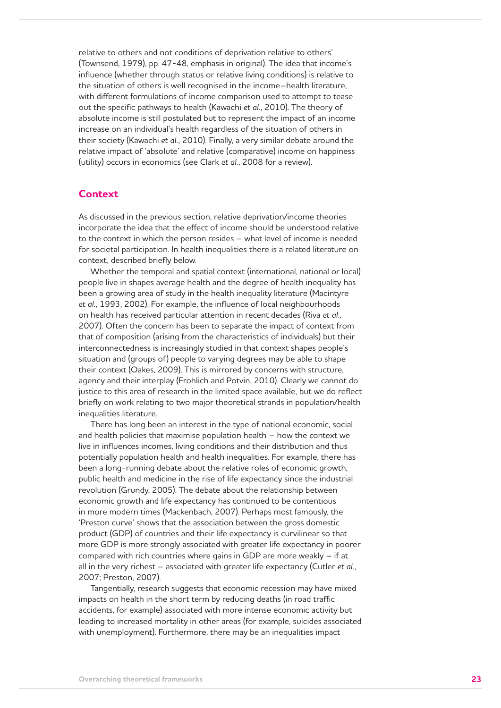relative to others and not conditions of deprivation relative to others' (Townsend, 1979), pp. 47-48, emphasis in original). The idea that income's influence (whether through status or relative living conditions) is relative to the situation of others is well recognised in the income–health literature, with different formulations of income comparison used to attempt to tease out the specific pathways to health (Kawachi *et al.*, 2010). The theory of absolute income is still postulated but to represent the impact of an income increase on an individual's health regardless of the situation of others in their society (Kawachi *et al.*, 2010). Finally, a very similar debate around the relative impact of 'absolute' and relative (comparative) income on happiness (utility) occurs in economics (see Clark *et al.*, 2008 for a review).

### **Context**

As discussed in the previous section, relative deprivation/income theories incorporate the idea that the effect of income should be understood relative to the context in which the person resides – what level of income is needed for societal participation. In health inequalities there is a related literature on context, described briefly below.

Whether the temporal and spatial context (international, national or local) people live in shapes average health and the degree of health inequality has been a growing area of study in the health inequality literature (Macintyre *et al.*, 1993, 2002). For example, the influence of local neighbourhoods on health has received particular attention in recent decades (Riva *et al.*, 2007). Often the concern has been to separate the impact of context from that of composition (arising from the characteristics of individuals) but their interconnectedness is increasingly studied in that context shapes people's situation and (groups of) people to varying degrees may be able to shape their context (Oakes, 2009). This is mirrored by concerns with structure, agency and their interplay (Frohlich and Potvin, 2010). Clearly we cannot do justice to this area of research in the limited space available, but we do reflect briefly on work relating to two major theoretical strands in population/health inequalities literature.

There has long been an interest in the type of national economic, social and health policies that maximise population health – how the context we live in influences incomes, living conditions and their distribution and thus potentially population health and health inequalities. For example, there has been a long-running debate about the relative roles of economic growth, public health and medicine in the rise of life expectancy since the industrial revolution (Grundy, 2005). The debate about the relationship between economic growth and life expectancy has continued to be contentious in more modern times (Mackenbach, 2007). Perhaps most famously, the 'Preston curve' shows that the association between the gross domestic product (GDP) of countries and their life expectancy is curvilinear so that more GDP is more strongly associated with greater life expectancy in poorer compared with rich countries where gains in GDP are more weakly – if at all in the very richest – associated with greater life expectancy (Cutler *et al.*, 2007; Preston, 2007).

Tangentially, research suggests that economic recession may have mixed impacts on health in the short term by reducing deaths (in road traffic accidents, for example) associated with more intense economic activity but leading to increased mortality in other areas (for example, suicides associated with unemployment). Furthermore, there may be an inequalities impact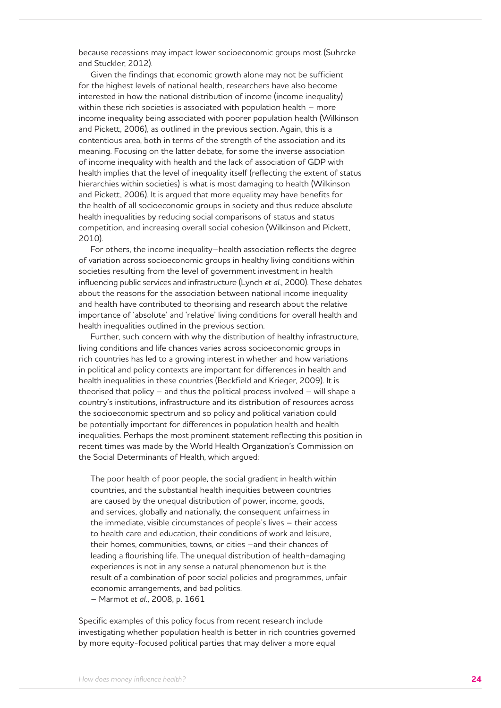because recessions may impact lower socioeconomic groups most (Suhrcke and Stuckler, 2012).

Given the findings that economic growth alone may not be sufficient for the highest levels of national health, researchers have also become interested in how the national distribution of income (income inequality) within these rich societies is associated with population health – more income inequality being associated with poorer population health (Wilkinson and Pickett, 2006), as outlined in the previous section. Again, this is a contentious area, both in terms of the strength of the association and its meaning. Focusing on the latter debate, for some the inverse association of income inequality with health and the lack of association of GDP with health implies that the level of inequality itself (reflecting the extent of status hierarchies within societies) is what is most damaging to health (Wilkinson and Pickett, 2006). It is argued that more equality may have benefits for the health of all socioeconomic groups in society and thus reduce absolute health inequalities by reducing social comparisons of status and status competition, and increasing overall social cohesion (Wilkinson and Pickett, 2010).

For others, the income inequality–health association reflects the degree of variation across socioeconomic groups in healthy living conditions within societies resulting from the level of government investment in health influencing public services and infrastructure (Lynch *et al.*, 2000). These debates about the reasons for the association between national income inequality and health have contributed to theorising and research about the relative importance of 'absolute' and 'relative' living conditions for overall health and health inequalities outlined in the previous section.

Further, such concern with why the distribution of healthy infrastructure, living conditions and life chances varies across socioeconomic groups in rich countries has led to a growing interest in whether and how variations in political and policy contexts are important for differences in health and health inequalities in these countries (Beckfield and Krieger, 2009). It is theorised that policy – and thus the political process involved – will shape a country's institutions, infrastructure and its distribution of resources across the socioeconomic spectrum and so policy and political variation could be potentially important for differences in population health and health inequalities. Perhaps the most prominent statement reflecting this position in recent times was made by the World Health Organization's Commission on the Social Determinants of Health, which argued:

The poor health of poor people, the social gradient in health within countries, and the substantial health inequities between countries are caused by the unequal distribution of power, income, goods, and services, globally and nationally, the consequent unfairness in the immediate, visible circumstances of people's lives – their access to health care and education, their conditions of work and leisure, their homes, communities, towns, or cities –and their chances of leading a flourishing life. The unequal distribution of health-damaging experiences is not in any sense a natural phenomenon but is the result of a combination of poor social policies and programmes, unfair economic arrangements, and bad politics. – Marmot *et al.*, 2008, p. 1661

Specific examples of this policy focus from recent research include investigating whether population health is better in rich countries governed by more equity-focused political parties that may deliver a more equal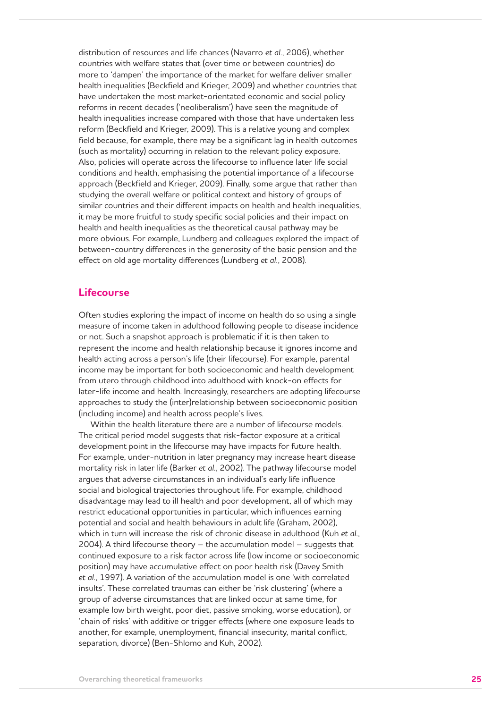distribution of resources and life chances (Navarro *et al.*, 2006), whether countries with welfare states that (over time or between countries) do more to 'dampen' the importance of the market for welfare deliver smaller health inequalities (Beckfield and Krieger, 2009) and whether countries that have undertaken the most market-orientated economic and social policy reforms in recent decades ('neoliberalism') have seen the magnitude of health inequalities increase compared with those that have undertaken less reform (Beckfield and Krieger, 2009). This is a relative young and complex field because, for example, there may be a significant lag in health outcomes (such as mortality) occurring in relation to the relevant policy exposure. Also, policies will operate across the lifecourse to influence later life social conditions and health, emphasising the potential importance of a lifecourse approach (Beckfield and Krieger, 2009). Finally, some argue that rather than studying the overall welfare or political context and history of groups of similar countries and their different impacts on health and health inequalities, it may be more fruitful to study specific social policies and their impact on health and health inequalities as the theoretical causal pathway may be more obvious. For example, Lundberg and colleagues explored the impact of between-country differences in the generosity of the basic pension and the effect on old age mortality differences (Lundberg *et al.*, 2008).

### **Lifecourse**

Often studies exploring the impact of income on health do so using a single measure of income taken in adulthood following people to disease incidence or not. Such a snapshot approach is problematic if it is then taken to represent the income and health relationship because it ignores income and health acting across a person's life (their lifecourse). For example, parental income may be important for both socioeconomic and health development from utero through childhood into adulthood with knock-on effects for later-life income and health. Increasingly, researchers are adopting lifecourse approaches to study the (inter)relationship between socioeconomic position (including income) and health across people's lives.

Within the health literature there are a number of lifecourse models. The critical period model suggests that risk-factor exposure at a critical development point in the lifecourse may have impacts for future health. For example, under-nutrition in later pregnancy may increase heart disease mortality risk in later life (Barker *et al.*, 2002). The pathway lifecourse model argues that adverse circumstances in an individual's early life influence social and biological trajectories throughout life. For example, childhood disadvantage may lead to ill health and poor development, all of which may restrict educational opportunities in particular, which influences earning potential and social and health behaviours in adult life (Graham, 2002), which in turn will increase the risk of chronic disease in adulthood (Kuh *et al.*, 2004). A third lifecourse theory – the accumulation model – suggests that continued exposure to a risk factor across life (low income or socioeconomic position) may have accumulative effect on poor health risk (Davey Smith *et al.*, 1997). A variation of the accumulation model is one 'with correlated insults'. These correlated traumas can either be 'risk clustering' (where a group of adverse circumstances that are linked occur at same time, for example low birth weight, poor diet, passive smoking, worse education), or 'chain of risks' with additive or trigger effects (where one exposure leads to another, for example, unemployment, financial insecurity, marital conflict, separation, divorce) (Ben-Shlomo and Kuh, 2002).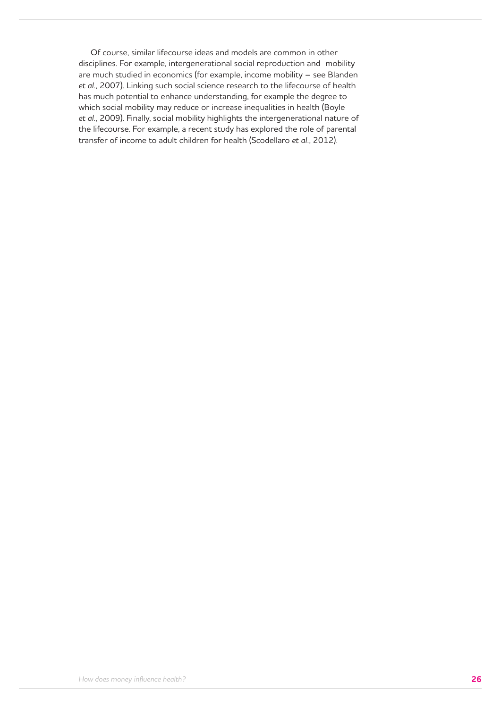Of course, similar lifecourse ideas and models are common in other disciplines. For example, intergenerational social reproduction and mobility are much studied in economics (for example, income mobility – see Blanden *et al.*, 2007). Linking such social science research to the lifecourse of health has much potential to enhance understanding, for example the degree to which social mobility may reduce or increase inequalities in health (Boyle *et al.*, 2009). Finally, social mobility highlights the intergenerational nature of the lifecourse. For example, a recent study has explored the role of parental transfer of income to adult children for health (Scodellaro *et al.*, 2012).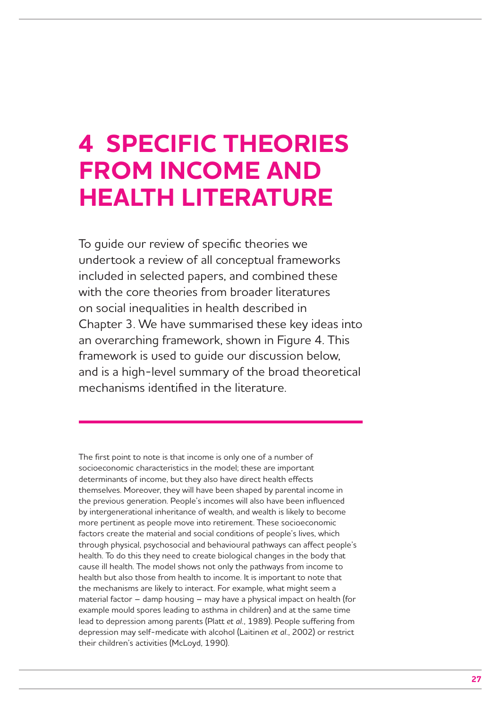## **4 SPECIFIC THEORIES FROM INCOME AND HEALTH LITERATURE**

To guide our review of specific theories we undertook a review of all conceptual frameworks included in selected papers, and combined these with the core theories from broader literatures on social inequalities in health described in Chapter 3. We have summarised these key ideas into an overarching framework, shown in Figure 4. This framework is used to guide our discussion below, and is a high-level summary of the broad theoretical mechanisms identified in the literature.

The first point to note is that income is only one of a number of socioeconomic characteristics in the model; these are important determinants of income, but they also have direct health effects themselves. Moreover, they will have been shaped by parental income in the previous generation. People's incomes will also have been influenced by intergenerational inheritance of wealth, and wealth is likely to become more pertinent as people move into retirement. These socioeconomic factors create the material and social conditions of people's lives, which through physical, psychosocial and behavioural pathways can affect people's health. To do this they need to create biological changes in the body that cause ill health. The model shows not only the pathways from income to health but also those from health to income. It is important to note that the mechanisms are likely to interact. For example, what might seem a material factor – damp housing – may have a physical impact on health (for example mould spores leading to asthma in children) and at the same time lead to depression among parents (Platt *et al.*, 1989). People suffering from depression may self-medicate with alcohol (Laitinen *et al.*, 2002) or restrict their children's activities (McLoyd, 1990).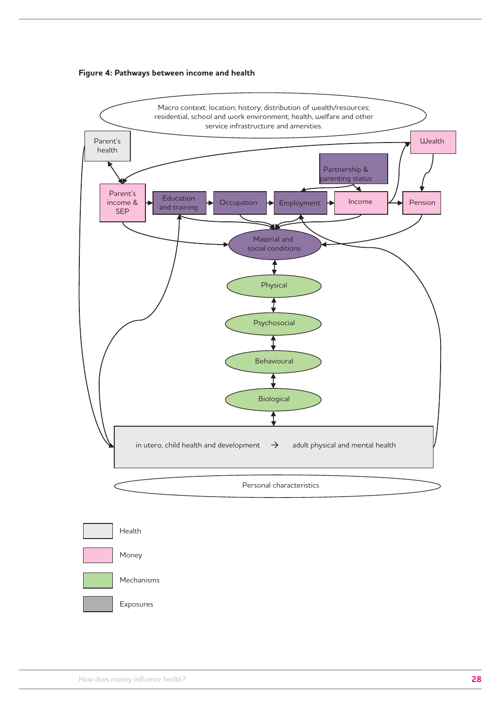



Exposures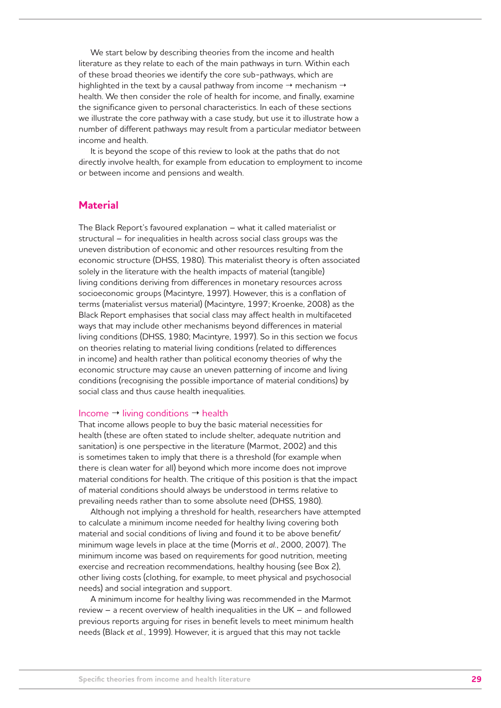We start below by describing theories from the income and health literature as they relate to each of the main pathways in turn. Within each of these broad theories we identify the core sub-pathways, which are highlighted in the text by a causal pathway from income  $\rightarrow$  mechanism  $\rightarrow$ health. We then consider the role of health for income, and finally, examine the significance given to personal characteristics. In each of these sections we illustrate the core pathway with a case study, but use it to illustrate how a number of different pathways may result from a particular mediator between income and health.

It is beyond the scope of this review to look at the paths that do not directly involve health, for example from education to employment to income or between income and pensions and wealth.

### **Material**

The Black Report's favoured explanation – what it called materialist or structural – for inequalities in health across social class groups was the uneven distribution of economic and other resources resulting from the economic structure (DHSS, 1980). This materialist theory is often associated solely in the literature with the health impacts of material (tangible) living conditions deriving from differences in monetary resources across socioeconomic groups (Macintyre, 1997). However, this is a conflation of terms (materialist versus material) (Macintyre, 1997; Kroenke, 2008) as the Black Report emphasises that social class may affect health in multifaceted ways that may include other mechanisms beyond differences in material living conditions (DHSS, 1980; Macintyre, 1997). So in this section we focus on theories relating to material living conditions (related to differences in income) and health rather than political economy theories of why the economic structure may cause an uneven patterning of income and living conditions (recognising the possible importance of material conditions) by social class and thus cause health inequalities.

#### Income  $\rightarrow$  living conditions  $\rightarrow$  health

That income allows people to buy the basic material necessities for health (these are often stated to include shelter, adequate nutrition and sanitation) is one perspective in the literature (Marmot, 2002) and this is sometimes taken to imply that there is a threshold (for example when there is clean water for all) beyond which more income does not improve material conditions for health. The critique of this position is that the impact of material conditions should always be understood in terms relative to prevailing needs rather than to some absolute need (DHSS, 1980).

Although not implying a threshold for health, researchers have attempted to calculate a minimum income needed for healthy living covering both material and social conditions of living and found it to be above benefit/ minimum wage levels in place at the time (Morris *et al.*, 2000, 2007). The minimum income was based on requirements for good nutrition, meeting exercise and recreation recommendations, healthy housing (see Box 2), other living costs (clothing, for example, to meet physical and psychosocial needs) and social integration and support.

A minimum income for healthy living was recommended in the Marmot review – a recent overview of health inequalities in the UK – and followed previous reports arguing for rises in benefit levels to meet minimum health needs (Black *et al.*, 1999). However, it is argued that this may not tackle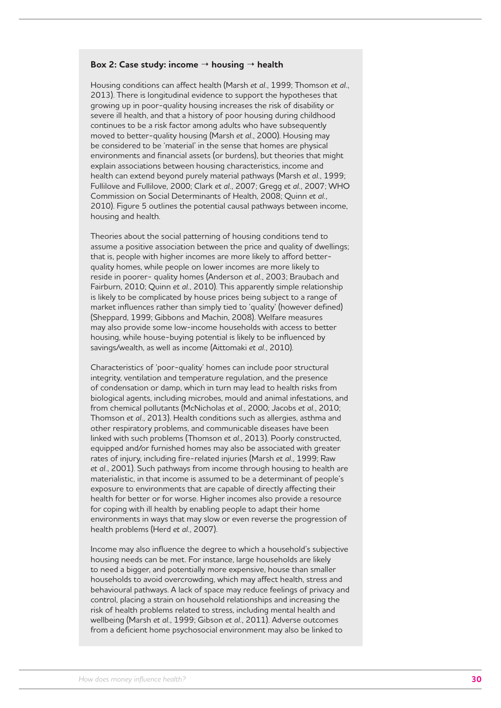#### **Box 2: Case study: income housing health**

Housing conditions can affect health (Marsh *et al.*, 1999; Thomson *et al.*, 2013). There is longitudinal evidence to support the hypotheses that growing up in poor-quality housing increases the risk of disability or severe ill health, and that a history of poor housing during childhood continues to be a risk factor among adults who have subsequently moved to better-quality housing (Marsh *et al.*, 2000). Housing may be considered to be 'material' in the sense that homes are physical environments and financial assets (or burdens), but theories that might explain associations between housing characteristics, income and health can extend beyond purely material pathways (Marsh *et al.*, 1999; Fullilove and Fullilove, 2000; Clark *et al.*, 2007; Gregg *et al.*, 2007; WHO Commission on Social Determinants of Health, 2008; Quinn *et al.*, 2010). Figure 5 outlines the potential causal pathways between income, housing and health.

Theories about the social patterning of housing conditions tend to assume a positive association between the price and quality of dwellings; that is, people with higher incomes are more likely to afford betterquality homes, while people on lower incomes are more likely to reside in poorer- quality homes (Anderson *et al.*, 2003; Braubach and Fairburn, 2010; Quinn *et al.*, 2010). This apparently simple relationship is likely to be complicated by house prices being subject to a range of market influences rather than simply tied to 'quality' (however defined) (Sheppard, 1999; Gibbons and Machin, 2008). Welfare measures may also provide some low-income households with access to better housing, while house-buying potential is likely to be influenced by savings/wealth, as well as income (Aittomaki *et al.*, 2010).

Characteristics of 'poor-quality' homes can include poor structural integrity, ventilation and temperature regulation, and the presence of condensation or damp, which in turn may lead to health risks from biological agents, including microbes, mould and animal infestations, and from chemical pollutants (McNicholas *et al.*, 2000; Jacobs *et al.*, 2010; Thomson *et al.*, 2013). Health conditions such as allergies, asthma and other respiratory problems, and communicable diseases have been linked with such problems (Thomson *et al.*, 2013). Poorly constructed, equipped and/or furnished homes may also be associated with greater rates of injury, including fire-related injuries (Marsh *et al.*, 1999; Raw *et al.*, 2001). Such pathways from income through housing to health are materialistic, in that income is assumed to be a determinant of people's exposure to environments that are capable of directly affecting their health for better or for worse. Higher incomes also provide a resource for coping with ill health by enabling people to adapt their home environments in ways that may slow or even reverse the progression of health problems (Herd *et al.*, 2007).

Income may also influence the degree to which a household's subjective housing needs can be met. For instance, large households are likely to need a bigger, and potentially more expensive, house than smaller households to avoid overcrowding, which may affect health, stress and behavioural pathways. A lack of space may reduce feelings of privacy and control, placing a strain on household relationships and increasing the risk of health problems related to stress, including mental health and wellbeing (Marsh *et al.*, 1999; Gibson *et al.*, 2011). Adverse outcomes from a deficient home psychosocial environment may also be linked to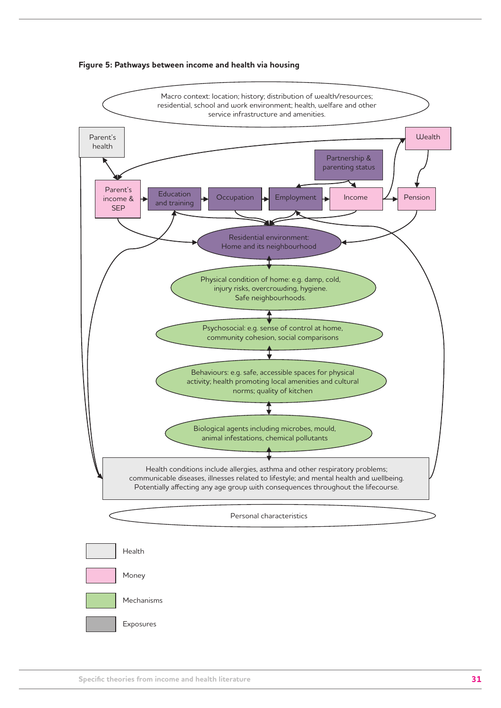

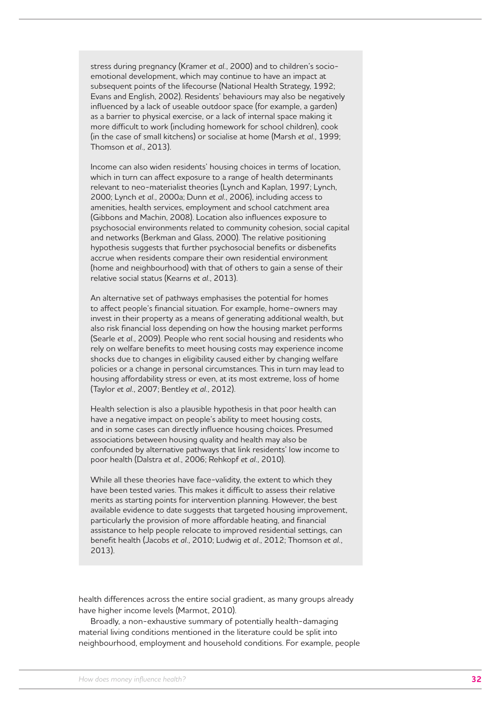stress during pregnancy (Kramer *et al.*, 2000) and to children's socioemotional development, which may continue to have an impact at subsequent points of the lifecourse (National Health Strategy, 1992; Evans and English, 2002). Residents' behaviours may also be negatively influenced by a lack of useable outdoor space (for example, a garden) as a barrier to physical exercise, or a lack of internal space making it more difficult to work (including homework for school children), cook (in the case of small kitchens) or socialise at home (Marsh *et al.*, 1999; Thomson *et al.*, 2013).

Income can also widen residents' housing choices in terms of location, which in turn can affect exposure to a range of health determinants relevant to neo-materialist theories (Lynch and Kaplan, 1997; Lynch, 2000; Lynch *et al.*, 2000a; Dunn *et al.*, 2006), including access to amenities, health services, employment and school catchment area (Gibbons and Machin, 2008). Location also influences exposure to psychosocial environments related to community cohesion, social capital and networks (Berkman and Glass, 2000). The relative positioning hypothesis suggests that further psychosocial benefits or disbenefits accrue when residents compare their own residential environment (home and neighbourhood) with that of others to gain a sense of their relative social status (Kearns *et al.*, 2013).

An alternative set of pathways emphasises the potential for homes to affect people's financial situation. For example, home-owners may invest in their property as a means of generating additional wealth, but also risk financial loss depending on how the housing market performs (Searle *et al.*, 2009). People who rent social housing and residents who rely on welfare benefits to meet housing costs may experience income shocks due to changes in eligibility caused either by changing welfare policies or a change in personal circumstances. This in turn may lead to housing affordability stress or even, at its most extreme, loss of home (Taylor *et al.*, 2007; Bentley *et al.*, 2012).

Health selection is also a plausible hypothesis in that poor health can have a negative impact on people's ability to meet housing costs, and in some cases can directly influence housing choices. Presumed associations between housing quality and health may also be confounded by alternative pathways that link residents' low income to poor health (Dalstra *et al.*, 2006; Rehkopf *et al.*, 2010).

While all these theories have face-validity, the extent to which they have been tested varies. This makes it difficult to assess their relative merits as starting points for intervention planning. However, the best available evidence to date suggests that targeted housing improvement, particularly the provision of more affordable heating, and financial assistance to help people relocate to improved residential settings, can benefit health (Jacobs *et al.*, 2010; Ludwig *et al.*, 2012; Thomson *et al.*, 2013).

health differences across the entire social gradient, as many groups already have higher income levels (Marmot, 2010).

Broadly, a non-exhaustive summary of potentially health-damaging material living conditions mentioned in the literature could be split into neighbourhood, employment and household conditions. For example, people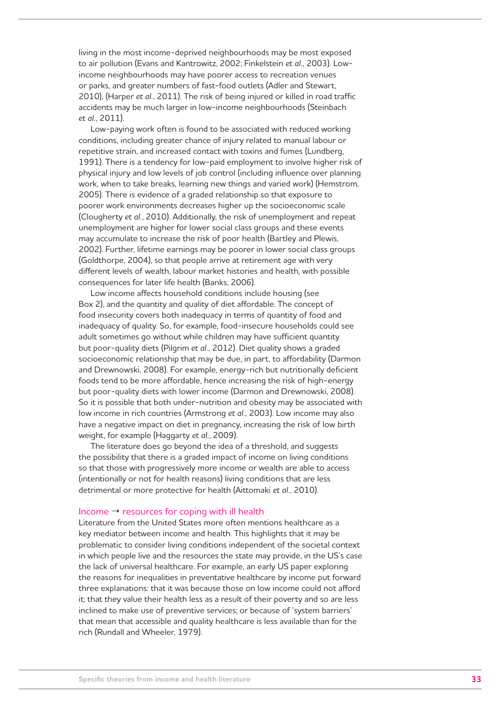living in the most income-deprived neighbourhoods may be most exposed to air pollution (Evans and Kantrowitz, 2002; Finkelstein *et al.*, 2003). Lowincome neighbourhoods may have poorer access to recreation venues or parks, and greater numbers of fast-food outlets (Adler and Stewart, 2010), (Harper *et al.*, 2011). The risk of being injured or killed in road traffic accidents may be much larger in low-income neighbourhoods (Steinbach *et al.*, 2011).

Low-paying work often is found to be associated with reduced working conditions, including greater chance of injury related to manual labour or repetitive strain, and increased contact with toxins and fumes (Lundberg, 1991). There is a tendency for low-paid employment to involve higher risk of physical injury and low levels of job control (including influence over planning work, when to take breaks, learning new things and varied work) (Hemstrom, 2005). There is evidence of a graded relationship so that exposure to poorer work environments decreases higher up the socioeconomic scale (Clougherty *et al.*, 2010). Additionally, the risk of unemployment and repeat unemployment are higher for lower social class groups and these events may accumulate to increase the risk of poor health (Bartley and Plewis, 2002). Further, lifetime earnings may be poorer in lower social class groups (Goldthorpe, 2004), so that people arrive at retirement age with very different levels of wealth, labour market histories and health, with possible consequences for later life health (Banks, 2006).

Low income affects household conditions include housing (see Box 2), and the quantity and quality of diet affordable. The concept of food insecurity covers both inadequacy in terms of quantity of food and inadequacy of quality. So, for example, food-insecure households could see adult sometimes go without while children may have sufficient quantity but poor-quality diets (Pilgrim *et al.*, 2012). Diet quality shows a graded socioeconomic relationship that may be due, in part, to affordability (Darmon and Drewnowski, 2008). For example, energy-rich but nutritionally deficient foods tend to be more affordable, hence increasing the risk of high-energy but poor-quality diets with lower income (Darmon and Drewnowski, 2008). So it is possible that both under-nutrition and obesity may be associated with low income in rich countries (Armstrong *et al.*, 2003). Low income may also have a negative impact on diet in pregnancy, increasing the risk of low birth weight, for example (Haggarty *et al.*, 2009).

The literature does go beyond the idea of a threshold, and suggests the possibility that there is a graded impact of income on living conditions so that those with progressively more income or wealth are able to access (intentionally or not for health reasons) living conditions that are less detrimental or more protective for health (Aittomaki *et al.*, 2010).

#### Income  $\rightarrow$  resources for coping with ill health

Literature from the United States more often mentions healthcare as a key mediator between income and health. This highlights that it may be problematic to consider living conditions independent of the societal context in which people live and the resources the state may provide, in the US's case the lack of universal healthcare. For example, an early US paper exploring the reasons for inequalities in preventative healthcare by income put forward three explanations: that it was because those on low income could not afford it; that they value their health less as a result of their poverty and so are less inclined to make use of preventive services; or because of 'system barriers' that mean that accessible and quality healthcare is less available than for the rich (Rundall and Wheeler, 1979).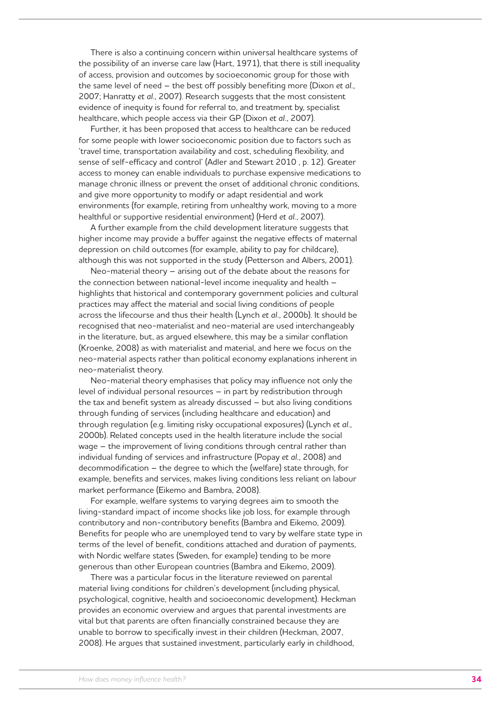There is also a continuing concern within universal healthcare systems of the possibility of an inverse care law (Hart, 1971), that there is still inequality of access, provision and outcomes by socioeconomic group for those with the same level of need – the best off possibly benefiting more (Dixon *et al.*, 2007; Hanratty *et al.*, 2007). Research suggests that the most consistent evidence of inequity is found for referral to, and treatment by, specialist healthcare, which people access via their GP (Dixon *et al.*, 2007).

Further, it has been proposed that access to healthcare can be reduced for some people with lower socioeconomic position due to factors such as 'travel time, transportation availability and cost, scheduling flexibility, and sense of self-efficacy and control' (Adler and Stewart 2010 , p. 12). Greater access to money can enable individuals to purchase expensive medications to manage chronic illness or prevent the onset of additional chronic conditions, and give more opportunity to modify or adapt residential and work environments (for example, retiring from unhealthy work, moving to a more healthful or supportive residential environment) (Herd *et al.*, 2007).

A further example from the child development literature suggests that higher income may provide a buffer against the negative effects of maternal depression on child outcomes (for example, ability to pay for childcare), although this was not supported in the study (Petterson and Albers, 2001).

Neo-material theory – arising out of the debate about the reasons for the connection between national-level income inequality and health – highlights that historical and contemporary government policies and cultural practices may affect the material and social living conditions of people across the lifecourse and thus their health (Lynch *et al.*, 2000b). It should be recognised that neo-materialist and neo-material are used interchangeably in the literature, but, as argued elsewhere, this may be a similar conflation (Kroenke, 2008) as with materialist and material, and here we focus on the neo-material aspects rather than political economy explanations inherent in neo-materialist theory.

Neo-material theory emphasises that policy may influence not only the level of individual personal resources – in part by redistribution through the tax and benefit system as already discussed – but also living conditions through funding of services (including healthcare and education) and through regulation (e.g. limiting risky occupational exposures) (Lynch *et al.*, 2000b). Related concepts used in the health literature include the social wage – the improvement of living conditions through central rather than individual funding of services and infrastructure (Popay *et al.*, 2008) and decommodification – the degree to which the (welfare) state through, for example, benefits and services, makes living conditions less reliant on labour market performance (Eikemo and Bambra, 2008).

For example, welfare systems to varying degrees aim to smooth the living-standard impact of income shocks like job loss, for example through contributory and non-contributory benefits (Bambra and Eikemo, 2009). Benefits for people who are unemployed tend to vary by welfare state type in terms of the level of benefit, conditions attached and duration of payments, with Nordic welfare states (Sweden, for example) tending to be more generous than other European countries (Bambra and Eikemo, 2009).

There was a particular focus in the literature reviewed on parental material living conditions for children's development (including physical, psychological, cognitive, health and socioeconomic development). Heckman provides an economic overview and argues that parental investments are vital but that parents are often financially constrained because they are unable to borrow to specifically invest in their children (Heckman, 2007, 2008). He argues that sustained investment, particularly early in childhood,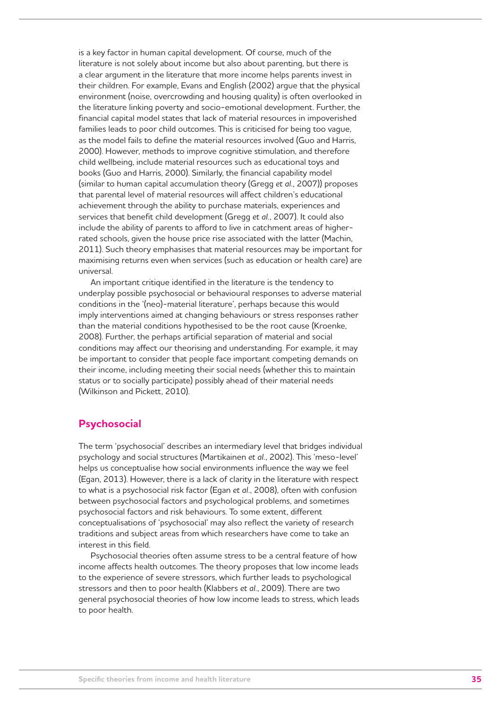is a key factor in human capital development. Of course, much of the literature is not solely about income but also about parenting, but there is a clear argument in the literature that more income helps parents invest in their children. For example, Evans and English (2002) argue that the physical environment (noise, overcrowding and housing quality) is often overlooked in the literature linking poverty and socio-emotional development. Further, the financial capital model states that lack of material resources in impoverished families leads to poor child outcomes. This is criticised for being too vague, as the model fails to define the material resources involved (Guo and Harris, 2000). However, methods to improve cognitive stimulation, and therefore child wellbeing, include material resources such as educational toys and books (Guo and Harris, 2000). Similarly, the financial capability model (similar to human capital accumulation theory (Gregg *et al.*, 2007)) proposes that parental level of material resources will affect children's educational achievement through the ability to purchase materials, experiences and services that benefit child development (Gregg *et al.*, 2007). It could also include the ability of parents to afford to live in catchment areas of higherrated schools, given the house price rise associated with the latter (Machin, 2011). Such theory emphasises that material resources may be important for maximising returns even when services (such as education or health care) are universal.

An important critique identified in the literature is the tendency to underplay possible psychosocial or behavioural responses to adverse material conditions in the '(neo)-material literature', perhaps because this would imply interventions aimed at changing behaviours or stress responses rather than the material conditions hypothesised to be the root cause (Kroenke, 2008). Further, the perhaps artificial separation of material and social conditions may affect our theorising and understanding. For example, it may be important to consider that people face important competing demands on their income, including meeting their social needs (whether this to maintain status or to socially participate) possibly ahead of their material needs (Wilkinson and Pickett, 2010).

## **Psychosocial**

The term 'psychosocial' describes an intermediary level that bridges individual psychology and social structures (Martikainen *et al.*, 2002). This 'meso-level' helps us conceptualise how social environments influence the way we feel (Egan, 2013). However, there is a lack of clarity in the literature with respect to what is a psychosocial risk factor (Egan *et al.*, 2008), often with confusion between psychosocial factors and psychological problems, and sometimes psychosocial factors and risk behaviours. To some extent, different conceptualisations of 'psychosocial' may also reflect the variety of research traditions and subject areas from which researchers have come to take an interest in this field.

Psychosocial theories often assume stress to be a central feature of how income affects health outcomes. The theory proposes that low income leads to the experience of severe stressors, which further leads to psychological stressors and then to poor health (Klabbers *et al.*, 2009). There are two general psychosocial theories of how low income leads to stress, which leads to poor health.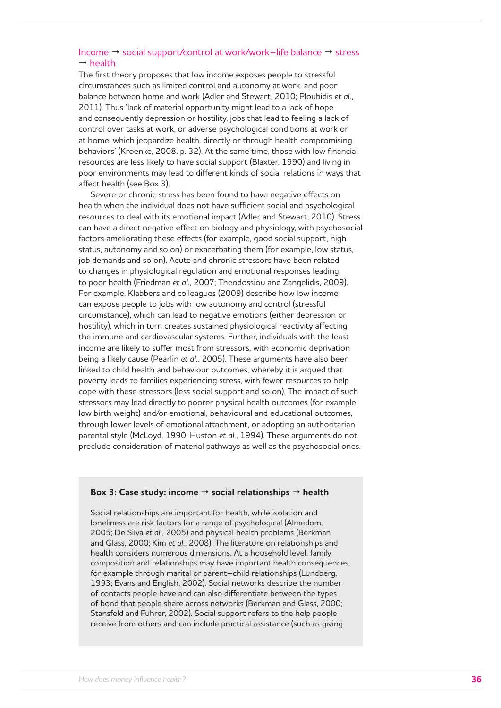#### Income → social support/control at work/work–life balance → stress  $\rightarrow$  health

The first theory proposes that low income exposes people to stressful circumstances such as limited control and autonomy at work, and poor balance between home and work (Adler and Stewart, 2010; Ploubidis *et al.*, 2011). Thus 'lack of material opportunity might lead to a lack of hope and consequently depression or hostility, jobs that lead to feeling a lack of control over tasks at work, or adverse psychological conditions at work or at home, which jeopardize health, directly or through health compromising behaviors' (Kroenke, 2008, p. 32). At the same time, those with low financial resources are less likely to have social support (Blaxter, 1990) and living in poor environments may lead to different kinds of social relations in ways that affect health (see Box 3).

Severe or chronic stress has been found to have negative effects on health when the individual does not have sufficient social and psychological resources to deal with its emotional impact (Adler and Stewart, 2010). Stress can have a direct negative effect on biology and physiology, with psychosocial factors ameliorating these effects (for example, good social support, high status, autonomy and so on) or exacerbating them (for example, low status, job demands and so on). Acute and chronic stressors have been related to changes in physiological regulation and emotional responses leading to poor health (Friedman *et al.*, 2007; Theodossiou and Zangelidis, 2009). For example, Klabbers and colleagues (2009) describe how low income can expose people to jobs with low autonomy and control (stressful circumstance), which can lead to negative emotions (either depression or hostility), which in turn creates sustained physiological reactivity affecting the immune and cardiovascular systems. Further, individuals with the least income are likely to suffer most from stressors, with economic deprivation being a likely cause (Pearlin *et al.*, 2005). These arguments have also been linked to child health and behaviour outcomes, whereby it is argued that poverty leads to families experiencing stress, with fewer resources to help cope with these stressors (less social support and so on). The impact of such stressors may lead directly to poorer physical health outcomes (for example, low birth weight) and/or emotional, behavioural and educational outcomes, through lower levels of emotional attachment, or adopting an authoritarian parental style (McLoyd, 1990; Huston *et al.*, 1994). These arguments do not preclude consideration of material pathways as well as the psychosocial ones.

#### **Box 3: Case study: income social relationships health**

Social relationships are important for health, while isolation and loneliness are risk factors for a range of psychological (Almedom, 2005; De Silva *et al.*, 2005) and physical health problems (Berkman and Glass, 2000; Kim *et al.*, 2008). The literature on relationships and health considers numerous dimensions. At a household level, family composition and relationships may have important health consequences, for example through marital or parent–child relationships (Lundberg, 1993; Evans and English, 2002). Social networks describe the number of contacts people have and can also differentiate between the types of bond that people share across networks (Berkman and Glass, 2000; Stansfeld and Fuhrer, 2002). Social support refers to the help people receive from others and can include practical assistance (such as giving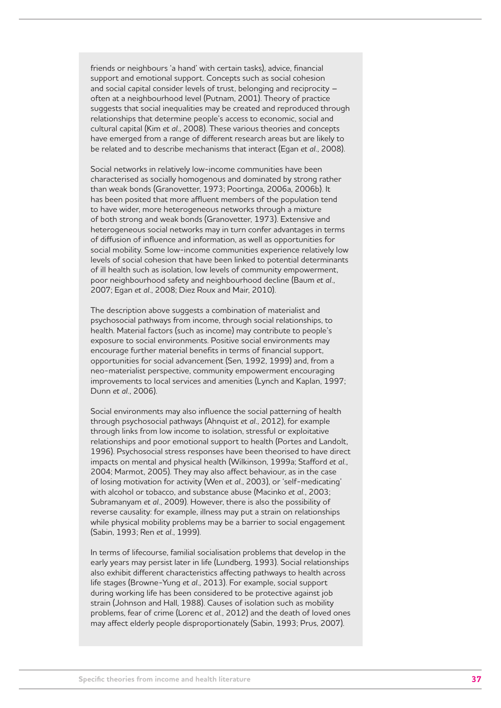friends or neighbours 'a hand' with certain tasks), advice, financial support and emotional support. Concepts such as social cohesion and social capital consider levels of trust, belonging and reciprocity – often at a neighbourhood level (Putnam, 2001). Theory of practice suggests that social inequalities may be created and reproduced through relationships that determine people's access to economic, social and cultural capital (Kim *et al.*, 2008). These various theories and concepts have emerged from a range of different research areas but are likely to be related and to describe mechanisms that interact (Egan *et al.*, 2008).

Social networks in relatively low-income communities have been characterised as socially homogenous and dominated by strong rather than weak bonds (Granovetter, 1973; Poortinga, 2006a, 2006b). It has been posited that more affluent members of the population tend to have wider, more heterogeneous networks through a mixture of both strong and weak bonds (Granovetter, 1973). Extensive and heterogeneous social networks may in turn confer advantages in terms of diffusion of influence and information, as well as opportunities for social mobility. Some low-income communities experience relatively low levels of social cohesion that have been linked to potential determinants of ill health such as isolation, low levels of community empowerment, poor neighbourhood safety and neighbourhood decline (Baum *et al.*, 2007; Egan *et al.*, 2008; Diez Roux and Mair, 2010).

The description above suggests a combination of materialist and psychosocial pathways from income, through social relationships, to health. Material factors (such as income) may contribute to people's exposure to social environments. Positive social environments may encourage further material benefits in terms of financial support, opportunities for social advancement (Sen, 1992, 1999) and, from a neo-materialist perspective, community empowerment encouraging improvements to local services and amenities (Lynch and Kaplan, 1997; Dunn *et al.*, 2006).

Social environments may also influence the social patterning of health through psychosocial pathways (Ahnquist *et al.*, 2012), for example through links from low income to isolation, stressful or exploitative relationships and poor emotional support to health (Portes and Landolt, 1996). Psychosocial stress responses have been theorised to have direct impacts on mental and physical health (Wilkinson, 1999a; Stafford *et al.*, 2004; Marmot, 2005). They may also affect behaviour, as in the case of losing motivation for activity (Wen *et al.*, 2003), or 'self-medicating' with alcohol or tobacco, and substance abuse (Macinko *et al.*, 2003; Subramanyam *et al.*, 2009). However, there is also the possibility of reverse causality: for example, illness may put a strain on relationships while physical mobility problems may be a barrier to social engagement (Sabin, 1993; Ren *et al.*, 1999).

In terms of lifecourse, familial socialisation problems that develop in the early years may persist later in life (Lundberg, 1993). Social relationships also exhibit different characteristics affecting pathways to health across life stages (Browne-Yung *et al.*, 2013). For example, social support during working life has been considered to be protective against job strain (Johnson and Hall, 1988). Causes of isolation such as mobility problems, fear of crime (Lorenc *et al.*, 2012) and the death of loved ones may affect elderly people disproportionately (Sabin, 1993; Prus, 2007).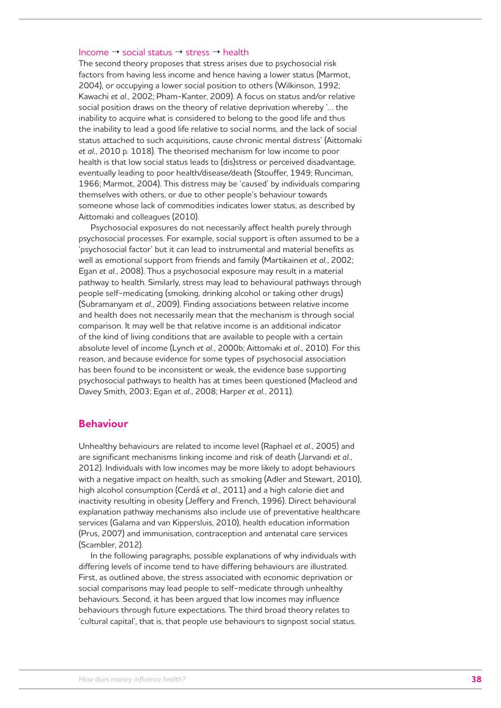#### Income  $\rightarrow$  social status  $\rightarrow$  stress  $\rightarrow$  health

The second theory proposes that stress arises due to psychosocial risk factors from having less income and hence having a lower status (Marmot, 2004), or occupying a lower social position to others (Wilkinson, 1992; Kawachi *et al.*, 2002; Pham-Kanter, 2009). A focus on status and/or relative social position draws on the theory of relative deprivation whereby '… the inability to acquire what is considered to belong to the good life and thus the inability to lead a good life relative to social norms, and the lack of social status attached to such acquisitions, cause chronic mental distress' (Aittomaki *et al.*, 2010 p. 1018). The theorised mechanism for low income to poor health is that low social status leads to (dis)stress or perceived disadvantage, eventually leading to poor health/disease/death (Stouffer, 1949; Runciman, 1966; Marmot, 2004). This distress may be 'caused' by individuals comparing themselves with others, or due to other people's behaviour towards someone whose lack of commodities indicates lower status, as described by Aittomaki and colleagues (2010).

Psychosocial exposures do not necessarily affect health purely through psychosocial processes. For example, social support is often assumed to be a 'psychosocial factor' but it can lead to instrumental and material benefits as well as emotional support from friends and family (Martikainen *et al.*, 2002; Egan *et al.*, 2008). Thus a psychosocial exposure may result in a material pathway to health. Similarly, stress may lead to behavioural pathways through people self-medicating (smoking, drinking alcohol or taking other drugs) (Subramanyam *et al.*, 2009). Finding associations between relative income and health does not necessarily mean that the mechanism is through social comparison. It may well be that relative income is an additional indicator of the kind of living conditions that are available to people with a certain absolute level of income (Lynch *et al.*, 2000b; Aittomaki *et al.*, 2010). For this reason, and because evidence for some types of psychosocial association has been found to be inconsistent or weak, the evidence base supporting psychosocial pathways to health has at times been questioned (Macleod and Davey Smith, 2003; Egan *et al.*, 2008; Harper *et al.*, 2011).

#### **Behaviour**

Unhealthy behaviours are related to income level (Raphael *et al.*, 2005) and are significant mechanisms linking income and risk of death (Jarvandi *et al.*, 2012). Individuals with low incomes may be more likely to adopt behaviours with a negative impact on health, such as smoking (Adler and Stewart, 2010), high alcohol consumption (Cerdá *et al.*, 2011) and a high calorie diet and inactivity resulting in obesity (Jeffery and French, 1996). Direct behavioural explanation pathway mechanisms also include use of preventative healthcare services (Galama and van Kippersluis, 2010), health education information (Prus, 2007) and immunisation, contraception and antenatal care services (Scambler, 2012).

In the following paragraphs, possible explanations of why individuals with differing levels of income tend to have differing behaviours are illustrated. First, as outlined above, the stress associated with economic deprivation or social comparisons may lead people to self-medicate through unhealthy behaviours. Second, it has been argued that low incomes may influence behaviours through future expectations. The third broad theory relates to 'cultural capital', that is, that people use behaviours to signpost social status.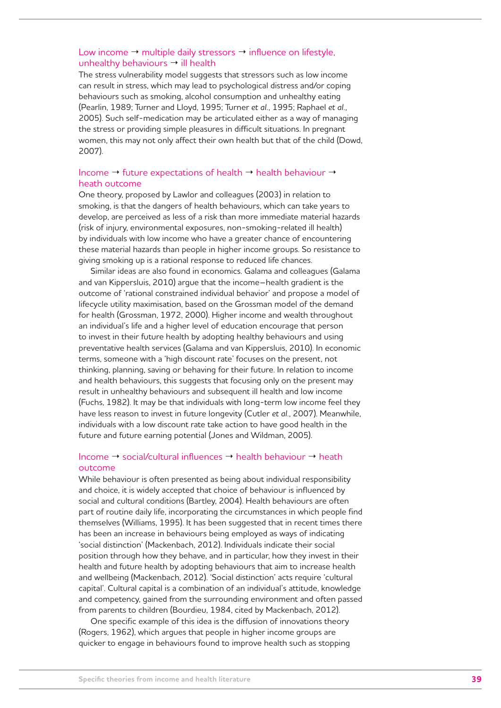#### Low income  $\rightarrow$  multiple daily stressors  $\rightarrow$  influence on lifestyle, unhealthy behaviours  $\rightarrow$  ill health

The stress vulnerability model suggests that stressors such as low income can result in stress, which may lead to psychological distress and/or coping behaviours such as smoking, alcohol consumption and unhealthy eating (Pearlin, 1989; Turner and Lloyd, 1995; Turner *et al.*, 1995; Raphael *et al.*, 2005). Such self-medication may be articulated either as a way of managing the stress or providing simple pleasures in difficult situations. In pregnant women, this may not only affect their own health but that of the child (Dowd, 2007).

#### Income  $\rightarrow$  future expectations of health  $\rightarrow$  health behaviour  $\rightarrow$ heath outcome

One theory, proposed by Lawlor and colleagues (2003) in relation to smoking, is that the dangers of health behaviours, which can take years to develop, are perceived as less of a risk than more immediate material hazards (risk of injury, environmental exposures, non-smoking-related ill health) by individuals with low income who have a greater chance of encountering these material hazards than people in higher income groups. So resistance to giving smoking up is a rational response to reduced life chances.

Similar ideas are also found in economics. Galama and colleagues (Galama and van Kippersluis, 2010) argue that the income–health gradient is the outcome of 'rational constrained individual behavior' and propose a model of lifecycle utility maximisation, based on the Grossman model of the demand for health (Grossman, 1972, 2000). Higher income and wealth throughout an individual's life and a higher level of education encourage that person to invest in their future health by adopting healthy behaviours and using preventative health services (Galama and van Kippersluis, 2010). In economic terms, someone with a 'high discount rate' focuses on the present, not thinking, planning, saving or behaving for their future. In relation to income and health behaviours, this suggests that focusing only on the present may result in unhealthy behaviours and subsequent ill health and low income (Fuchs, 1982). It may be that individuals with long-term low income feel they have less reason to invest in future longevity (Cutler *et al.*, 2007). Meanwhile, individuals with a low discount rate take action to have good health in the future and future earning potential (Jones and Wildman, 2005).

#### Income  $\rightarrow$  social/cultural influences  $\rightarrow$  health behaviour  $\rightarrow$  heath outcome

While behaviour is often presented as being about individual responsibility and choice, it is widely accepted that choice of behaviour is influenced by social and cultural conditions (Bartley, 2004). Health behaviours are often part of routine daily life, incorporating the circumstances in which people find themselves (Williams, 1995). It has been suggested that in recent times there has been an increase in behaviours being employed as ways of indicating 'social distinction' (Mackenbach, 2012). Individuals indicate their social position through how they behave, and in particular, how they invest in their health and future health by adopting behaviours that aim to increase health and wellbeing (Mackenbach, 2012). 'Social distinction' acts require 'cultural capital'. Cultural capital is a combination of an individual's attitude, knowledge and competency, gained from the surrounding environment and often passed from parents to children (Bourdieu, 1984, cited by Mackenbach, 2012).

One specific example of this idea is the diffusion of innovations theory (Rogers, 1962), which argues that people in higher income groups are quicker to engage in behaviours found to improve health such as stopping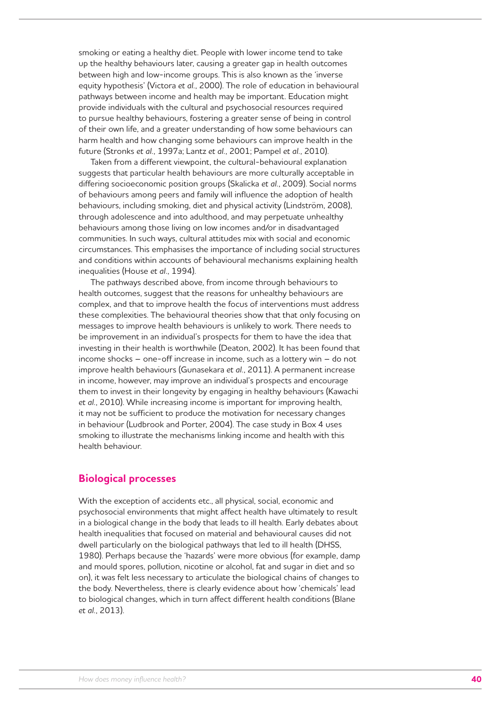smoking or eating a healthy diet. People with lower income tend to take up the healthy behaviours later, causing a greater gap in health outcomes between high and low-income groups. This is also known as the 'inverse equity hypothesis' (Victora *et al.*, 2000). The role of education in behavioural pathways between income and health may be important. Education might provide individuals with the cultural and psychosocial resources required to pursue healthy behaviours, fostering a greater sense of being in control of their own life, and a greater understanding of how some behaviours can harm health and how changing some behaviours can improve health in the future (Stronks *et al.*, 1997a; Lantz *et al.*, 2001; Pampel *et al.*, 2010).

Taken from a different viewpoint, the cultural-behavioural explanation suggests that particular health behaviours are more culturally acceptable in differing socioeconomic position groups (Skalicka *et al.*, 2009). Social norms of behaviours among peers and family will influence the adoption of health behaviours, including smoking, diet and physical activity (Lindström, 2008), through adolescence and into adulthood, and may perpetuate unhealthy behaviours among those living on low incomes and/or in disadvantaged communities. In such ways, cultural attitudes mix with social and economic circumstances. This emphasises the importance of including social structures and conditions within accounts of behavioural mechanisms explaining health inequalities (House *et al.*, 1994).

The pathways described above, from income through behaviours to health outcomes, suggest that the reasons for unhealthy behaviours are complex, and that to improve health the focus of interventions must address these complexities. The behavioural theories show that that only focusing on messages to improve health behaviours is unlikely to work. There needs to be improvement in an individual's prospects for them to have the idea that investing in their health is worthwhile (Deaton, 2002). It has been found that income shocks – one-off increase in income, such as a lottery win – do not improve health behaviours (Gunasekara *et al.*, 2011). A permanent increase in income, however, may improve an individual's prospects and encourage them to invest in their longevity by engaging in healthy behaviours (Kawachi *et al.*, 2010). While increasing income is important for improving health, it may not be sufficient to produce the motivation for necessary changes in behaviour (Ludbrook and Porter, 2004). The case study in Box 4 uses smoking to illustrate the mechanisms linking income and health with this health behaviour.

#### **Biological processes**

With the exception of accidents etc., all physical, social, economic and psychosocial environments that might affect health have ultimately to result in a biological change in the body that leads to ill health. Early debates about health inequalities that focused on material and behavioural causes did not dwell particularly on the biological pathways that led to ill health (DHSS, 1980). Perhaps because the 'hazards' were more obvious (for example, damp and mould spores, pollution, nicotine or alcohol, fat and sugar in diet and so on), it was felt less necessary to articulate the biological chains of changes to the body. Nevertheless, there is clearly evidence about how 'chemicals' lead to biological changes, which in turn affect different health conditions (Blane *et al.*, 2013).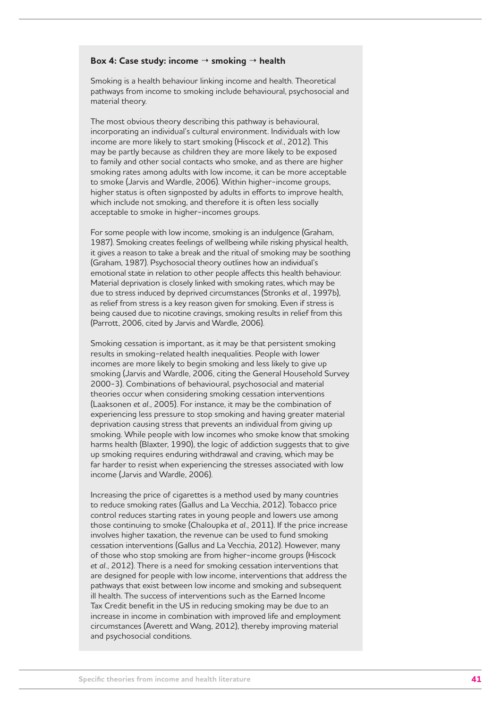#### Box 4: Case study: income → smoking → health

Smoking is a health behaviour linking income and health. Theoretical pathways from income to smoking include behavioural, psychosocial and material theory.

The most obvious theory describing this pathway is behavioural, incorporating an individual's cultural environment. Individuals with low income are more likely to start smoking (Hiscock *et al.*, 2012). This may be partly because as children they are more likely to be exposed to family and other social contacts who smoke, and as there are higher smoking rates among adults with low income, it can be more acceptable to smoke (Jarvis and Wardle, 2006). Within higher-income groups, higher status is often signposted by adults in efforts to improve health, which include not smoking, and therefore it is often less socially acceptable to smoke in higher-incomes groups.

For some people with low income, smoking is an indulgence (Graham, 1987). Smoking creates feelings of wellbeing while risking physical health, it gives a reason to take a break and the ritual of smoking may be soothing (Graham, 1987). Psychosocial theory outlines how an individual's emotional state in relation to other people affects this health behaviour. Material deprivation is closely linked with smoking rates, which may be due to stress induced by deprived circumstances (Stronks *et al.*, 1997b), as relief from stress is a key reason given for smoking. Even if stress is being caused due to nicotine cravings, smoking results in relief from this (Parrott, 2006, cited by Jarvis and Wardle, 2006).

Smoking cessation is important, as it may be that persistent smoking results in smoking-related health inequalities. People with lower incomes are more likely to begin smoking and less likely to give up smoking (Jarvis and Wardle, 2006, citing the General Household Survey 2000-3). Combinations of behavioural, psychosocial and material theories occur when considering smoking cessation interventions (Laaksonen *et al.*, 2005). For instance, it may be the combination of experiencing less pressure to stop smoking and having greater material deprivation causing stress that prevents an individual from giving up smoking. While people with low incomes who smoke know that smoking harms health (Blaxter, 1990), the logic of addiction suggests that to give up smoking requires enduring withdrawal and craving, which may be far harder to resist when experiencing the stresses associated with low income (Jarvis and Wardle, 2006).

Increasing the price of cigarettes is a method used by many countries to reduce smoking rates (Gallus and La Vecchia, 2012). Tobacco price control reduces starting rates in young people and lowers use among those continuing to smoke (Chaloupka *et al.*, 2011). If the price increase involves higher taxation, the revenue can be used to fund smoking cessation interventions (Gallus and La Vecchia, 2012). However, many of those who stop smoking are from higher-income groups (Hiscock *et al.*, 2012). There is a need for smoking cessation interventions that are designed for people with low income, interventions that address the pathways that exist between low income and smoking and subsequent ill health. The success of interventions such as the Earned Income Tax Credit benefit in the US in reducing smoking may be due to an increase in income in combination with improved life and employment circumstances (Averett and Wang, 2012), thereby improving material and psychosocial conditions.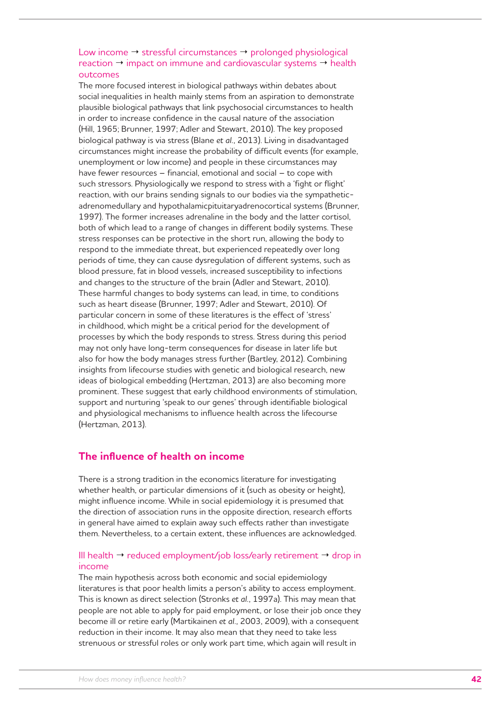### Low income  $\rightarrow$  stressful circumstances  $\rightarrow$  prolonged physiological reaction  $\rightarrow$  impact on immune and cardiovascular systems  $\rightarrow$  health outcomes

The more focused interest in biological pathways within debates about social inequalities in health mainly stems from an aspiration to demonstrate plausible biological pathways that link psychosocial circumstances to health in order to increase confidence in the causal nature of the association (Hill, 1965; Brunner, 1997; Adler and Stewart, 2010). The key proposed biological pathway is via stress (Blane *et al.*, 2013). Living in disadvantaged circumstances might increase the probability of difficult events (for example, unemployment or low income) and people in these circumstances may have fewer resources – financial, emotional and social – to cope with such stressors. Physiologically we respond to stress with a 'fight or flight' reaction, with our brains sending signals to our bodies via the sympatheticadrenomedullary and hypothalamicpituitaryadrenocortical systems (Brunner, 1997). The former increases adrenaline in the body and the latter cortisol, both of which lead to a range of changes in different bodily systems. These stress responses can be protective in the short run, allowing the body to respond to the immediate threat, but experienced repeatedly over long periods of time, they can cause dysregulation of different systems, such as blood pressure, fat in blood vessels, increased susceptibility to infections and changes to the structure of the brain (Adler and Stewart, 2010). These harmful changes to body systems can lead, in time, to conditions such as heart disease (Brunner, 1997; Adler and Stewart, 2010). Of particular concern in some of these literatures is the effect of 'stress' in childhood, which might be a critical period for the development of processes by which the body responds to stress. Stress during this period may not only have long-term consequences for disease in later life but also for how the body manages stress further (Bartley, 2012). Combining insights from lifecourse studies with genetic and biological research, new ideas of biological embedding (Hertzman, 2013) are also becoming more prominent. These suggest that early childhood environments of stimulation, support and nurturing 'speak to our genes' through identifiable biological and physiological mechanisms to influence health across the lifecourse (Hertzman, 2013).

## **The influence of health on income**

There is a strong tradition in the economics literature for investigating whether health, or particular dimensions of it (such as obesity or height), might influence income. While in social epidemiology it is presumed that the direction of association runs in the opposite direction, research efforts in general have aimed to explain away such effects rather than investigate them. Nevertheless, to a certain extent, these influences are acknowledged.

### Ill health  $\rightarrow$  reduced employment/job loss/early retirement  $\rightarrow$  drop in income

The main hypothesis across both economic and social epidemiology literatures is that poor health limits a person's ability to access employment. This is known as direct selection (Stronks *et al.*, 1997a). This may mean that people are not able to apply for paid employment, or lose their job once they become ill or retire early (Martikainen *et al.*, 2003, 2009), with a consequent reduction in their income. It may also mean that they need to take less strenuous or stressful roles or only work part time, which again will result in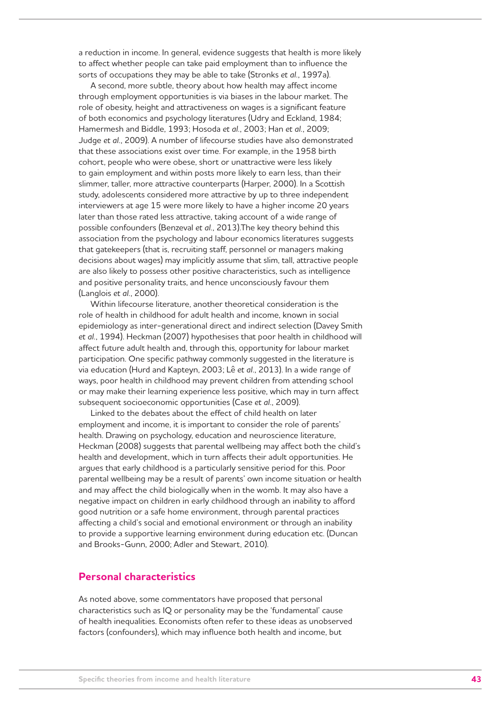a reduction in income. In general, evidence suggests that health is more likely to affect whether people can take paid employment than to influence the sorts of occupations they may be able to take (Stronks *et al.*, 1997a).

A second, more subtle, theory about how health may affect income through employment opportunities is via biases in the labour market. The role of obesity, height and attractiveness on wages is a significant feature of both economics and psychology literatures (Udry and Eckland, 1984; Hamermesh and Biddle, 1993; Hosoda *et al.*, 2003; Han *et al.*, 2009; Judge *et al.*, 2009). A number of lifecourse studies have also demonstrated that these associations exist over time. For example, in the 1958 birth cohort, people who were obese, short or unattractive were less likely to gain employment and within posts more likely to earn less, than their slimmer, taller, more attractive counterparts (Harper, 2000). In a Scottish study, adolescents considered more attractive by up to three independent interviewers at age 15 were more likely to have a higher income 20 years later than those rated less attractive, taking account of a wide range of possible confounders (Benzeval *et al.*, 2013).The key theory behind this association from the psychology and labour economics literatures suggests that gatekeepers (that is, recruiting staff, personnel or managers making decisions about wages) may implicitly assume that slim, tall, attractive people are also likely to possess other positive characteristics, such as intelligence and positive personality traits, and hence unconsciously favour them (Langlois *et al.*, 2000).

Within lifecourse literature, another theoretical consideration is the role of health in childhood for adult health and income, known in social epidemiology as inter-generational direct and indirect selection (Davey Smith *et al.*, 1994). Heckman (2007) hypothesises that poor health in childhood will affect future adult health and, through this, opportunity for labour market participation. One specific pathway commonly suggested in the literature is via education (Hurd and Kapteyn, 2003; Lê *et al.*, 2013). In a wide range of ways, poor health in childhood may prevent children from attending school or may make their learning experience less positive, which may in turn affect subsequent socioeconomic opportunities (Case *et al.*, 2009).

Linked to the debates about the effect of child health on later employment and income, it is important to consider the role of parents' health. Drawing on psychology, education and neuroscience literature, Heckman (2008) suggests that parental wellbeing may affect both the child's health and development, which in turn affects their adult opportunities. He argues that early childhood is a particularly sensitive period for this. Poor parental wellbeing may be a result of parents' own income situation or health and may affect the child biologically when in the womb. It may also have a negative impact on children in early childhood through an inability to afford good nutrition or a safe home environment, through parental practices affecting a child's social and emotional environment or through an inability to provide a supportive learning environment during education etc. (Duncan and Brooks-Gunn, 2000; Adler and Stewart, 2010).

### **Personal characteristics**

As noted above, some commentators have proposed that personal characteristics such as IQ or personality may be the 'fundamental' cause of health inequalities. Economists often refer to these ideas as unobserved factors (confounders), which may influence both health and income, but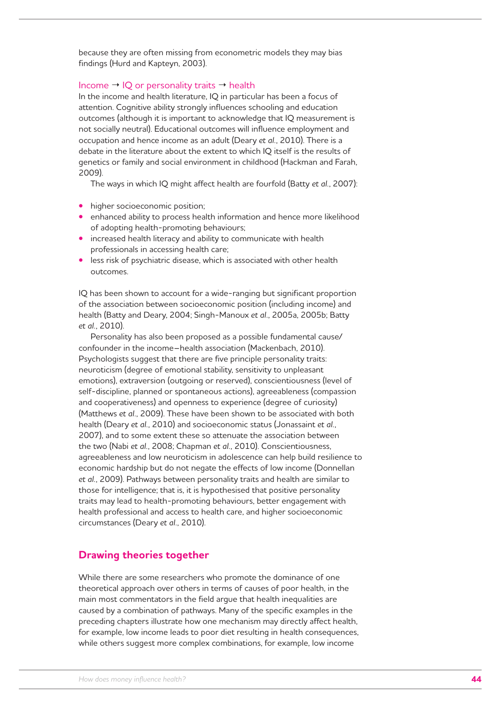because they are often missing from econometric models they may bias findings (Hurd and Kapteyn, 2003).

#### Income  $\rightarrow$  IQ or personality traits  $\rightarrow$  health

In the income and health literature, IQ in particular has been a focus of attention. Cognitive ability strongly influences schooling and education outcomes (although it is important to acknowledge that IQ measurement is not socially neutral). Educational outcomes will influence employment and occupation and hence income as an adult (Deary *et al.*, 2010). There is a debate in the literature about the extent to which IQ itself is the results of genetics or family and social environment in childhood (Hackman and Farah, 2009).

The ways in which IQ might affect health are fourfold (Batty *et al.*, 2007):

- **•** higher socioeconomic position;
- **•** enhanced ability to process health information and hence more likelihood of adopting health-promoting behaviours;
- **•** increased health literacy and ability to communicate with health professionals in accessing health care;
- **•** less risk of psychiatric disease, which is associated with other health outcomes.

IQ has been shown to account for a wide-ranging but significant proportion of the association between socioeconomic position (including income) and health (Batty and Deary, 2004; Singh-Manoux *et al.*, 2005a, 2005b; Batty *et al.*, 2010).

Personality has also been proposed as a possible fundamental cause/ confounder in the income–health association (Mackenbach, 2010). Psychologists suggest that there are five principle personality traits: neuroticism (degree of emotional stability, sensitivity to unpleasant emotions), extraversion (outgoing or reserved), conscientiousness (level of self-discipline, planned or spontaneous actions), agreeableness (compassion and cooperativeness) and openness to experience (degree of curiosity) (Matthews *et al.*, 2009). These have been shown to be associated with both health (Deary *et al.*, 2010) and socioeconomic status (Jonassaint *et al.*, 2007), and to some extent these so attenuate the association between the two (Nabi *et al.*, 2008; Chapman *et al.*, 2010). Conscientiousness, agreeableness and low neuroticism in adolescence can help build resilience to economic hardship but do not negate the effects of low income (Donnellan *et al.*, 2009). Pathways between personality traits and health are similar to those for intelligence; that is, it is hypothesised that positive personality traits may lead to health-promoting behaviours, better engagement with health professional and access to health care, and higher socioeconomic circumstances (Deary *et al.*, 2010).

## **Drawing theories together**

While there are some researchers who promote the dominance of one theoretical approach over others in terms of causes of poor health, in the main most commentators in the field argue that health inequalities are caused by a combination of pathways. Many of the specific examples in the preceding chapters illustrate how one mechanism may directly affect health, for example, low income leads to poor diet resulting in health consequences, while others suggest more complex combinations, for example, low income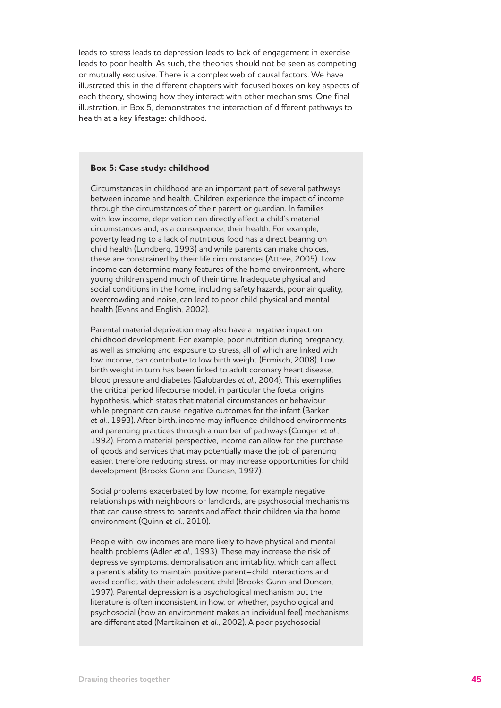leads to stress leads to depression leads to lack of engagement in exercise leads to poor health. As such, the theories should not be seen as competing or mutually exclusive. There is a complex web of causal factors. We have illustrated this in the different chapters with focused boxes on key aspects of each theory, showing how they interact with other mechanisms. One final illustration, in Box 5, demonstrates the interaction of different pathways to health at a key lifestage: childhood.

#### **Box 5: Case study: childhood**

Circumstances in childhood are an important part of several pathways between income and health. Children experience the impact of income through the circumstances of their parent or guardian. In families with low income, deprivation can directly affect a child's material circumstances and, as a consequence, their health. For example, poverty leading to a lack of nutritious food has a direct bearing on child health (Lundberg, 1993) and while parents can make choices, these are constrained by their life circumstances (Attree, 2005). Low income can determine many features of the home environment, where young children spend much of their time. Inadequate physical and social conditions in the home, including safety hazards, poor air quality, overcrowding and noise, can lead to poor child physical and mental health (Evans and English, 2002).

Parental material deprivation may also have a negative impact on childhood development. For example, poor nutrition during pregnancy, as well as smoking and exposure to stress, all of which are linked with low income, can contribute to low birth weight (Ermisch, 2008). Low birth weight in turn has been linked to adult coronary heart disease, blood pressure and diabetes (Galobardes *et al.*, 2004). This exemplifies the critical period lifecourse model, in particular the foetal origins hypothesis, which states that material circumstances or behaviour while pregnant can cause negative outcomes for the infant (Barker *et al.*, 1993). After birth, income may influence childhood environments and parenting practices through a number of pathways (Conger *et al.*, 1992). From a material perspective, income can allow for the purchase of goods and services that may potentially make the job of parenting easier, therefore reducing stress, or may increase opportunities for child development (Brooks Gunn and Duncan, 1997).

Social problems exacerbated by low income, for example negative relationships with neighbours or landlords, are psychosocial mechanisms that can cause stress to parents and affect their children via the home environment (Quinn *et al.*, 2010).

People with low incomes are more likely to have physical and mental health problems (Adler *et al.*, 1993). These may increase the risk of depressive symptoms, demoralisation and irritability, which can affect a parent's ability to maintain positive parent–child interactions and avoid conflict with their adolescent child (Brooks Gunn and Duncan, 1997). Parental depression is a psychological mechanism but the literature is often inconsistent in how, or whether, psychological and psychosocial (how an environment makes an individual feel) mechanisms are differentiated (Martikainen *et al.*, 2002). A poor psychosocial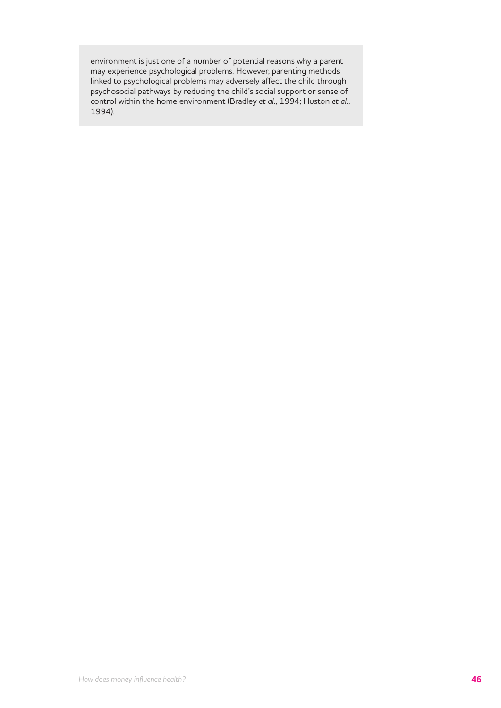environment is just one of a number of potential reasons why a parent may experience psychological problems. However, parenting methods linked to psychological problems may adversely affect the child through psychosocial pathways by reducing the child's social support or sense of control within the home environment (Bradley *et al.*, 1994; Huston *et al.*, 1994).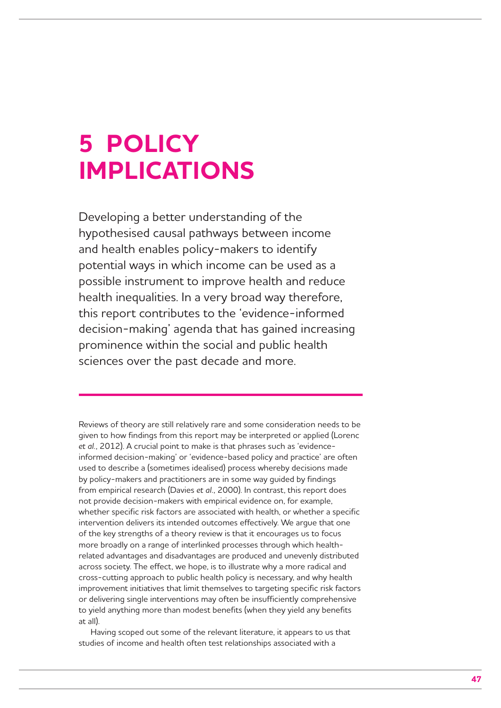## **5 POLICY IMPLICATIONS**

Developing a better understanding of the hypothesised causal pathways between income and health enables policy-makers to identify potential ways in which income can be used as a possible instrument to improve health and reduce health inequalities. In a very broad way therefore, this report contributes to the 'evidence-informed decision-making' agenda that has gained increasing prominence within the social and public health sciences over the past decade and more.

Reviews of theory are still relatively rare and some consideration needs to be given to how findings from this report may be interpreted or applied (Lorenc *et al.*, 2012). A crucial point to make is that phrases such as 'evidenceinformed decision-making' or 'evidence-based policy and practice' are often used to describe a (sometimes idealised) process whereby decisions made by policy-makers and practitioners are in some way guided by findings from empirical research (Davies *et al.*, 2000). In contrast, this report does not provide decision-makers with empirical evidence on, for example, whether specific risk factors are associated with health, or whether a specific intervention delivers its intended outcomes effectively. We argue that one of the key strengths of a theory review is that it encourages us to focus more broadly on a range of interlinked processes through which healthrelated advantages and disadvantages are produced and unevenly distributed across society. The effect, we hope, is to illustrate why a more radical and cross-cutting approach to public health policy is necessary, and why health improvement initiatives that limit themselves to targeting specific risk factors or delivering single interventions may often be insufficiently comprehensive to yield anything more than modest benefits (when they yield any benefits at all).

Having scoped out some of the relevant literature, it appears to us that studies of income and health often test relationships associated with a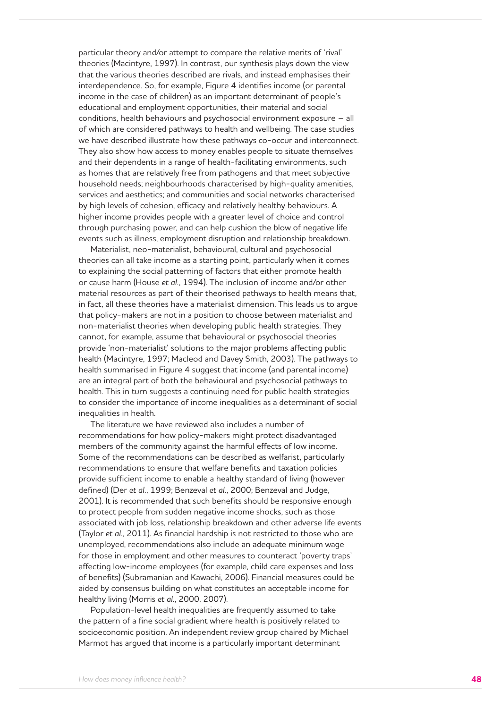particular theory and/or attempt to compare the relative merits of 'rival' theories (Macintyre, 1997). In contrast, our synthesis plays down the view that the various theories described are rivals, and instead emphasises their interdependence. So, for example, Figure 4 identifies income (or parental income in the case of children) as an important determinant of people's educational and employment opportunities, their material and social conditions, health behaviours and psychosocial environment exposure – all of which are considered pathways to health and wellbeing. The case studies we have described illustrate how these pathways co-occur and interconnect. They also show how access to money enables people to situate themselves and their dependents in a range of health-facilitating environments, such as homes that are relatively free from pathogens and that meet subjective household needs; neighbourhoods characterised by high-quality amenities, services and aesthetics; and communities and social networks characterised by high levels of cohesion, efficacy and relatively healthy behaviours. A higher income provides people with a greater level of choice and control through purchasing power, and can help cushion the blow of negative life events such as illness, employment disruption and relationship breakdown.

Materialist, neo-materialist, behavioural, cultural and psychosocial theories can all take income as a starting point, particularly when it comes to explaining the social patterning of factors that either promote health or cause harm (House *et al.*, 1994). The inclusion of income and/or other material resources as part of their theorised pathways to health means that, in fact, all these theories have a materialist dimension. This leads us to argue that policy-makers are not in a position to choose between materialist and non-materialist theories when developing public health strategies. They cannot, for example, assume that behavioural or psychosocial theories provide 'non-materialist' solutions to the major problems affecting public health (Macintyre, 1997; Macleod and Davey Smith, 2003). The pathways to health summarised in Figure 4 suggest that income (and parental income) are an integral part of both the behavioural and psychosocial pathways to health. This in turn suggests a continuing need for public health strategies to consider the importance of income inequalities as a determinant of social inequalities in health.

The literature we have reviewed also includes a number of recommendations for how policy-makers might protect disadvantaged members of the community against the harmful effects of low income. Some of the recommendations can be described as welfarist, particularly recommendations to ensure that welfare benefits and taxation policies provide sufficient income to enable a healthy standard of living (however defined) (Der *et al.*, 1999; Benzeval *et al.*, 2000; Benzeval and Judge, 2001). It is recommended that such benefits should be responsive enough to protect people from sudden negative income shocks, such as those associated with job loss, relationship breakdown and other adverse life events (Taylor *et al.*, 2011). As financial hardship is not restricted to those who are unemployed, recommendations also include an adequate minimum wage for those in employment and other measures to counteract 'poverty traps' affecting low-income employees (for example, child care expenses and loss of benefits) (Subramanian and Kawachi, 2006). Financial measures could be aided by consensus building on what constitutes an acceptable income for healthy living (Morris *et al.*, 2000, 2007).

Population-level health inequalities are frequently assumed to take the pattern of a fine social gradient where health is positively related to socioeconomic position. An independent review group chaired by Michael Marmot has argued that income is a particularly important determinant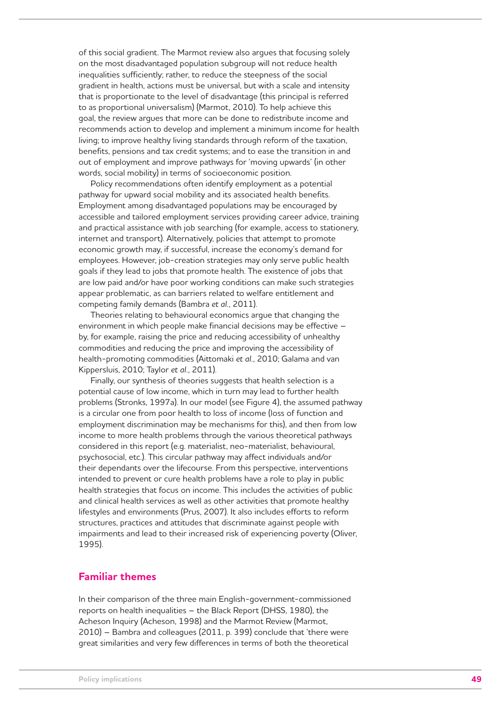of this social gradient. The Marmot review also argues that focusing solely on the most disadvantaged population subgroup will not reduce health inequalities sufficiently; rather, to reduce the steepness of the social gradient in health, actions must be universal, but with a scale and intensity that is proportionate to the level of disadvantage (this principal is referred to as proportional universalism) (Marmot, 2010). To help achieve this goal, the review argues that more can be done to redistribute income and recommends action to develop and implement a minimum income for health living; to improve healthy living standards through reform of the taxation, benefits, pensions and tax credit systems; and to ease the transition in and out of employment and improve pathways for 'moving upwards' (in other words, social mobility) in terms of socioeconomic position.

Policy recommendations often identify employment as a potential pathway for upward social mobility and its associated health benefits. Employment among disadvantaged populations may be encouraged by accessible and tailored employment services providing career advice, training and practical assistance with job searching (for example, access to stationery, internet and transport). Alternatively, policies that attempt to promote economic growth may, if successful, increase the economy's demand for employees. However, job-creation strategies may only serve public health goals if they lead to jobs that promote health. The existence of jobs that are low paid and/or have poor working conditions can make such strategies appear problematic, as can barriers related to welfare entitlement and competing family demands (Bambra *et al.*, 2011).

Theories relating to behavioural economics argue that changing the environment in which people make financial decisions may be effective – by, for example, raising the price and reducing accessibility of unhealthy commodities and reducing the price and improving the accessibility of health-promoting commodities (Aittomaki *et al.*, 2010; Galama and van Kippersluis, 2010; Taylor *et al.*, 2011).

Finally, our synthesis of theories suggests that health selection is a potential cause of low income, which in turn may lead to further health problems (Stronks, 1997a). In our model (see Figure 4), the assumed pathway is a circular one from poor health to loss of income (loss of function and employment discrimination may be mechanisms for this), and then from low income to more health problems through the various theoretical pathways considered in this report (e.g. materialist, neo-materialist, behavioural, psychosocial, etc.). This circular pathway may affect individuals and/or their dependants over the lifecourse. From this perspective, interventions intended to prevent or cure health problems have a role to play in public health strategies that focus on income. This includes the activities of public and clinical health services as well as other activities that promote healthy lifestyles and environments (Prus, 2007). It also includes efforts to reform structures, practices and attitudes that discriminate against people with impairments and lead to their increased risk of experiencing poverty (Oliver, 1995).

### **Familiar themes**

In their comparison of the three main English-government-commissioned reports on health inequalities – the Black Report (DHSS, 1980), the Acheson Inquiry (Acheson, 1998) and the Marmot Review (Marmot, 2010) – Bambra and colleagues (2011, p. 399) conclude that 'there were great similarities and very few differences in terms of both the theoretical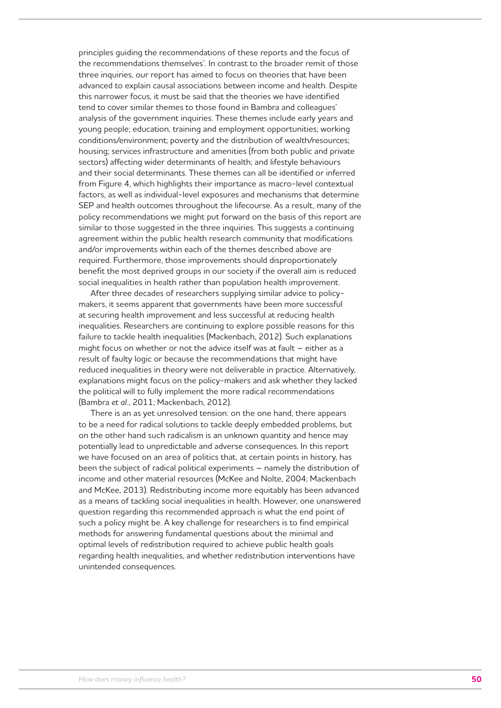principles guiding the recommendations of these reports and the focus of the recommendations themselves'. In contrast to the broader remit of those three inquiries, our report has aimed to focus on theories that have been advanced to explain causal associations between income and health. Despite this narrower focus, it must be said that the theories we have identified tend to cover similar themes to those found in Bambra and colleagues' analysis of the government inquiries. These themes include early years and young people; education, training and employment opportunities; working conditions/environment; poverty and the distribution of wealth/resources; housing; services infrastructure and amenities (from both public and private sectors) affecting wider determinants of health; and lifestyle behaviours and their social determinants. These themes can all be identified or inferred from Figure 4, which highlights their importance as macro-level contextual factors, as well as individual-level exposures and mechanisms that determine SEP and health outcomes throughout the lifecourse. As a result, many of the policy recommendations we might put forward on the basis of this report are similar to those suggested in the three inquiries. This suggests a continuing agreement within the public health research community that modifications and/or improvements within each of the themes described above are required. Furthermore, those improvements should disproportionately benefit the most deprived groups in our society if the overall aim is reduced social inequalities in health rather than population health improvement.

After three decades of researchers supplying similar advice to policymakers, it seems apparent that governments have been more successful at securing health improvement and less successful at reducing health inequalities. Researchers are continuing to explore possible reasons for this failure to tackle health inequalities (Mackenbach, 2012). Such explanations might focus on whether or not the advice itself was at fault – either as a result of faulty logic or because the recommendations that might have reduced inequalities in theory were not deliverable in practice. Alternatively, explanations might focus on the policy-makers and ask whether they lacked the political will to fully implement the more radical recommendations (Bambra *et al.*, 2011; Mackenbach, 2012).

There is an as yet unresolved tension: on the one hand, there appears to be a need for radical solutions to tackle deeply embedded problems, but on the other hand such radicalism is an unknown quantity and hence may potentially lead to unpredictable and adverse consequences. In this report we have focused on an area of politics that, at certain points in history, has been the subject of radical political experiments – namely the distribution of income and other material resources (McKee and Nolte, 2004; Mackenbach and McKee, 2013). Redistributing income more equitably has been advanced as a means of tackling social inequalities in health. However, one unanswered question regarding this recommended approach is what the end point of such a policy might be. A key challenge for researchers is to find empirical methods for answering fundamental questions about the minimal and optimal levels of redistribution required to achieve public health goals regarding health inequalities, and whether redistribution interventions have unintended consequences.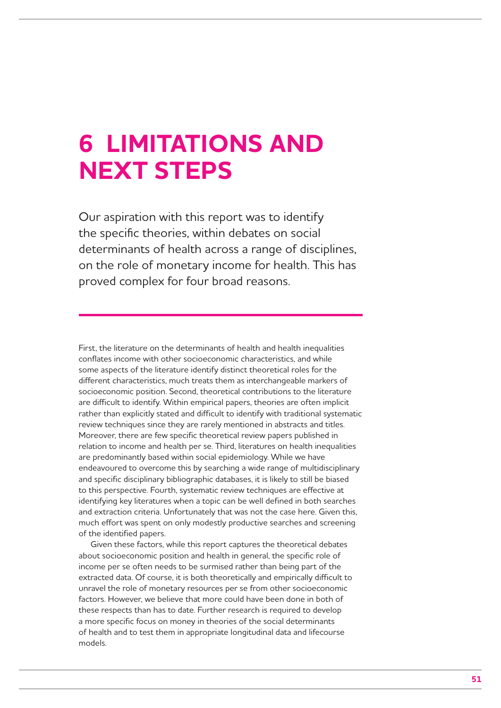## **6 LIMITATIONS AND NEXT STEPS**

Our aspiration with this report was to identify the specific theories, within debates on social determinants of health across a range of disciplines, on the role of monetary income for health. This has proved complex for four broad reasons.

First, the literature on the determinants of health and health inequalities conflates income with other socioeconomic characteristics, and while some aspects of the literature identify distinct theoretical roles for the different characteristics, much treats them as interchangeable markers of socioeconomic position. Second, theoretical contributions to the literature are difficult to identify. Within empirical papers, theories are often implicit rather than explicitly stated and difficult to identify with traditional systematic review techniques since they are rarely mentioned in abstracts and titles. Moreover, there are few specific theoretical review papers published in relation to income and health per se. Third, literatures on health inequalities are predominantly based within social epidemiology. While we have endeavoured to overcome this by searching a wide range of multidisciplinary and specific disciplinary bibliographic databases, it is likely to still be biased to this perspective. Fourth, systematic review techniques are effective at identifying key literatures when a topic can be well defined in both searches and extraction criteria. Unfortunately that was not the case here. Given this, much effort was spent on only modestly productive searches and screening of the identified papers.

Given these factors, while this report captures the theoretical debates about socioeconomic position and health in general, the specific role of income per se often needs to be surmised rather than being part of the extracted data. Of course, it is both theoretically and empirically difficult to unravel the role of monetary resources per se from other socioeconomic factors. However, we believe that more could have been done in both of these respects than has to date. Further research is required to develop a more specific focus on money in theories of the social determinants of health and to test them in appropriate longitudinal data and lifecourse models.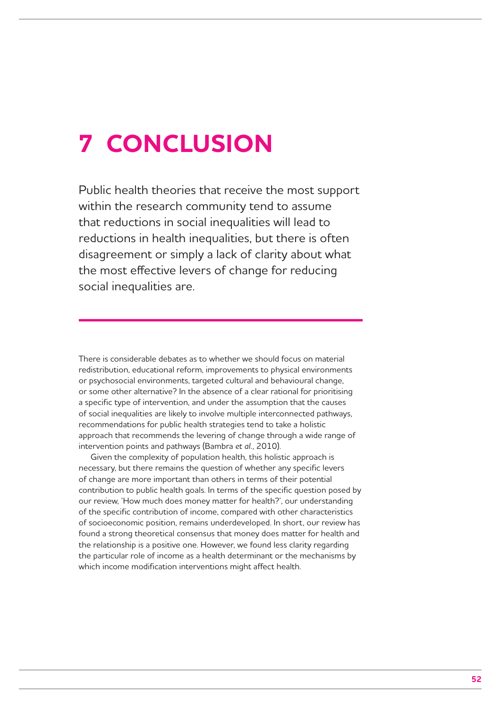## **7 CONCLUSION**

Public health theories that receive the most support within the research community tend to assume that reductions in social inequalities will lead to reductions in health inequalities, but there is often disagreement or simply a lack of clarity about what the most effective levers of change for reducing social inequalities are.

There is considerable debates as to whether we should focus on material redistribution, educational reform, improvements to physical environments or psychosocial environments, targeted cultural and behavioural change, or some other alternative? In the absence of a clear rational for prioritising a specific type of intervention, and under the assumption that the causes of social inequalities are likely to involve multiple interconnected pathways, recommendations for public health strategies tend to take a holistic approach that recommends the levering of change through a wide range of intervention points and pathways (Bambra *et al.*, 2010).

Given the complexity of population health, this holistic approach is necessary, but there remains the question of whether any specific levers of change are more important than others in terms of their potential contribution to public health goals. In terms of the specific question posed by our review, 'How much does money matter for health?', our understanding of the specific contribution of income, compared with other characteristics of socioeconomic position, remains underdeveloped. In short, our review has found a strong theoretical consensus that money does matter for health and the relationship is a positive one. However, we found less clarity regarding the particular role of income as a health determinant or the mechanisms by which income modification interventions might affect health.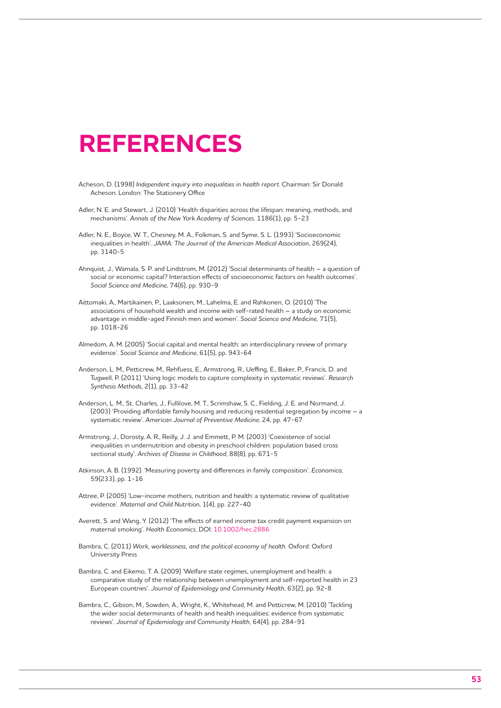## **REFERENCES**

- Acheson, D. (1998) *Independent inquiry into inequalities in health report*. Chairman: Sir Donald Acheson. London: The Stationery Office
- Adler, N. E. and Stewart, J. (2010) 'Health disparities across the lifespan: meaning, methods, and mechanisms'. *Annals of the New York Academy of Sciences*, 1186(1), pp. 5-23
- Adler, N. E., Boyce, W. T., Chesney, M. A., Folkman, S. and Syme, S. L. (1993) 'Socioeconomic inequalities in health'. *JAMA: The Journal of the American Medical Association*, 269(24), pp. 3140-5
- Ahnquist, J., Wamala, S. P. and Lindstrom, M. (2012) 'Social determinants of health a question of social or economic capital? Interaction effects of socioeconomic factors on health outcomes'. *Social Science and Medicine*, 74(6), pp. 930-9
- Aittomaki, A., Martikainen, P., Laaksonen, M., Lahelma, E. and Rahkonen, O. (2010) 'The associations of household wealth and income with self-rated health – a study on economic advantage in middle-aged Finnish men and women'. *Social Science and Medicine*, 71(5), pp. 1018-26
- Almedom, A. M. (2005) 'Social capital and mental health: an interdisciplinary review of primary evidence'. *Social Science and Medicine*, 61(5), pp. 943-64
- Anderson, L. M., Petticrew, M., Rehfuess, E., Armstrong, R., Ueffing, E., Baker, P., Francis, D. and Tugwell, P. (2011) 'Using logic models to capture complexity in systematic reviews'. *Research Synthesis Methods*, 2(1), pp. 33-42
- Anderson, L. M., St. Charles, J., Fullilove, M. T., Scrimshaw, S. C., Fielding, J. E. and Normand, J. (2003) 'Providing affordable family housing and reducing residential segregation by income – a systematic review'. *American Journal of Preventive Medicine*, 24, pp. 47-67
- Armstrong, J., Dorosty, A. R., Reilly, J. J. and Emmett, P. M. (2003) 'Coexistence of social inequalities in undernutrition and obesity in preschool children: population based cross sectional study'. *Archives of Disease in Childhood*, 88(8), pp. 671-5
- Atkinson, A. B. (1992). 'Measuring poverty and differences in family composition'. *Economica*, 59(233), pp. 1-16
- Attree, P. (2005) 'Low-income mothers, nutrition and health: a systematic review of qualitative evidence'. *Maternal and Child Nutrition*, 1(4), pp. 227-40
- Averett, S. and Wang, Y. (2012) 'The effects of earned income tax credit payment expansion on maternal smoking'. *Health Economics*, DOI: 10.1002/hec.2886
- Bambra, C. (2011) *Work, worklessness, and the political economy of health*. Oxford: Oxford University Press
- Bambra, C. and Eikemo, T. A. (2009) 'Welfare state regimes, unemployment and health: a comparative study of the relationship between unemployment and self-reported health in 23 European countries'. *Journal of Epidemiology and Community Health*, 63(2), pp. 92-8
- Bambra, C., Gibson, M., Sowden, A., Wright, K., Whitehead, M. and Petticrew, M. (2010) 'Tackling the wider social determinants of health and health inequalities: evidence from systematic reviews'. *Journal of Epidemiology and Community Health*, 64(4), pp. 284-91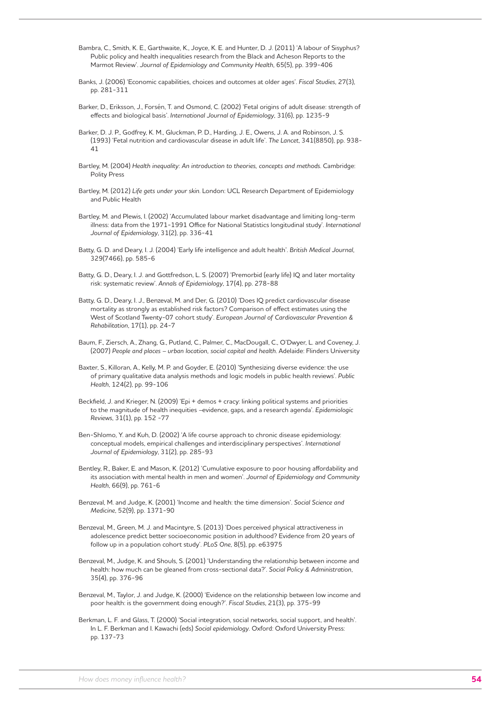Bambra, C., Smith, K. E., Garthwaite, K., Joyce, K. E. and Hunter, D. J. (2011) 'A labour of Sisyphus? Public policy and health inequalities research from the Black and Acheson Reports to the Marmot Review'. *Journal of Epidemiology and Community Health*, 65(5), pp. 399-406

- Banks, J. (2006) 'Economic capabilities, choices and outcomes at older ages'. *Fiscal Studies*, 27(3), pp. 281-311
- Barker, D., Eriksson, J., Forsén, T. and Osmond, C. (2002) 'Fetal origins of adult disease: strength of effects and biological basis'. *International Journal of Epidemiology*, 31(6), pp. 1235-9
- Barker, D. J. P., Godfrey, K. M., Gluckman, P. D., Harding, J. E., Owens, J. A. and Robinson, J. S. (1993) 'Fetal nutrition and cardiovascular disease in adult life'. *The Lancet*, 341(8850), pp. 938- 41
- Bartley, M. (2004) *Health inequality: An introduction to theories, concepts and methods*. Cambridge: Polity Press
- Bartley, M. (2012) *Life gets under your skin*. London: UCL Research Department of Epidemiology and Public Health
- Bartley, M. and Plewis, I. (2002) 'Accumulated labour market disadvantage and limiting long-term illness: data from the 1971-1991 Office for National Statistics longitudinal study'. *International Journal of Epidemiology*, 31(2), pp. 336-41
- Batty, G. D. and Deary, I. J. (2004) 'Early life intelligence and adult health'. *British Medical Journal*, 329(7466), pp. 585-6
- Batty, G. D., Deary, I. J. and Gottfredson, L. S. (2007) 'Premorbid (early life) IQ and later mortality risk: systematic review'. *Annals of Epidemiology*, 17(4), pp. 278-88
- Batty, G. D., Deary, I. J., Benzeval, M. and Der, G. (2010) 'Does IQ predict cardiovascular disease mortality as strongly as established risk factors? Comparison of effect estimates using the West of Scotland Twenty-07 cohort study'. *European Journal of Cardiovascular Prevention & Rehabilitation*, 17(1), pp. 24-7
- Baum, F., Ziersch, A., Zhang, G., Putland, C., Palmer, C., MacDougall, C., O'Dwyer, L. and Coveney, J. (2007) *People and places – urban location, social capital and health*. Adelaide: Flinders University
- Baxter, S., Killoran, A., Kelly, M. P. and Goyder, E. (2010) 'Synthesizing diverse evidence: the use of primary qualitative data analysis methods and logic models in public health reviews'. *Public Health*, 124(2), pp. 99-106
- Beckfield, J. and Krieger, N. (2009) 'Epi + demos + cracy: linking political systems and priorities to the magnitude of health inequities *–*evidence, gaps, and a research agenda'. *Epidemiologic Reviews*, 31(1), pp. 152 -77
- Ben-Shlomo, Y. and Kuh, D. (2002) 'A life course approach to chronic disease epidemiology: conceptual models, empirical challenges and interdisciplinary perspectives'. *International Journal of Epidemiology*, 31(2), pp. 285-93
- Bentley, R., Baker, E. and Mason, K. (2012) 'Cumulative exposure to poor housing affordability and its association with mental health in men and women'. *Journal of Epidemiology and Community Health*, 66(9), pp. 761-6
- Benzeval, M. and Judge, K. (2001) 'Income and health: the time dimension'. *Social Science and Medicine*, 52(9), pp. 1371-90
- Benzeval, M., Green, M. J. and Macintyre, S. (2013) 'Does perceived physical attractiveness in adolescence predict better socioeconomic position in adulthood? Evidence from 20 years of follow up in a population cohort study'. *PLoS One*, 8(5), pp. e63975
- Benzeval, M., Judge, K. and Shouls, S. (2001) 'Understanding the relationship between income and health: how much can be gleaned from cross-sectional data?'. *Social Policy & Administration*, 35(4), pp. 376-96
- Benzeval, M., Taylor, J. and Judge, K. (2000) 'Evidence on the relationship between low income and poor health: is the government doing enough?'. *Fiscal Studies*, 21(3), pp. 375-99
- Berkman, L. F. and Glass, T. (2000) 'Social integration, social networks, social support, and health'. In L. F. Berkman and I. Kawachi (eds) *Social epidemiology*. Oxford: Oxford University Press: pp. 137-73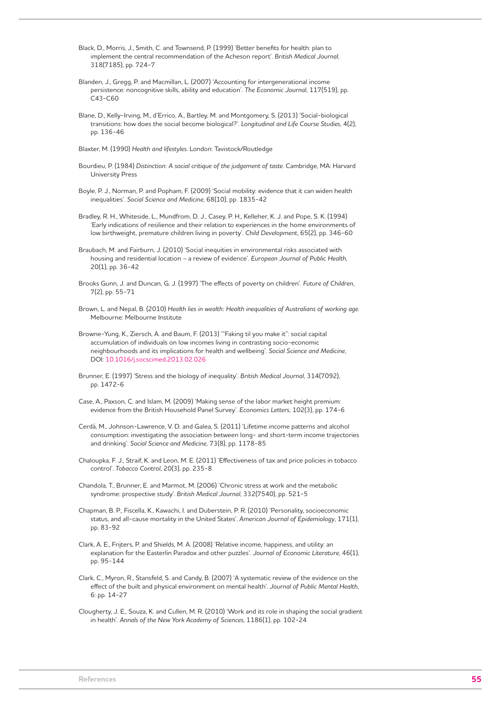- Black, D., Morris, J., Smith, C. and Townsend, P. (1999) 'Better benefits for health: plan to implement the central recommendation of the Acheson report'. *British Medical Journal*, 318(7185), pp. 724-7
- Blanden, J., Gregg, P. and Macmillan, L. (2007) 'Accounting for intergenerational income persistence: noncognitive skills, ability and education'. *The Economic Journal*, 117(519), pp. C43-C60
- Blane, D., Kelly-Irving, M., d'Errico, A., Bartley, M. and Montgomery, S. (2013) 'Social-biological transitions: how does the social become biological?'. *Longitudinal and Life Course Studies*, 4(2), pp. 136-46
- Blaxter, M. (1990) *Health and lifestyles*. London: Tavistock/Routledge
- Bourdieu, P. (1984) *Distinction: A social critique of the judgement of taste*. Cambridge, MA: Harvard University Press
- Boyle, P. J., Norman, P. and Popham, F. (2009) 'Social mobility: evidence that it can widen health inequalities'. *Social Science and Medicine*, 68(10), pp. 1835-42
- Bradley, R. H., Whiteside, L., Mundfrom, D. J., Casey, P. H., Kelleher, K. J. and Pope, S. K. (1994) 'Early indications of resilience and their relation to experiences in the home environments of low birthweight, premature children living in poverty'. *Child Development*, 65(2), pp. 346-60
- Braubach, M. and Fairburn, J. (2010) 'Social inequities in environmental risks associated with housing and residential location *–* a review of evidence'. *European Journal of Public Health*, 20(1), pp. 36-42
- Brooks Gunn, J. and Duncan, G. J. (1997) 'The effects of poverty on children'. *Future of Children*, 7(2), pp. 55-71
- Brown, L. and Nepal, B. (2010) *Health lies in wealth: Health inequalities of Australians of working age*. Melbourne: Melbourne Institute
- Browne-Yung, K., Ziersch, A. and Baum, F. (2013) '"Faking til you make it": social capital accumulation of individuals on low incomes living in contrasting socio-economic neighbourhoods and its implications for health and wellbeing'. *Social Science and Medicine*, DOI: 10.1016/j.socscimed.2013.02.026
- Brunner, E. (1997) 'Stress and the biology of inequality'. *British Medical Journal*, 314(7092), pp. 1472-6
- Case, A., Paxson, C. and Islam, M. (2009) 'Making sense of the labor market height premium: evidence from the British Household Panel Survey'. *Economics Letters*, 102(3), pp. 174-6
- Cerdá, M., Johnson-Lawrence, V. D. and Galea, S. (2011) 'Lifetime income patterns and alcohol consumption: investigating the association between long- and short-term income trajectories and drinking'. *Social Science and Medicine*, 73(8), pp. 1178-85
- Chaloupka, F. J., Straif, K. and Leon, M. E. (2011) 'Effectiveness of tax and price policies in tobacco control'. *Tobacco Control*, 20(3), pp. 235-8
- Chandola, T., Brunner, E. and Marmot, M. (2006) 'Chronic stress at work and the metabolic syndrome: prospective study'. *British Medical Journal*, 332(7540), pp. 521-5
- Chapman, B. P., Fiscella, K., Kawachi, I. and Duberstein, P. R. (2010) 'Personality, socioeconomic status, and all-cause mortality in the United States'. *American Journal of Epidemiology*, 171(1), pp. 83-92
- Clark, A. E., Frijters, P. and Shields, M. A. (2008) 'Relative income, happiness, and utility: an explanation for the Easterlin Paradox and other puzzles'. *Journal of Economic Literature*, 46(1), pp. 95-144
- Clark, C., Myron, R., Stansfeld, S. and Candy, B. (2007) 'A systematic review of the evidence on the effect of the built and physical environment on mental health'. *Journal of Public Mental Health*, 6: pp. 14-27
- Clougherty, J. E., Souza, K. and Cullen, M. R. (2010) 'Work and its role in shaping the social gradient in health'. *Annals of the New York Academy of Sciences*, 1186(1), pp. 102-24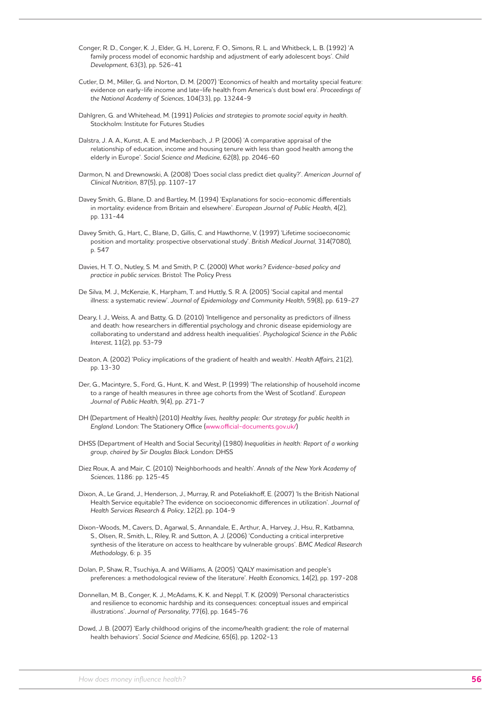- Conger, R. D., Conger, K. J., Elder, G. H., Lorenz, F. O., Simons, R. L. and Whitbeck, L. B. (1992) 'A family process model of economic hardship and adjustment of early adolescent boys'. *Child Development*, 63(3), pp. 526-41
- Cutler, D. M., Miller, G. and Norton, D. M. (2007) 'Economics of health and mortality special feature: evidence on early-life income and late-life health from America's dust bowl era'. *Proceedings of the National Academy of Sciences*, 104(33), pp. 13244-9
- Dahlgren, G. and Whitehead, M. (1991) *Policies and strategies to promote social equity in health*. Stockholm: Institute for Futures Studies
- Dalstra, J. A. A., Kunst, A. E. and Mackenbach, J. P. (2006) 'A comparative appraisal of the relationship of education, income and housing tenure with less than good health among the elderly in Europe'. *Social Science and Medicine*, 62(8), pp. 2046-60
- Darmon, N. and Drewnowski, A. (2008) 'Does social class predict diet quality?'. *American Journal of Clinical Nutrition*, 87(5), pp. 1107-17
- Davey Smith, G., Blane, D. and Bartley, M. (1994) 'Explanations for socio-economic differentials in mortality: evidence from Britain and elsewhere'. *European Journal of Public Health*, 4(2), pp. 131-44
- Davey Smith, G., Hart, C., Blane, D., Gillis, C. and Hawthorne, V. (1997) 'Lifetime socioeconomic position and mortality: prospective observational study'. *British Medical Journal*, 314(7080), p. 547
- Davies, H. T. O., Nutley, S. M. and Smith, P. C. (2000) *What works? Evidence-based policy and practice in public services*. Bristol: The Policy Press
- De Silva, M. J., McKenzie, K., Harpham, T. and Huttly, S. R. A. (2005) 'Social capital and mental illness: a systematic review'. *Journal of Epidemiology and Community Health*, 59(8), pp. 619-27
- Deary, I. J., Weiss, A. and Batty, G. D. (2010) 'Intelligence and personality as predictors of illness and death: how researchers in differential psychology and chronic disease epidemiology are collaborating to understand and address health inequalities'. *Psychological Science in the Public Interest*, 11(2), pp. 53-79
- Deaton, A. (2002) 'Policy implications of the gradient of health and wealth'. *Health Affairs*, 21(2), pp. 13-30
- Der, G., Macintyre, S., Ford, G., Hunt, K. and West, P. (1999) 'The relationship of household income to a range of health measures in three age cohorts from the West of Scotland'. *European Journal of Public Health*, 9(4), pp. 271-7
- DH (Department of Health) (2010) *Healthy lives, healthy people: Our strategy for public health in England*. London: The Stationery Office (www.official-documents.gov.uk/)
- DHSS (Department of Health and Social Security) (1980) *Inequalities in health: Report of a working group, chaired by Sir Douglas Black*. London: DHSS
- Diez Roux, A. and Mair, C. (2010) 'Neighborhoods and health'. *Annals of the New York Academy of Sciences*, 1186: pp. 125-45
- Dixon, A., Le Grand, J., Henderson, J., Murray, R. and Poteliakhoff, E. (2007) 'Is the British National Health Service equitable? The evidence on socioeconomic differences in utilization'. *Journal of Health Services Research & Policy*, 12(2), pp. 104-9
- Dixon-Woods, M., Cavers, D., Agarwal, S., Annandale, E., Arthur, A., Harvey, J., Hsu, R., Katbamna, S., Olsen, R., Smith, L., Riley, R. and Sutton, A. J. (2006) 'Conducting a critical interpretive synthesis of the literature on access to healthcare by vulnerable groups'. *BMC Medical Research Methodology*, 6: p. 35
- Dolan, P., Shaw, R., Tsuchiya, A. and Williams, A. (2005) 'QALY maximisation and people's preferences: a methodological review of the literature'. *Health Economics*, 14(2), pp. 197-208
- Donnellan, M. B., Conger, K. J., McAdams, K. K. and Neppl, T. K. (2009) 'Personal characteristics and resilience to economic hardship and its consequences: conceptual issues and empirical illustrations'. *Journal of Personality*, 77(6), pp. 1645-76
- Dowd, J. B. (2007) 'Early childhood origins of the income/health gradient: the role of maternal health behaviors'. *Social Science and Medicine*, 65(6), pp. 1202-13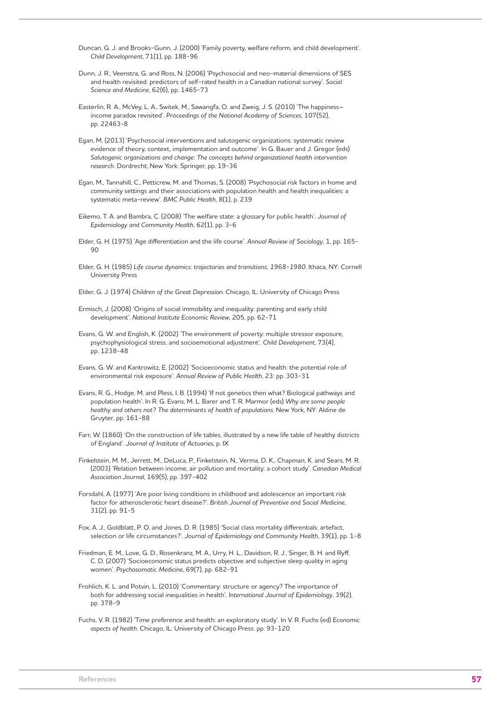Duncan, G. J. and Brooks-Gunn, J. (2000) 'Family poverty, welfare reform, and child development'. *Child Development*, 71(1), pp. 188-96

- Dunn, J. R., Veenstra, G. and Ross, N. (2006) 'Psychosocial and neo-material dimensions of SES and health revisited: predictors of self-rated health in a Canadian national survey'. *Social Science and Medicine*, 62(6), pp. 1465-73
- Easterlin, R. A., McVey, L. A., Switek, M., Sawangfa, O. and Zweig, J. S. (2010) 'The happiness– income paradox revisited'. *Proceedings of the National Academy of Sciences*, 107(52), pp. 22463-8
- Egan, M. (2013) 'Psychosocial interventions and salutogenic organizations: systematic review evidence of theory, context, implementation and outcome'. In G. Bauer and J. Gregor (eds) *Salutogenic organizations and change: The concepts behind organizational health intervention research*. Dordrecht; New York: Springer, pp. 19-36
- Egan, M., Tannahill, C., Petticrew, M. and Thomas, S. (2008) 'Psychosocial risk factors in home and community settings and their associations with population health and health inequalities: a systematic meta-review'. *BMC Public Health*, 8(1), p. 239
- Eikemo, T. A. and Bambra, C. (2008) 'The welfare state: a glossary for public health'. *Journal of Epidemiology and Community Health*, 62(1), pp. 3-6
- Elder, G. H. (1975) 'Age differentiation and the life course'. *Annual Review of Sociology*, 1, pp. 165-  $9<sub>0</sub>$
- Elder, G. H. (1985) *Life course dynamics: trajectories and transitions, 1968-1980*. Ithaca, NY: Cornell University Press
- Elder, G. J. (1974) *Children of the Great Depression*. Chicago, IL: University of Chicago Press
- Ermisch, J. (2008) 'Origins of social immobility and inequality: parenting and early child development'. *National Institute Economic Review*, 205, pp. 62-71
- Evans, G. W. and English, K. (2002) 'The environment of poverty: multiple stressor exposure, psychophysiological stress, and socioemotional adjustment'. *Child Development*, 73(4), pp. 1238-48
- Evans, G. W. and Kantrowitz, E. (2002) 'Socioeconomic status and health: the potential role of environmental risk exposure'. *Annual Review of Public Health*, 23: pp. 303-31
- Evans, R. G., Hodge, M. and Pless, I. B. (1994) 'If not genetics then what? Biological pathways and population health'. In R. G. Evans, M. L. Barer and T. R. Marmor (eds) *Why are some people healthy and others not? The determinants of health of populations*. New York, NY: Aldine de Gruyter, pp. 161-88
- Farr, W. (1860) 'On the construction of life tables, illustrated by a new life table of healthy districts of England'. *Journal of Institute of Actuaries*, p. IX
- Finkelstein, M. M., Jerrett, M., DeLuca, P., Finkelstein, N., Verma, D. K., Chapman, K. and Sears, M. R. (2003) 'Relation between income, air pollution and mortality: a cohort study'. *Canadian Medical Association Journal*, 169(5), pp. 397-402
- Forsdahl, A. (1977) 'Are poor living conditions in childhood and adolescence an important risk factor for atherosclerotic heart disease?'. *British Journal of Preventive and Social Medicine*, 31(2), pp. 91-5
- Fox, A. J., Goldblatt, P. O. and Jones, D. R. (1985) 'Social class mortality differentials: artefact, selection or life circumstances?'. *Journal of Epidemiology and Community Health*, 39(1), pp. 1-8
- Friedman, E. M., Love, G. D., Rosenkranz, M. A., Urry, H. L., Davidson, R. J., Singer, B. H. and Ryff, C. D. (2007) 'Socioeconomic status predicts objective and subjective sleep quality in aging women'. *Psychosomatic Medicine*, 69(7), pp. 682-91
- Frohlich, K. L. and Potvin, L. (2010) 'Commentary: structure or agency? The importance of both for addressing social inequalities in health'. *International Journal of Epidemiology*, 39(2), pp. 378-9
- Fuchs, V. R. (1982) 'Time preference and health: an exploratory study'. In V. R. Fuchs (ed) *Economic aspects of health*. Chicago, IL: University of Chicago Press: pp. 93-120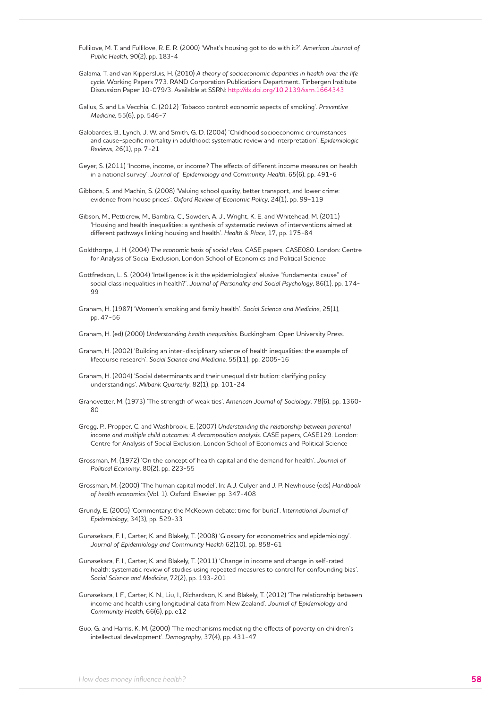Fullilove, M. T. and Fullilove, R. E. R. (2000) 'What's housing got to do with it?'. *American Journal of Public Health*, 90(2), pp. 183-4

- Galama, T. and van Kippersluis, H. (2010) *A theory of socioeconomic disparities in health over the life cycle*. Working Papers 773. RAND Corporation Publications Department. Tinbergen Institute Discussion Paper 10-079/3. Available at SSRN: http://dx.doi.org/10.2139/ssrn.1664343
- Gallus, S. and La Vecchia, C. (2012) 'Tobacco control: economic aspects of smoking'. *Preventive Medicine*, 55(6), pp. 546-7
- Galobardes, B., Lynch, J. W. and Smith, G. D. (2004) 'Childhood socioeconomic circumstances and cause-specific mortality in adulthood: systematic review and interpretation'. *Epidemiologic Reviews*, 26(1), pp. 7-21
- Geyer, S. (2011) 'Income, income, or income? The effects of different income measures on health in a national survey'. *Journal of Epidemiology and Community Health*, 65(6), pp. 491-6
- Gibbons, S. and Machin, S. (2008) 'Valuing school quality, better transport, and lower crime: evidence from house prices'. *Oxford Review of Economic Policy*, 24(1), pp. 99-119
- Gibson, M., Petticrew, M., Bambra, C., Sowden, A. J., Wright, K. E. and Whitehead, M. (2011) 'Housing and health inequalities: a synthesis of systematic reviews of interventions aimed at different pathways linking housing and health'. *Health & Place*, 17, pp. 175-84
- Goldthorpe, J. H. (2004) *The economic basis of social class*. CASE papers, CASE080. London: Centre for Analysis of Social Exclusion, London School of Economics and Political Science
- Gottfredson, L. S. (2004) 'Intelligence: is it the epidemiologists' elusive "fundamental cause" of social class inequalities in health?'. *Journal of Personality and Social Psychology*, 86(1), pp. 174- 99
- Graham, H. (1987) 'Women's smoking and family health'. *Social Science and Medicine*, 25(1), pp. 47-56

Graham, H. (ed) (2000) *Understanding health inequalities*. Buckingham: Open University Press.

- Graham, H. (2002) 'Building an inter-disciplinary science of health inequalities: the example of lifecourse research'. *Social Science and Medicine*, 55(11), pp. 2005-16
- Graham, H. (2004) 'Social determinants and their unequal distribution: clarifying policy understandings'. *Milbank Quarterly*, 82(1), pp. 101-24
- Granovetter, M. (1973) 'The strength of weak ties'. *American Journal of Sociology*, 78(6), pp. 1360- 80
- Gregg, P., Propper, C. and Washbrook, E. (2007) *Understanding the relationship between parental income and multiple child outcomes: A decomposition analysis*. CASE papers, CASE129. London: Centre for Analysis of Social Exclusion, London School of Economics and Political Science
- Grossman, M. (1972) 'On the concept of health capital and the demand for health'. *Journal of Political Economy*, 80(2), pp. 223-55
- Grossman, M. (2000) 'The human capital model'. In: A.J. Culyer and J. P. Newhouse (eds) *Handbook of health economics* (Vol. 1). Oxford: Elsevier, pp. 347-408
- Grundy, E. (2005) 'Commentary: the McKeown debate: time for burial'. *International Journal of Epidemiology*, 34(3), pp. 529-33
- Gunasekara, F. I., Carter, K. and Blakely, T. (2008) 'Glossary for econometrics and epidemiology'. *Journal of Epidemiology and Community Health* 62(10), pp. 858-61
- Gunasekara, F. I., Carter, K. and Blakely, T. (2011) 'Change in income and change in self-rated health: systematic review of studies using repeated measures to control for confounding bias'. *Social Science and Medicine*, 72(2), pp. 193-201
- Gunasekara, I. F., Carter, K. N., Liu, I., Richardson, K. and Blakely, T. (2012) 'The relationship between income and health using longitudinal data from New Zealand'. *Journal of Epidemiology and Community Health*, 66(6), pp. e12
- Guo, G. and Harris, K. M. (2000) 'The mechanisms mediating the effects of poverty on children's intellectual development'. *Demography*, 37(4), pp. 431-47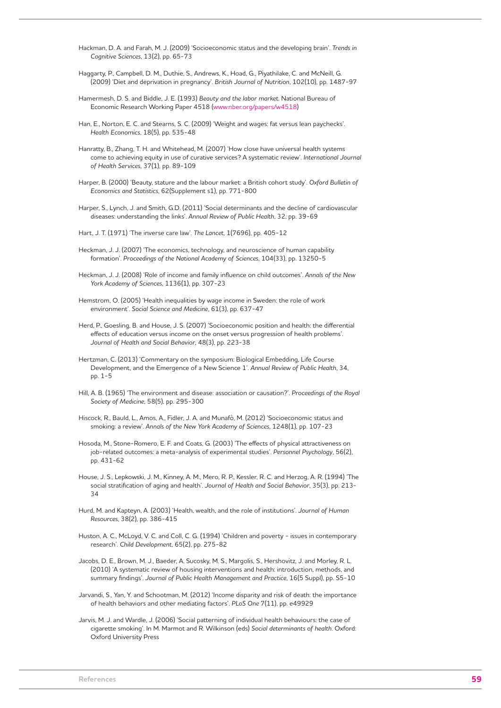Hackman, D. A. and Farah, M. J. (2009) 'Socioeconomic status and the developing brain'. *Trends in Cognitive Sciences*, 13(2), pp. 65-73

- Haggarty, P., Campbell, D. M., Duthie, S., Andrews, K., Hoad, G., Piyathilake, C. and McNeill, G. (2009) 'Diet and deprivation in pregnancy'. *British Journal of Nutrition*, 102(10), pp. 1487-97
- Hamermesh, D. S. and Biddle, J. E. (1993) *Beauty and the labor market*. National Bureau of Economic Research Working Paper 4518 (www.nber.org/papers/w4518)
- Han, E., Norton, E. C. and Stearns, S. C. (2009) 'Weight and wages: fat versus lean paychecks'. *Health Economics*, 18(5), pp. 535-48
- Hanratty, B., Zhang, T. H. and Whitehead, M. (2007) 'How close have universal health systems come to achieving equity in use of curative services? A systematic review'. *International Journal of Health Services*, 37(1), pp. 89-109
- Harper, B. (2000) 'Beauty, stature and the labour market: a British cohort study'. *Oxford Bulletin of Economics and Statistics*, 62(Supplement s1), pp. 771-800
- Harper, S., Lynch, J. and Smith, G.D. (2011) 'Social determinants and the decline of cardiovascular diseases: understanding the links'. *Annual Review of Public Health*, 32, pp. 39-69
- Hart, J. T. (1971) 'The inverse care law'. *The Lancet*, 1(7696), pp. 405-12
- Heckman, J. J. (2007) 'The economics, technology, and neuroscience of human capability formation'. *Proceedings of the National Academy of Sciences*, 104(33), pp. 13250-5
- Heckman, J. J. (2008) 'Role of income and family influence on child outcomes'. *Annals of the New York Academy of Sciences*, 1136(1), pp. 307-23
- Hemstrom, O. (2005) 'Health inequalities by wage income in Sweden: the role of work environment'. *Social Science and Medicine*, 61(3), pp. 637-47
- Herd, P., Goesling, B. and House, J. S. (2007) 'Socioeconomic position and health: the differential effects of education versus income on the onset versus progression of health problems'. *Journal of Health and Social Behavior*, 48(3), pp. 223-38
- Hertzman, C. (2013) 'Commentary on the symposium: Biological Embedding, Life Course Development, and the Emergence of a New Science 1'. *Annual Review of Public Health*, 34, pp. 1-5
- Hill, A. B. (1965) 'The environment and disease: association or causation?'. *Proceedings of the Royal Society of Medicine*, 58(5), pp. 295-300
- Hiscock, R., Bauld, L., Amos, A., Fidler, J. A. and Munafò, M. (2012) 'Socioeconomic status and smoking: a review'. *Annals of the New York Academy of Sciences*, 1248(1), pp. 107-23
- Hosoda, M., Stone-Romero, E. F. and Coats, G. (2003) 'The effects of physical attractiveness on job-related outcomes: a meta-analysis of experimental studies'. *Personnel Psychology*, 56(2), pp. 431-62
- House, J. S., Lepkowski, J. M., Kinney, A. M., Mero, R. P., Kessler, R. C. and Herzog, A. R. (1994) 'The social stratification of aging and health'. *Journal of Health and Social Behavior*, 35(3), pp. 213- 34
- Hurd, M. and Kapteyn, A. (2003) 'Health, wealth, and the role of institutions'. *Journal of Human Resources*, 38(2), pp. 386-415
- Huston, A. C., McLoyd, V. C. and Coll, C. G. (1994) 'Children and poverty issues in contemporary research'. *Child Development*, 65(2), pp. 275-82
- Jacobs, D. E., Brown, M. J., Baeder, A. Sucosky, M. S., Margolis, S., Hershovitz, J. and Morley, R. L. (2010) 'A systematic review of housing interventions and health: introduction, methods, and summary findings'. *Journal of Public Health Management and Practice*, 16(5 Suppl), pp. S5-10
- Jarvandi, S., Yan, Y. and Schootman, M. (2012) 'Income disparity and risk of death: the importance of health behaviors and other mediating factors'. *PLoS One* 7(11), pp. e49929
- Jarvis, M. J. and Wardle, J. (2006) 'Social patterning of individual health behaviours: the case of cigarette smoking'. In M. Marmot and R. Wilkinson (eds) *Social determinants of health*. Oxford: Oxford University Press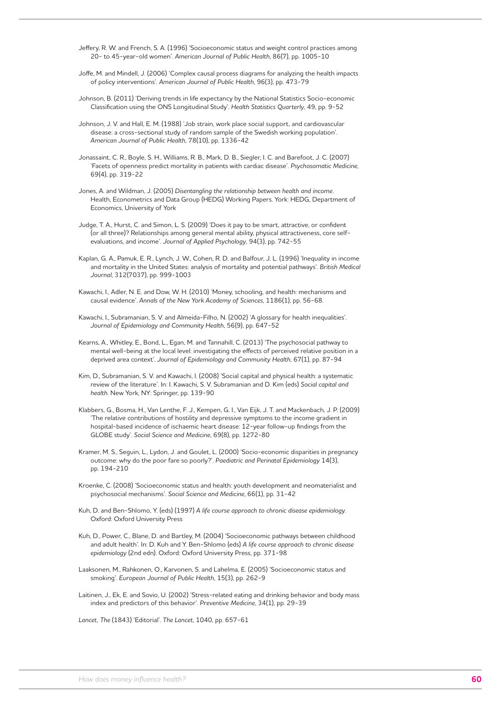Jeffery, R. W. and French, S. A. (1996) 'Socioeconomic status and weight control practices among 20- to 45-year-old women'. *American Journal of Public Health*, 86(7), pp. 1005-10

- Joffe, M. and Mindell, J. (2006) 'Complex causal process diagrams for analyzing the health impacts of policy interventions'. *American Journal of Public Health*, 96(3), pp. 473-79
- Johnson, B. (2011) 'Deriving trends in life expectancy by the National Statistics Socio-economic Classification using the ONS Longitudinal Study'. *Health Statistics Quarterly*, 49, pp. 9-52
- Johnson, J. V. and Hall, E. M. (1988) 'Job strain, work place social support, and cardiovascular disease: a cross-sectional study of random sample of the Swedish working population'. *American Journal of Public Health*, 78(10), pp. 1336-42
- Jonassaint, C. R., Boyle, S. H., Williams, R. B., Mark, D. B., Siegler, I. C. and Barefoot, J. C. (2007) 'Facets of openness predict mortality in patients with cardiac disease'. *Psychosomatic Medicine*, 69(4), pp. 319-22

Jones, A. and Wildman, J. (2005) *Disentangling the relationship between health and income*. Health, Econometrics and Data Group (HEDG) Working Papers. York: HEDG, Department of Economics, University of York

- Judge, T. A., Hurst, C. and Simon, L. S. (2009) 'Does it pay to be smart, attractive, or confident (or all three)? Relationships among general mental ability, physical attractiveness, core selfevaluations, and income'. *Journal of Applied Psychology*, 94(3), pp. 742-55
- Kaplan, G. A., Pamuk, E. R., Lynch, J. W., Cohen, R. D. and Balfour, J. L. (1996) 'Inequality in income and mortality in the United States: analysis of mortality and potential pathways'. *British Medical Journal*, 312(7037), pp. 999-1003
- Kawachi, I., Adler, N. E. and Dow, W. H. (2010) 'Money, schooling, and health: mechanisms and causal evidence'. *Annals of the New York Academy of Sciences*, 1186(1), pp. 56-68.

Kawachi, I., Subramanian, S. V. and Almeida-Filho, N. (2002) 'A glossary for health inequalities'. *Journal of Epidemiology and Community Health*, 56(9), pp. 647-52

Kearns, A., Whitley, E., Bond, L., Egan, M. and Tannahill, C. (2013) 'The psychosocial pathway to mental well-being at the local level: investigating the effects of perceived relative position in a deprived area context'. *Journal of Epidemiology and Community Health*, 67(1), pp. 87-94

- Kim, D., Subramanian, S. V. and Kawachi, I. (2008) 'Social capital and physical health: a systematic review of the literature'. In: I. Kawachi, S. V. Subramanian and D. Kim (eds) *Social capital and health*. New York, NY: Springer, pp. 139-90
- Klabbers, G., Bosma, H., Van Lenthe, F. J., Kempen, G. I., Van Eijk, J. T. and Mackenbach, J. P. (2009) 'The relative contributions of hostility and depressive symptoms to the income gradient in hospital-based incidence of ischaemic heart disease: 12-year follow-up findings from the GLOBE study'. *Social Science and Medicine*, 69(8), pp. 1272-80
- Kramer, M. S., Seguin, L., Lydon, J. and Goulet, L. (2000) 'Socio-economic disparities in pregnancy outcome: why do the poor fare so poorly?'. *Paediatric and Perinatal Epidemiology* 14(3), pp. 194-210
- Kroenke, C. (2008) 'Socioeconomic status and health: youth development and neomaterialist and psychosocial mechanisms'. *Social Science and Medicine*, 66(1), pp. 31-42
- Kuh, D. and Ben-Shlomo, Y. (eds) (1997) *A life course approach to chronic disease epidemiology*. Oxford: Oxford University Press
- Kuh, D., Power, C., Blane, D. and Bartley, M. (2004) 'Socioeconomic pathways between childhood and adult health'. In: D. Kuh and Y. Ben-Shlomo (eds) *A life course approach to chronic disease epidemiology* (2nd edn). Oxford: Oxford University Press, pp. 371-98
- Laaksonen, M., Rahkonen, O., Karvonen, S. and Lahelma, E. (2005) 'Socioeconomic status and smoking'. *European Journal of Public Health*, 15(3), pp. 262-9
- Laitinen, J., Ek, E. and Sovio, U. (2002) 'Stress-related eating and drinking behavior and body mass index and predictors of this behavior'. *Preventive Medicine*, 34(1), pp. 29-39

*Lancet, The* (1843) 'Editorial'. *The Lancet*, 1040, pp. 657-61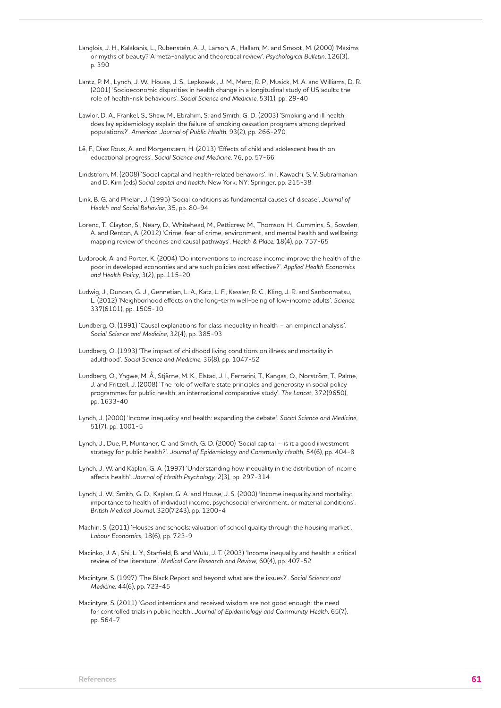Langlois, J. H., Kalakanis, L., Rubenstein, A. J., Larson, A., Hallam, M. and Smoot, M. (2000) 'Maxims or myths of beauty? A meta-analytic and theoretical review'. *Psychological Bulletin*, 126(3), p. 390

- Lantz, P. M., Lynch, J. W., House, J. S., Lepkowski, J. M., Mero, R. P., Musick, M. A. and Williams, D. R. (2001) 'Socioeconomic disparities in health change in a longitudinal study of US adults: the role of health-risk behaviours'. *Social Science and Medicine*, 53(1), pp. 29-40
- Lawlor, D. A., Frankel, S., Shaw, M., Ebrahim, S. and Smith, G. D. (2003) 'Smoking and ill health: does lay epidemiology explain the failure of smoking cessation programs among deprived populations?'. *American Journal of Public Health*, 93(2), pp. 266-270
- Lê, F., Diez Roux, A. and Morgenstern, H. (2013) 'Effects of child and adolescent health on educational progress'. *Social Science and Medicine*, 76, pp. 57-66
- Lindström, M. (2008) 'Social capital and health-related behaviors'. In I. Kawachi, S. V. Subramanian and D. Kim (eds) *Social capital and health*. New York, NY: Springer, pp. 215-38
- Link, B. G. and Phelan, J. (1995) 'Social conditions as fundamental causes of disease'. *Journal of Health and Social Behavior*, 35, pp. 80-94
- Lorenc, T., Clayton, S., Neary, D., Whitehead, M., Petticrew, M., Thomson, H., Cummins, S., Sowden, A. and Renton, A. (2012) 'Crime, fear of crime, environment, and mental health and wellbeing: mapping review of theories and causal pathways'. *Health & Place*, 18(4), pp. 757-65
- Ludbrook, A. and Porter, K. (2004) 'Do interventions to increase income improve the health of the poor in developed economies and are such policies cost effective?'. *Applied Health Economics and Health Policy*, 3(2), pp. 115-20
- Ludwig, J., Duncan, G. J., Gennetian, L. A., Katz, L. F., Kessler, R. C., Kling, J. R. and Sanbonmatsu, L. (2012) 'Neighborhood effects on the long-term well-being of low-income adults'. *Science*, 337(6101), pp. 1505-10
- Lundberg, O. (1991) 'Causal explanations for class inequality in health an empirical analysis'. *Social Science and Medicine*, 32(4), pp. 385-93
- Lundberg, O. (1993) 'The impact of childhood living conditions on illness and mortality in adulthood'. *Social Science and Medicine*, 36(8), pp. 1047-52
- Lundberg, O., Yngwe, M. Å., Stjärne, M. K., Elstad, J. I., Ferrarini, T., Kangas, O., Norström, T., Palme, J. and Fritzell, J. (2008) 'The role of welfare state principles and generosity in social policy programmes for public health: an international comparative study'. *The Lancet*, 372(9650), pp. 1633-40
- Lynch, J. (2000) 'Income inequality and health: expanding the debate'. *Social Science and Medicine*, 51(7), pp. 1001-5
- Lynch, J., Due, P., Muntaner, C. and Smith, G. D. (2000) 'Social capital is it a good investment strategy for public health?'. *Journal of Epidemiology and Community Health*, 54(6), pp. 404-8
- Lynch, J. W. and Kaplan, G. A. (1997) 'Understanding how inequality in the distribution of income affects health'. *Journal of Health Psychology*, 2(3), pp. 297-314
- Lynch, J. W., Smith, G. D., Kaplan, G. A. and House, J. S. (2000) 'Income inequality and mortality: importance to health of individual income, psychosocial environment, or material conditions'. *British Medical Journal*, 320(7243), pp. 1200-4
- Machin, S. (2011) 'Houses and schools: valuation of school quality through the housing market'. *Labour Economics*, 18(6), pp. 723-9
- Macinko, J. A., Shi, L. Y., Starfield, B. and Wulu, J. T. (2003) 'Income inequality and health: a critical review of the literature'. *Medical Care Research and Review*, 60(4), pp. 407-52
- Macintyre, S. (1997) 'The Black Report and beyond: what are the issues?'. *Social Science and Medicine*, 44(6), pp. 723-45
- Macintyre, S. (2011) 'Good intentions and received wisdom are not good enough: the need for controlled trials in public health'. *Journal of Epidemiology and Community Health*, 65(7), pp. 564-7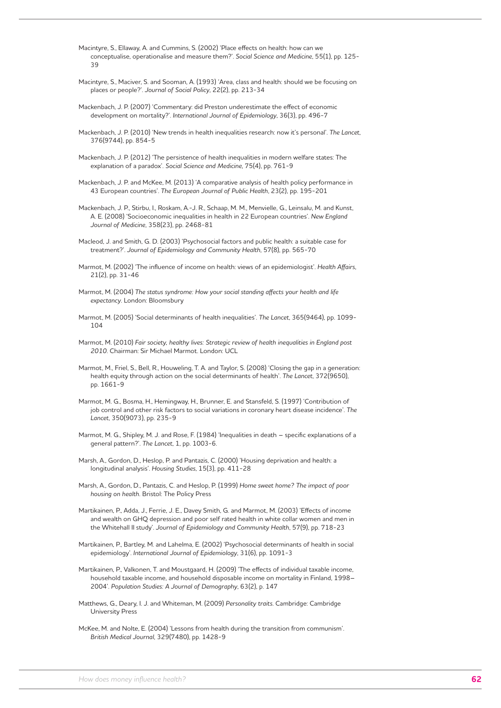- Macintyre, S., Ellaway, A. and Cummins, S. (2002) 'Place effects on health: how can we conceptualise, operationalise and measure them?'. *Social Science and Medicine*, 55(1), pp. 125- 39
- Macintyre, S., Maciver, S. and Sooman, A. (1993) 'Area, class and health: should we be focusing on places or people?'. *Journal of Social Policy*, 22(2), pp. 213-34
- Mackenbach, J. P. (2007) 'Commentary: did Preston underestimate the effect of economic development on mortality?'. *International Journal of Epidemiology*, 36(3), pp. 496-7
- Mackenbach, J. P. (2010) 'New trends in health inequalities research: now it's personal'. *The Lancet*, 376(9744), pp. 854-5
- Mackenbach, J. P. (2012) 'The persistence of health inequalities in modern welfare states: The explanation of a paradox'*. Social Science and Medicine*, 75(4), pp. 761-9
- Mackenbach, J. P. and McKee, M. (2013) 'A comparative analysis of health policy performance in 43 European countries'. *The European Journal of Public Health*, 23(2), pp. 195-201
- Mackenbach, J. P., Stirbu, I., Roskam, A.-J. R., Schaap, M. M., Menvielle, G., Leinsalu, M. and Kunst, A. E. (2008) 'Socioeconomic inequalities in health in 22 European countries'. *New England Journal of Medicine*, 358(23), pp. 2468-81
- Macleod, J. and Smith, G. D. (2003) 'Psychosocial factors and public health: a suitable case for treatment?'. *Journal of Epidemiology and Community Health*, 57(8), pp. 565-70
- Marmot, M. (2002) 'The influence of income on health: views of an epidemiologist'. *Health Affairs*, 21(2), pp. 31-46
- Marmot, M. (2004) *The status syndrome: How your social standing affects your health and life expectancy*. London: Bloomsbury
- Marmot, M. (2005) 'Social determinants of health inequalities'. *The Lancet*, 365(9464), pp. 1099- 104
- Marmot, M. (2010) *Fair society, healthy lives: Strategic review of health inequalities in England post 2010*. Chairman: Sir Michael Marmot. London: UCL
- Marmot, M., Friel, S., Bell, R., Houweling, T. A. and Taylor, S. (2008) 'Closing the gap in a generation: health equity through action on the social determinants of health'. *The Lancet*, 372(9650), pp. 1661-9
- Marmot, M. G., Bosma, H., Hemingway, H., Brunner, E. and Stansfeld, S. (1997) 'Contribution of job control and other risk factors to social variations in coronary heart disease incidence'. *The Lancet*, 350(9073), pp. 235-9
- Marmot, M. G., Shipley, M. J. and Rose, F. (1984) 'Inequalities in death specific explanations of a general pattern?'. *The Lancet*, 1, pp. 1003-6.
- Marsh, A., Gordon, D., Heslop, P. and Pantazis, C. (2000) 'Housing deprivation and health: a longitudinal analysis'. *Housing Studies*, 15(3), pp. 411-28
- Marsh, A., Gordon, D., Pantazis, C. and Heslop, P. (1999) *Home sweet home? The impact of poor housing on health.* Bristol: The Policy Press
- Martikainen, P., Adda, J., Ferrie, J. E., Davey Smith, G. and Marmot, M. (2003) 'Effects of income and wealth on GHQ depression and poor self rated health in white collar women and men in the Whitehall II study'. *Journal of Epidemiology and Community Health*, 57(9), pp. 718-23
- Martikainen, P., Bartley, M. and Lahelma, E. (2002) 'Psychosocial determinants of health in social epidemiology'. *International Journal of Epidemiology*, 31(6), pp. 1091-3
- Martikainen, P., Valkonen, T. and Moustgaard, H. (2009) 'The effects of individual taxable income, household taxable income, and household disposable income on mortality in Finland, 1998– 2004'. *Population Studies: A Journal of Demography*, 63(2), p. 147
- Matthews, G., Deary, I. J. and Whiteman, M. (2009) *Personality traits*. Cambridge: Cambridge University Press
- McKee, M. and Nolte, E. (2004) 'Lessons from health during the transition from communism'. *British Medical Journal*, 329(7480), pp. 1428-9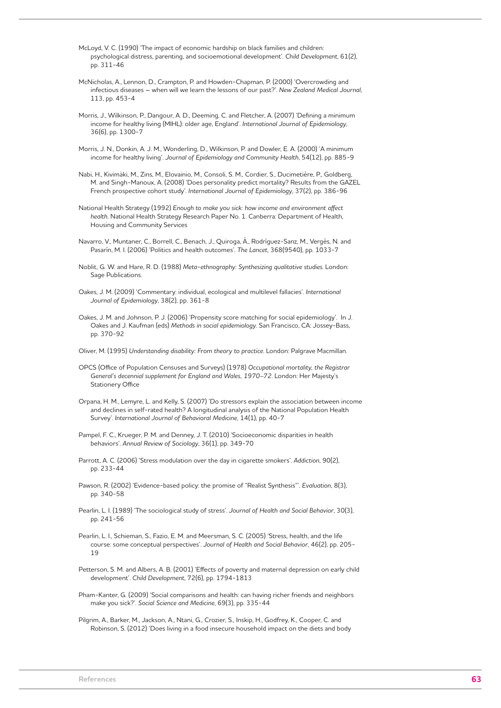McLoyd, V. C. (1990) 'The impact of economic hardship on black families and children: psychological distress, parenting, and socioemotional development'. *Child Development*, 61(2), pp. 311-46

McNicholas, A., Lennon, D., Crampton, P. and Howden-Chapman, P. (2000) 'Overcrowding and infectious diseases – when will we learn the lessons of our past?'. *New Zealand Medical Journal*, 113, pp. 453-4

Morris, J., Wilkinson, P., Dangour, A. D., Deeming, C. and Fletcher, A. (2007) 'Defining a minimum income for healthy living (MIHL): older age, England'. *International Journal of Epidemiology*, 36(6), pp. 1300-7

Morris, J. N., Donkin, A. J. M., Wonderling, D., Wilkinson, P. and Dowler, E. A. (2000) 'A minimum income for healthy living'. *Journal of Epidemiology and Community Health*, 54(12), pp. 885-9

Nabi, H., Kivimäki, M., Zins, M., Elovainio, M., Consoli, S. M., Cordier, S., Ducimetière, P., Goldberg, M. and Singh-Manoux, A. (2008) 'Does personality predict mortality? Results from the GAZEL French prospective cohort study'. *International Journal of Epidemiology*, 37(2), pp. 386-96

National Health Strategy (1992) *Enough to make you sick: how income and environment affect health*. National Health Strategy Research Paper No. 1. Canberra: Department of Health, Housing and Community Services

Navarro, V., Muntaner, C., Borrell, C., Benach, J., Quiroga, Á., Rodríguez-Sanz, M., Vergés, N. and Pasarín, M. I. (2006) 'Politics and health outcomes'. *The Lancet*, 368(9540), pp. 1033-7

Noblit, G. W. and Hare, R. D. (1988) *Meta-ethnography: Synthesizing qualitative studies*. London: Sage Publications.

Oakes, J. M. (2009) 'Commentary: individual, ecological and multilevel fallacies'. *International Journal of Epidemiology*, 38(2), pp. 361-8

Oakes, J. M. and Johnson, P. J. (2006) 'Propensity score matching for social epidemiology'. In J. Oakes and J. Kaufman (eds) *Methods in social epidemiology*. San Francisco, CA: Jossey-Bass, pp. 370-92

Oliver, M. (1995) *Understanding disability: From theory to practice*. London: Palgrave Macmillan.

OPCS (Office of Population Censuses and Surveys) (1978) *Occupational mortality, the Registrar General's decennial supplement for England and Wales, 1970–72*. London: Her Majesty's Stationery Office

Orpana, H. M., Lemyre, L. and Kelly, S. (2007) 'Do stressors explain the association between income and declines in self-rated health? A longitudinal analysis of the National Population Health Survey'. *International Journal of Behavioral Medicine*, 14(1), pp. 40-7

Pampel, F. C., Krueger, P. M. and Denney, J. T. (2010) 'Socioeconomic disparities in health behaviors'. *Annual Review of Sociology*, 36(1), pp. 349-70

Parrott, A. C. (2006) 'Stress modulation over the day in cigarette smokers'. *Addiction*, 90(2), pp. 233-44

Pawson, R. (2002) 'Evidence-based policy: the promise of "Realist Synthesis"'. *Evaluation*, 8(3), pp. 340-58

Pearlin, L. I. (1989) 'The sociological study of stress'. *Journal of Health and Social Behavior*, 30(3), pp. 241-56

Pearlin, L. I., Schieman, S., Fazio, E. M. and Meersman, S. C. (2005) 'Stress, health, and the life course: some conceptual perspectives'. *Journal of Health and Social Behavior*, 46(2), pp. 205- 19

Petterson, S. M. and Albers, A. B. (2001) 'Effects of poverty and maternal depression on early child development'. *Child Development*, 72(6), pp. 1794-1813

Pham-Kanter, G. (2009) 'Social comparisons and health: can having richer friends and neighbors make you sick?'. *Social Science and Medicine*, 69(3), pp. 335-44

Pilgrim, A., Barker, M., Jackson, A., Ntani, G., Crozier, S., Inskip, H., Godfrey, K., Cooper, C. and Robinson, S. (2012) 'Does living in a food insecure household impact on the diets and body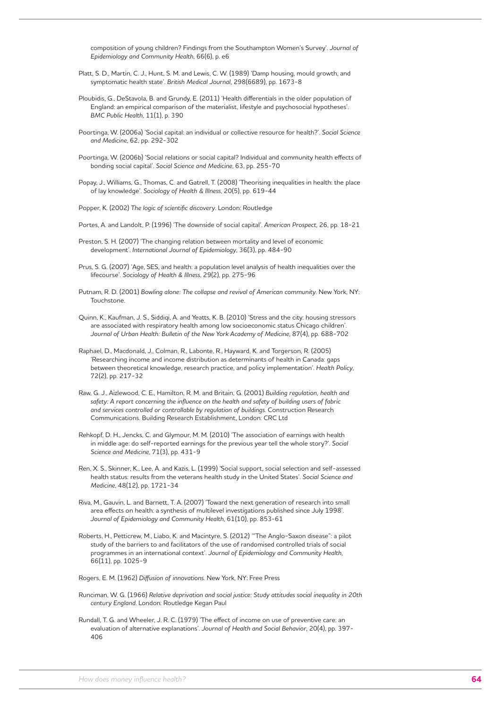composition of young children? Findings from the Southampton Women's Survey'. *Journal of Epidemiology and Community Health*, 66(6), p. e6

- Platt, S. D., Martin, C. J., Hunt, S. M. and Lewis, C. W. (1989) 'Damp housing, mould growth, and symptomatic health state'. *British Medical Journal*, 298(6689), pp. 1673-8
- Ploubidis, G., DeStavola, B. and Grundy, E. (2011) 'Health differentials in the older population of England: an empirical comparison of the materialist, lifestyle and psychosocial hypotheses'. *BMC Public Health*, 11(1), p. 390
- Poortinga, W. (2006a) 'Social capital: an individual or collective resource for health?'. *Social Science and Medicine*, 62, pp. 292-302
- Poortinga, W. (2006b) 'Social relations or social capital? Individual and community health effects of bonding social capital'. *Social Science and Medicine*, 63, pp. 255-70
- Popay, J., Williams, G., Thomas, C. and Gatrell, T. (2008) 'Theorising inequalities in health: the place of lay knowledge'. *Sociology of Health & Illness*, 20(5), pp. 619-44

Popper, K. (2002) *The logic of scientific discovery*. London: Routledge

Portes, A. and Landolt, P. (1996) 'The downside of social capital'. *American Prospect*, 26, pp. 18-21

- Preston, S. H. (2007) 'The changing relation between mortality and level of economic development'. *International Journal of Epidemiology*, 36(3), pp. 484-90
- Prus, S. G. (2007) 'Age, SES, and health: a population level analysis of health inequalities over the lifecourse'. *Sociology of Health & Illness*, 29(2), pp. 275-96
- Putnam, R. D. (2001) *Bowling alone: The collapse and revival of American community*. New York, NY: Touchstone.
- Quinn, K., Kaufman, J. S., Siddiqi, A. and Yeatts, K. B. (2010) 'Stress and the city: housing stressors are associated with respiratory health among low socioeconomic status Chicago children'. *Journal of Urban Health: Bulletin of the New York Academy of Medicine*, 87(4), pp. 688-702
- Raphael, D., Macdonald, J., Colman, R., Labonte, R., Hayward, K. and Torgerson, R. (2005) 'Researching income and income distribution as determinants of health in Canada: gaps between theoretical knowledge, research practice, and policy implementation'. *Health Policy*, 72(2), pp. 217-32
- Raw, G. J., Aizlewood, C. E., Hamilton, R. M. and Britain, G. (2001) *Building regulation, health and safety: A report concerning the influence on the health and safety of building users of fabric and services controlled or controllable by regulation of buildings*. Construction Research Communications. Building Research Establishment, London: CRC Ltd
- Rehkopf, D. H., Jencks, C. and Glymour, M. M. (2010) 'The association of earnings with health in middle age: do self-reported earnings for the previous year tell the whole story?'. *Social Science and Medicine*, 71(3), pp. 431-9
- Ren, X. S., Skinner, K., Lee, A. and Kazis, L. (1999) 'Social support, social selection and self-assessed health status: results from the veterans health study in the United States'. *Social Science and Medicine*, 48(12), pp. 1721-34
- Riva, M., Gauvin, L. and Barnett, T. A. (2007) 'Toward the next generation of research into small area effects on health: a synthesis of multilevel investigations published since July 1998'. *Journal of Epidemiology and Community Health*, 61(10), pp. 853-61
- Roberts, H., Petticrew, M., Liabo, K. and Macintyre, S. (2012) '"The Anglo-Saxon disease": a pilot study of the barriers to and facilitators of the use of randomised controlled trials of social programmes in an international context'. *Journal of Epidemiology and Community Health*, 66(11), pp. 1025-9

Rogers, E. M. (1962) *Diffusion of innovations*. New York, NY: Free Press

- Runciman, W. G. (1966) *Relative deprivation and social justice: Study attitudes social inequality in 20th century England*. London: Routledge Kegan Paul
- Rundall, T. G. and Wheeler, J. R. C. (1979) 'The effect of income on use of preventive care: an evaluation of alternative explanations'. *Journal of Health and Social Behavior*, 20(4), pp. 397- 406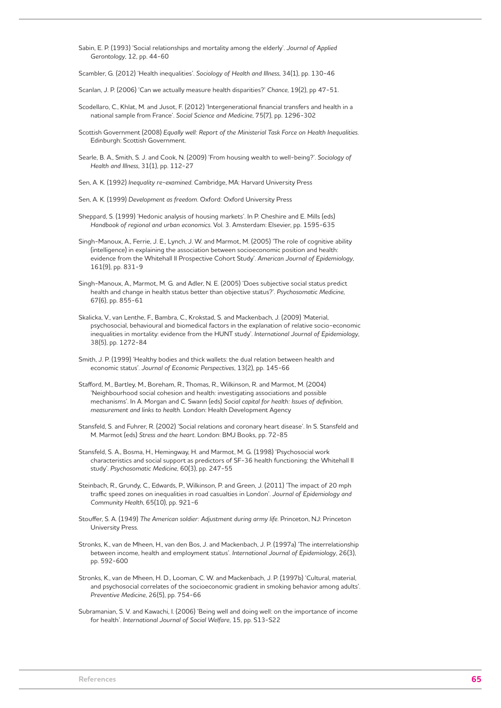Sabin, E. P. (1993) 'Social relationships and mortality among the elderly'. *Journal of Applied Gerontology*, 12, pp. 44-60

Scambler, G. (2012) 'Health inequalities'. *Sociology of Health and Illness*, 34(1), pp. 130-46

Scanlan, J. P. (2006) 'Can we actually measure health disparities?' *Chance*, 19(2), pp 47-51.

- Scodellaro, C., Khlat, M. and Jusot, F. (2012) 'Intergenerational financial transfers and health in a national sample from France'. *Social Science and Medicine*, 75(7), pp. 1296-302
- Scottish Government (2008) *Equally well: Report of the Ministerial Task Force on Health Inequalities*. Edinburgh: Scottish Government.
- Searle, B. A., Smith, S. J. and Cook, N. (2009) 'From housing wealth to well-being?'. *Sociology of Health and Illness*, 31(1), pp. 112-27

Sen, A. K. (1992) *Inequality re-examined*. Cambridge, MA: Harvard University Press

Sen, A. K. (1999) *Development as freedom*. Oxford: Oxford University Press

- Sheppard, S. (1999) 'Hedonic analysis of housing markets'. In P. Cheshire and E. Mills (eds) *Handbook of regional and urban economics*. Vol. 3. Amsterdam: Elsevier, pp. 1595-635
- Singh-Manoux, A., Ferrie, J. E., Lynch, J. W. and Marmot, M. (2005) 'The role of cognitive ability (intelligence) in explaining the association between socioeconomic position and health: evidence from the Whitehall II Prospective Cohort Study'. *American Journal of Epidemiology*, 161(9), pp. 831-9
- Singh-Manoux, A., Marmot, M. G. and Adler, N. E. (2005) 'Does subjective social status predict health and change in health status better than objective status?'. *Psychosomatic Medicine*, 67(6), pp. 855-61
- Skalicka, V., van Lenthe, F., Bambra, C., Krokstad, S. and Mackenbach, J. (2009) 'Material, psychosocial, behavioural and biomedical factors in the explanation of relative socio-economic inequalities in mortality: evidence from the HUNT study'. *International Journal of Epidemiology*, 38(5), pp. 1272-84
- Smith, J. P. (1999) 'Healthy bodies and thick wallets: the dual relation between health and economic status'. *Journal of Economic Perspectives*, 13(2), pp. 145-66
- Stafford, M., Bartley, M., Boreham, R., Thomas, R., Wilkinson, R. and Marmot, M. (2004) 'Neighbourhood social cohesion and health: investigating associations and possible mechanisms'. In A. Morgan and C. Swann (eds) *Social capital for health: Issues of definition, measurement and links to health.* London: Health Development Agency
- Stansfeld, S. and Fuhrer, R. (2002) 'Social relations and coronary heart disease'. In S. Stansfeld and M. Marmot (eds) *Stress and the heart*. London: BMJ Books, pp. 72-85
- Stansfeld, S. A., Bosma, H., Hemingway, H. and Marmot, M. G. (1998) 'Psychosocial work characteristics and social support as predictors of SF-36 health functioning: the Whitehall II study'. *Psychosomatic Medicine*, 60(3), pp. 247-55
- Steinbach, R., Grundy, C., Edwards, P., Wilkinson, P. and Green, J. (2011) 'The impact of 20 mph traffic speed zones on inequalities in road casualties in London'. *Journal of Epidemiology and Community Health*, 65(10), pp. 921-6
- Stouffer, S. A. (1949) *The American soldier: Adjustment during army life*. Princeton, NJ: Princeton University Press.
- Stronks, K., van de Mheen, H., van den Bos, J. and Mackenbach, J. P. (1997a) 'The interrelationship between income, health and employment status'. *International Journal of Epidemiology*, 26(3), pp. 592-600
- Stronks, K., van de Mheen, H. D., Looman, C. W. and Mackenbach, J. P. (1997b) 'Cultural, material, and psychosocial correlates of the socioeconomic gradient in smoking behavior among adults'. *Preventive Medicine*, 26(5), pp. 754-66
- Subramanian, S. V. and Kawachi, I. (2006) 'Being well and doing well: on the importance of income for health'. *International Journal of Social Welfare*, 15, pp. S13-S22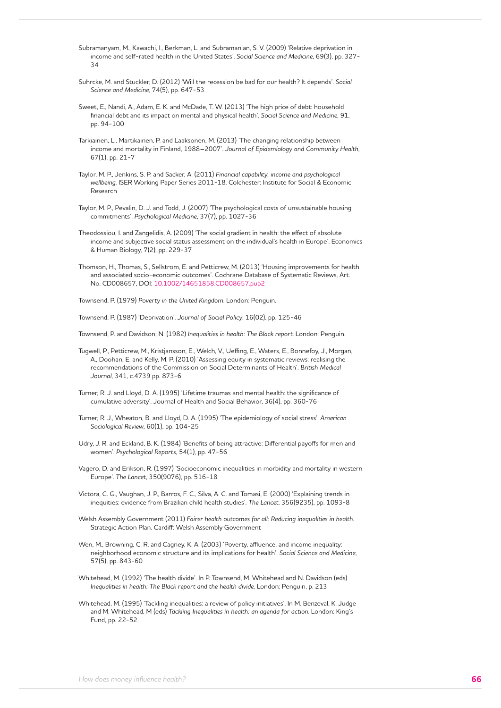Subramanyam, M., Kawachi, I., Berkman, L. and Subramanian, S. V. (2009) 'Relative deprivation in income and self-rated health in the United States'. *Social Science and Medicine*, 69(3), pp. 327- 34

- Suhrcke, M. and Stuckler, D. (2012) 'Will the recession be bad for our health? It depends'. *Social Science and Medicine*, 74(5), pp. 647-53
- Sweet, E., Nandi, A., Adam, E. K. and McDade, T. W. (2013) 'The high price of debt: household financial debt and its impact on mental and physical health'. *Social Science and Medicine*, 91, pp. 94-100
- Tarkiainen, L., Martikainen, P. and Laaksonen, M. (2013) 'The changing relationship between income and mortality in Finland, 1988–2007'. *Journal of Epidemiology and Community Health*, 67(1), pp. 21-7
- Taylor, M. P., Jenkins, S. P. and Sacker, A. (2011) *Financial capability, income and psychological wellbeing*. ISER Working Paper Series 2011-18. Colchester: Institute for Social & Economic Research
- Taylor, M. P., Pevalin, D. J. and Todd, J. (2007) 'The psychological costs of unsustainable housing commitments'. *Psychological Medicine*, 37(7), pp. 1027-36
- Theodossiou, I. and Zangelidis, A. (2009) 'The social gradient in health: the effect of absolute income and subjective social status assessment on the individual's health in Europe'. Economics & Human Biology, 7(2), pp. 229-37
- Thomson, H., Thomas, S., Sellstrom, E. and Petticrew, M. (2013) 'Housing improvements for health and associated socio-economic outcomes'. Cochrane Database of Systematic Reviews, Art. No. CD008657, DOI: 10.1002/14651858.CD008657.pub2

Townsend, P. (1979) *Poverty in the United Kingdom*. London: Penguin.

Townsend, P. (1987) 'Deprivation'. *Journal of Social Policy*, 16(02), pp. 125-46

Townsend, P. and Davidson, N. (1982) *Inequalities in health: The Black report*. London: Penguin.

- Tugwell, P., Petticrew, M., Kristjansson, E., Welch, V., Ueffing, E., Waters, E., Bonnefoy, J., Morgan, A., Doohan, E. and Kelly, M. P. (2010) 'Assessing equity in systematic reviews: realising the recommendations of the Commission on Social Determinants of Health'. *British Medical Journal*, 341, c.4739 pp. 873-6.
- Turner, R. J. and Lloyd, D. A. (1995) 'Lifetime traumas and mental health: the significance of cumulative adversity'. Journal of Health and Social Behavior, 36(4), pp. 360-76
- Turner, R. J., Wheaton, B. and Lloyd, D. A. (1995) 'The epidemiology of social stress'. *American Sociological Review*, 60(1), pp. 104-25
- Udry, J. R. and Eckland, B. K. (1984) 'Benefits of being attractive: Differential payoffs for men and women'. *Psychological Reports*, 54(1), pp. 47-56
- Vagero, D. and Erikson, R. (1997) 'Socioeconomic inequalities in morbidity and mortality in western Europe'. *The Lancet*, 350(9076), pp. 516-18
- Victora, C. G., Vaughan, J. P., Barros, F. C., Silva, A. C. and Tomasi, E. (2000) 'Explaining trends in inequities: evidence from Brazilian child health studies'. *The Lancet*, 356(9235), pp. 1093-8
- Welsh Assembly Government (2011) *Fairer health outcomes for all: Reducing inequalities in health*. Strategic Action Plan. Cardiff: Welsh Assembly Government
- Wen, M., Browning, C. R. and Cagney, K. A. (2003) 'Poverty, affluence, and income inequality: neighborhood economic structure and its implications for health'. *Social Science and Medicine*, 57(5), pp. 843-60
- Whitehead, M. (1992) 'The health divide'. In P. Townsend, M. Whitehead and N. Davidson (eds) *Inequalities in health: The Black report and the health divide*. London: Penguin, p. 213
- Whitehead, M. (1995) 'Tackling inequalities: a review of policy initiatives'. In M. Benzeval, K. Judge and M. Whitehead, M (eds) *Tackling Inequalities in health: an agenda for action*. London: King's Fund, pp. 22-52.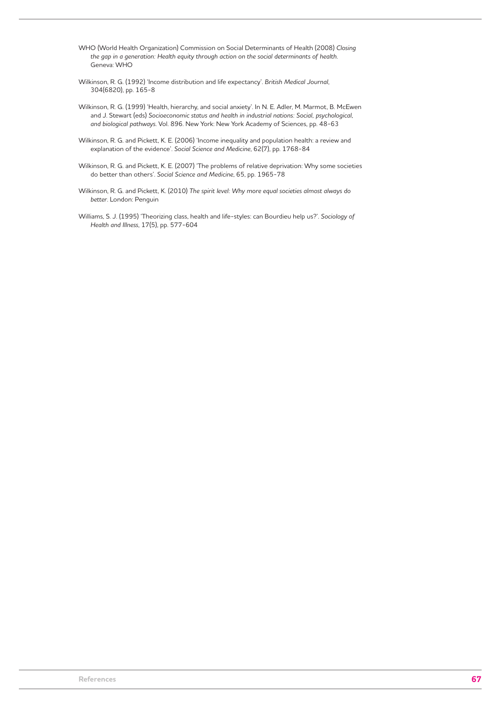WHO (World Health Organization) Commission on Social Determinants of Health (2008) *Closing the gap in a generation: Health equity through action on the social determinants of health*. Geneva: WHO

- Wilkinson, R. G. (1992) 'Income distribution and life expectancy'. *British Medical Journal*, 304(6820), pp. 165-8
- Wilkinson, R. G. (1999) 'Health, hierarchy, and social anxiety'. In N. E. Adler, M. Marmot, B. McEwen and J. Stewart (eds) *Socioeconomic status and health in industrial nations: Social, psychological, and biological pathways*. Vol. 896. New York: New York Academy of Sciences, pp. 48-63
- Wilkinson, R. G. and Pickett, K. E. (2006) 'Income inequality and population health: a review and explanation of the evidence'. *Social Science and Medicine*, 62(7), pp. 1768-84
- Wilkinson, R. G. and Pickett, K. E. (2007) 'The problems of relative deprivation: Why some societies do better than others'. *Social Science and Medicine*, 65, pp. 1965-78
- Wilkinson, R. G. and Pickett, K. (2010) *The spirit level: Why more equal societies almost always do better*. London: Penguin
- Williams, S. J. (1995) 'Theorizing class, health and life-styles: can Bourdieu help us?'. *Sociology of Health and Illness*, 17(5), pp. 577-604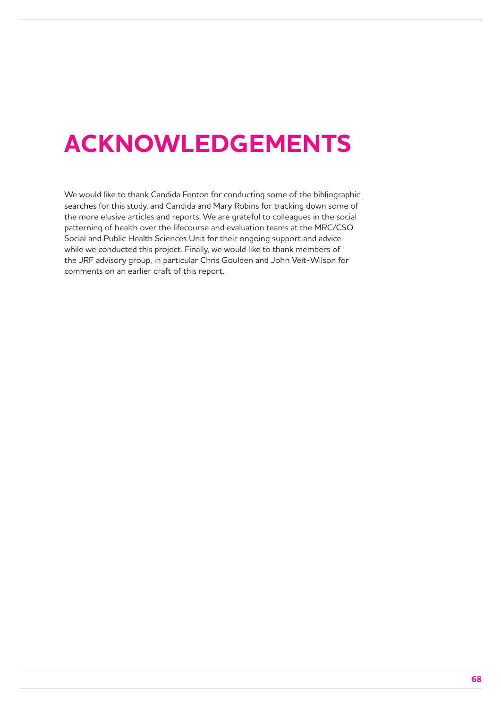## **ACKNOWLEDGEMENTS**

We would like to thank Candida Fenton for conducting some of the bibliographic searches for this study, and Candida and Mary Robins for tracking down some of the more elusive articles and reports. We are grateful to colleagues in the social patterning of health over the lifecourse and evaluation teams at the MRC/CSO Social and Public Health Sciences Unit for their ongoing support and advice while we conducted this project. Finally, we would like to thank members of the JRF advisory group, in particular Chris Goulden and John Veit-Wilson for comments on an earlier draft of this report.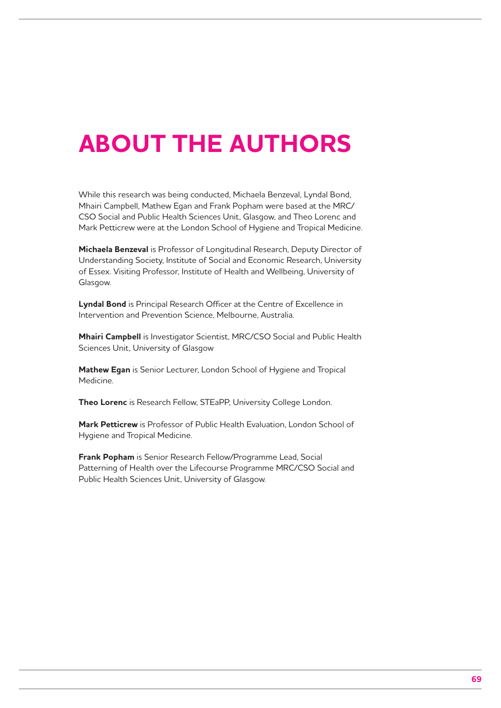## **ABOUT THE AUTHORS**

While this research was being conducted, Michaela Benzeval, Lyndal Bond, Mhairi Campbell, Mathew Egan and Frank Popham were based at the MRC/ CSO Social and Public Health Sciences Unit, Glasgow, and Theo Lorenc and Mark Petticrew were at the London School of Hygiene and Tropical Medicine.

**Michaela Benzeval** is Professor of Longitudinal Research, Deputy Director of Understanding Society, Institute of Social and Economic Research, University of Essex. Visiting Professor, Institute of Health and Wellbeing, University of Glasgow.

**Lyndal Bond** is Principal Research Officer at the Centre of Excellence in Intervention and Prevention Science, Melbourne, Australia.

**Mhairi Campbell** is Investigator Scientist, MRC/CSO Social and Public Health Sciences Unit, University of Glasgow

**Mathew Egan** is Senior Lecturer, London School of Hygiene and Tropical Medicine.

**Theo Lorenc** is Research Fellow, STEaPP, University College London.

**Mark Petticrew** is Professor of Public Health Evaluation, London School of Hygiene and Tropical Medicine.

**Frank Popham** is Senior Research Fellow/Programme Lead, Social Patterning of Health over the Lifecourse Programme MRC/CSO Social and Public Health Sciences Unit, University of Glasgow.